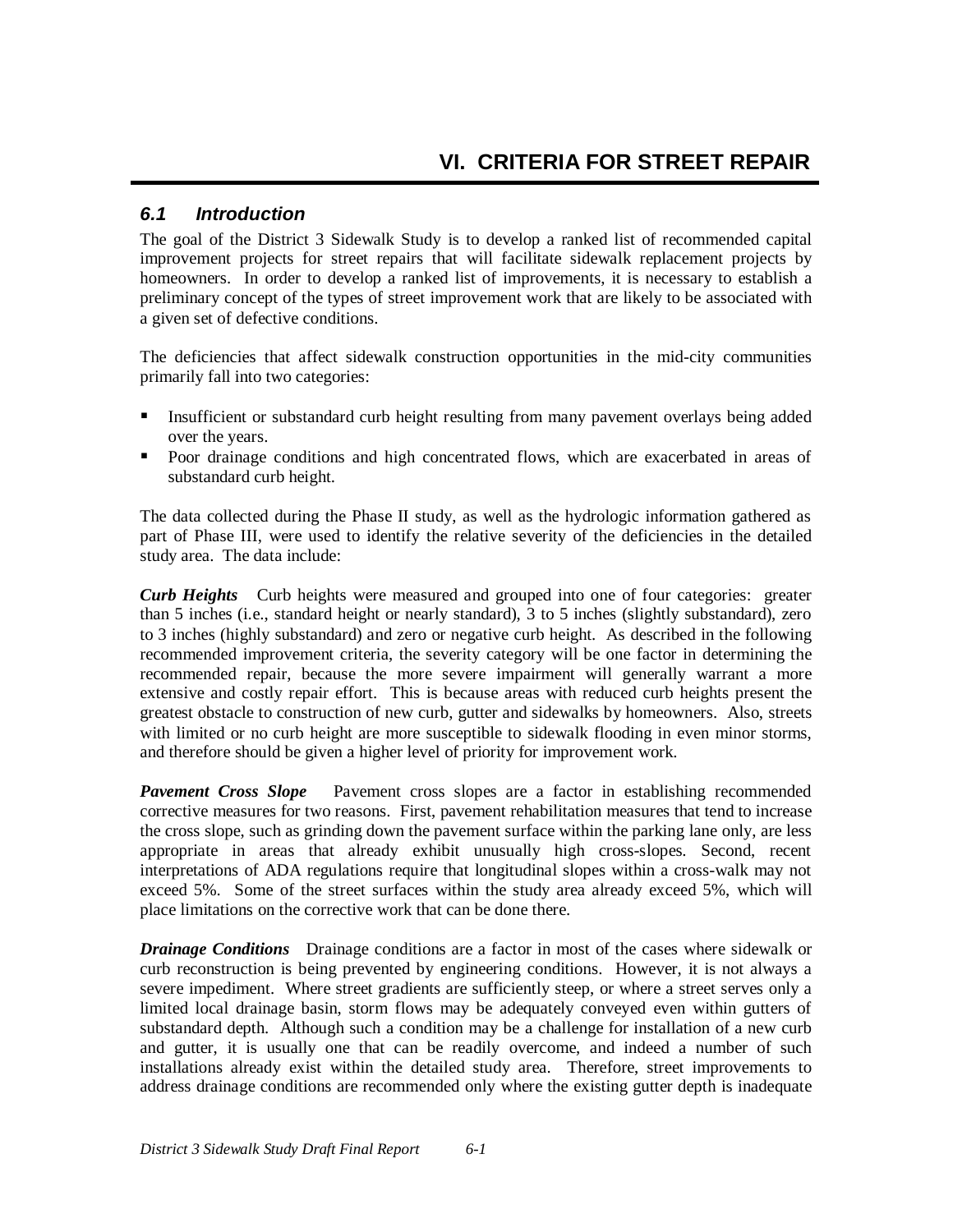## *6.1 Introduction*

The goal of the District 3 Sidewalk Study is to develop a ranked list of recommended capital improvement projects for street repairs that will facilitate sidewalk replacement projects by homeowners. In order to develop a ranked list of improvements, it is necessary to establish a preliminary concept of the types of street improvement work that are likely to be associated with a given set of defective conditions.

The deficiencies that affect sidewalk construction opportunities in the mid-city communities primarily fall into two categories:

- Insufficient or substandard curb height resulting from many pavement overlays being added over the years.
- Poor drainage conditions and high concentrated flows, which are exacerbated in areas of substandard curb height.

The data collected during the Phase II study, as well as the hydrologic information gathered as part of Phase III, were used to identify the relative severity of the deficiencies in the detailed study area. The data include:

 *Curb Heights* Curb heights were measured and grouped into one of four categories: greater than 5 inches (i.e., standard height or nearly standard), 3 to 5 inches (slightly substandard), zero to 3 inches (highly substandard) and zero or negative curb height. As described in the following recommended improvement criteria, the severity category will be one factor in determining the recommended repair, because the more severe impairment will generally warrant a more extensive and costly repair effort. This is because areas with reduced curb heights present the greatest obstacle to construction of new curb, gutter and sidewalks by homeowners. Also, streets with limited or no curb height are more susceptible to sidewalk flooding in even minor storms, and therefore should be given a higher level of priority for improvement work.

*Pavement Cross Slope* Pavement cross slopes are a factor in establishing recommended corrective measures for two reasons. First, pavement rehabilitation measures that tend to increase the cross slope, such as grinding down the pavement surface within the parking lane only, are less appropriate in areas that already exhibit unusually high cross-slopes. Second, recent interpretations of ADA regulations require that longitudinal slopes within a cross-walk may not exceed 5%. Some of the street surfaces within the study area already exceed 5%, which will place limitations on the corrective work that can be done there.

 *Drainage Conditions* Drainage conditions are a factor in most of the cases where sidewalk or curb reconstruction is being prevented by engineering conditions. However, it is not always a severe impediment. Where street gradients are sufficiently steep, or where a street serves only a limited local drainage basin, storm flows may be adequately conveyed even within gutters of substandard depth. Although such a condition may be a challenge for installation of a new curb and gutter, it is usually one that can be readily overcome, and indeed a number of such installations already exist within the detailed study area. Therefore, street improvements to address drainage conditions are recommended only where the existing gutter depth is inadequate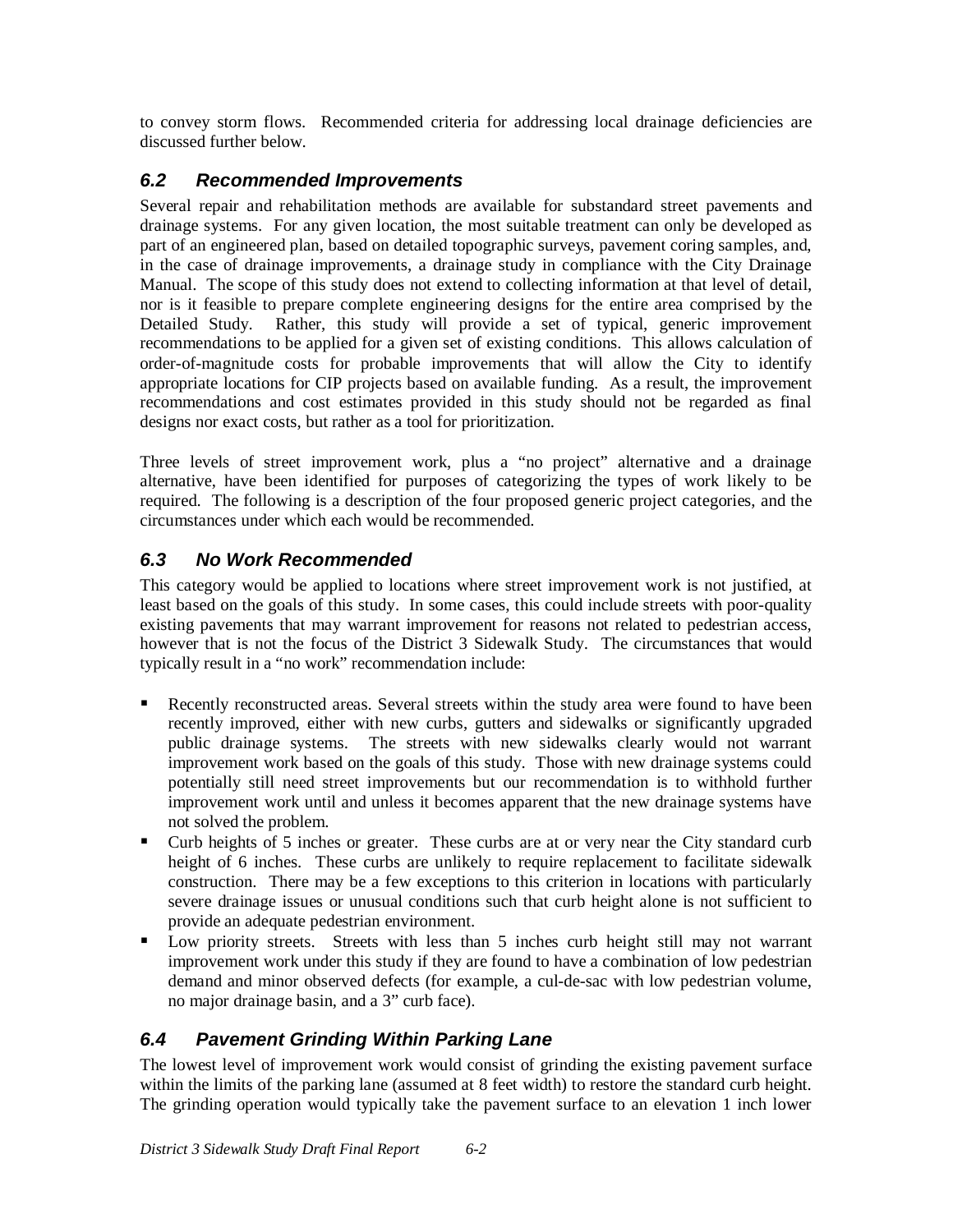to convey storm flows. Recommended criteria for addressing local drainage deficiencies are discussed further below.

## *6.2 Recommended Improvements*

Several repair and rehabilitation methods are available for substandard street pavements and drainage systems. For any given location, the most suitable treatment can only be developed as part of an engineered plan, based on detailed topographic surveys, pavement coring samples, and, in the case of drainage improvements, a drainage study in compliance with the City Drainage Manual. The scope of this study does not extend to collecting information at that level of detail, nor is it feasible to prepare complete engineering designs for the entire area comprised by the Detailed Study. Rather, this study will provide a set of typical, generic improvement recommendations to be applied for a given set of existing conditions. This allows calculation of order-of-magnitude costs for probable improvements that will allow the City to identify appropriate locations for CIP projects based on available funding. As a result, the improvement recommendations and cost estimates provided in this study should not be regarded as final designs nor exact costs, but rather as a tool for prioritization.

Three levels of street improvement work, plus a "no project" alternative and a drainage alternative, have been identified for purposes of categorizing the types of work likely to be required. The following is a description of the four proposed generic project categories, and the circumstances under which each would be recommended.

## *6.3 No Work Recommended*

This category would be applied to locations where street improvement work is not justified, at least based on the goals of this study. In some cases, this could include streets with poor-quality existing pavements that may warrant improvement for reasons not related to pedestrian access, however that is not the focus of the District 3 Sidewalk Study. The circumstances that would typically result in a "no work" recommendation include:

- Recently reconstructed areas. Several streets within the study area were found to have been recently improved, either with new curbs, gutters and sidewalks or significantly upgraded public drainage systems. The streets with new sidewalks clearly would not warrant improvement work based on the goals of this study. Those with new drainage systems could potentially still need street improvements but our recommendation is to withhold further improvement work until and unless it becomes apparent that the new drainage systems have not solved the problem.
- Curb heights of 5 inches or greater. These curbs are at or very near the City standard curb height of 6 inches. These curbs are unlikely to require replacement to facilitate sidewalk construction. There may be a few exceptions to this criterion in locations with particularly severe drainage issues or unusual conditions such that curb height alone is not sufficient to provide an adequate pedestrian environment.
- Low priority streets. Streets with less than 5 inches curb height still may not warrant improvement work under this study if they are found to have a combination of low pedestrian demand and minor observed defects (for example, a cul-de-sac with low pedestrian volume, no major drainage basin, and a 3" curb face).

## *6.4 Pavement Grinding Within Parking Lane*

The lowest level of improvement work would consist of grinding the existing pavement surface within the limits of the parking lane (assumed at 8 feet width) to restore the standard curb height. The grinding operation would typically take the pavement surface to an elevation 1 inch lower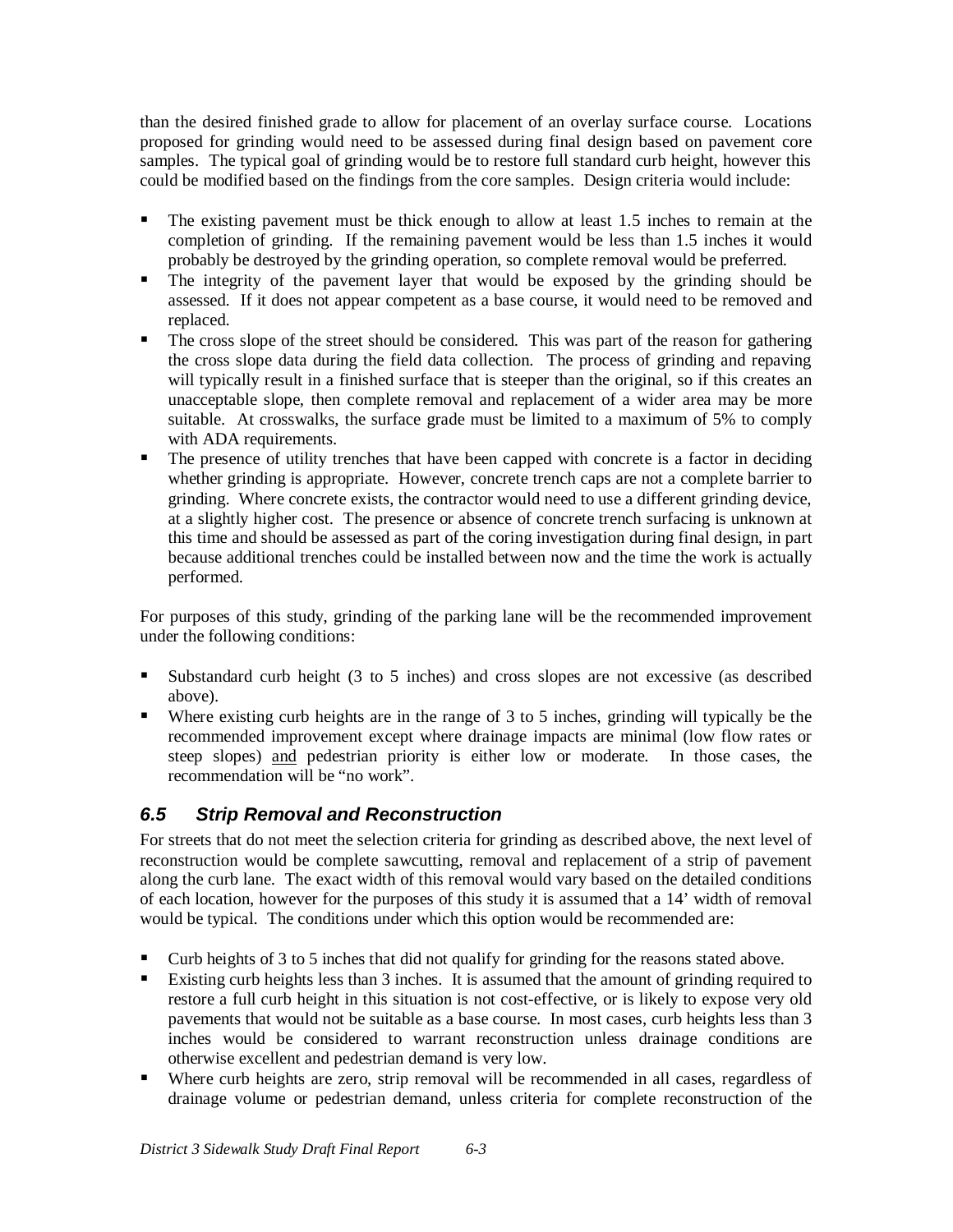than the desired finished grade to allow for placement of an overlay surface course. Locations proposed for grinding would need to be assessed during final design based on pavement core samples. The typical goal of grinding would be to restore full standard curb height, however this could be modified based on the findings from the core samples. Design criteria would include:

- The existing pavement must be thick enough to allow at least 1.5 inches to remain at the completion of grinding. If the remaining pavement would be less than 1.5 inches it would probably be destroyed by the grinding operation, so complete removal would be preferred.
- The integrity of the pavement layer that would be exposed by the grinding should be assessed. If it does not appear competent as a base course, it would need to be removed and replaced.
- The cross slope of the street should be considered. This was part of the reason for gathering the cross slope data during the field data collection. The process of grinding and repaving will typically result in a finished surface that is steeper than the original, so if this creates an unacceptable slope, then complete removal and replacement of a wider area may be more suitable. At crosswalks, the surface grade must be limited to a maximum of 5% to comply with ADA requirements.
- The presence of utility trenches that have been capped with concrete is a factor in deciding whether grinding is appropriate. However, concrete trench caps are not a complete barrier to grinding. Where concrete exists, the contractor would need to use a different grinding device, at a slightly higher cost. The presence or absence of concrete trench surfacing is unknown at this time and should be assessed as part of the coring investigation during final design, in part because additional trenches could be installed between now and the time the work is actually performed.

For purposes of this study, grinding of the parking lane will be the recommended improvement under the following conditions:

- ° Substandard curb height (3 to 5 inches) and cross slopes are not excessive (as described above).
- Where existing curb heights are in the range of 3 to 5 inches, grinding will typically be the recommended improvement except where drainage impacts are minimal (low flow rates or steep slopes) and pedestrian priority is either low or moderate. In those cases, the recommendation will be "no work".

## *6.5 Strip Removal and Reconstruction*

For streets that do not meet the selection criteria for grinding as described above, the next level of reconstruction would be complete sawcutting, removal and replacement of a strip of pavement along the curb lane. The exact width of this removal would vary based on the detailed conditions of each location, however for the purposes of this study it is assumed that a 14' width of removal would be typical. The conditions under which this option would be recommended are:

- Curb heights of 3 to 5 inches that did not qualify for grinding for the reasons stated above.
- ° Existing curb heights less than 3 inches. It is assumed that the amount of grinding required to restore a full curb height in this situation is not cost-effective, or is likely to expose very old pavements that would not be suitable as a base course. In most cases, curb heights less than 3 inches would be considered to warrant reconstruction unless drainage conditions are otherwise excellent and pedestrian demand is very low.
- ° Where curb heights are zero, strip removal will be recommended in all cases, regardless of drainage volume or pedestrian demand, unless criteria for complete reconstruction of the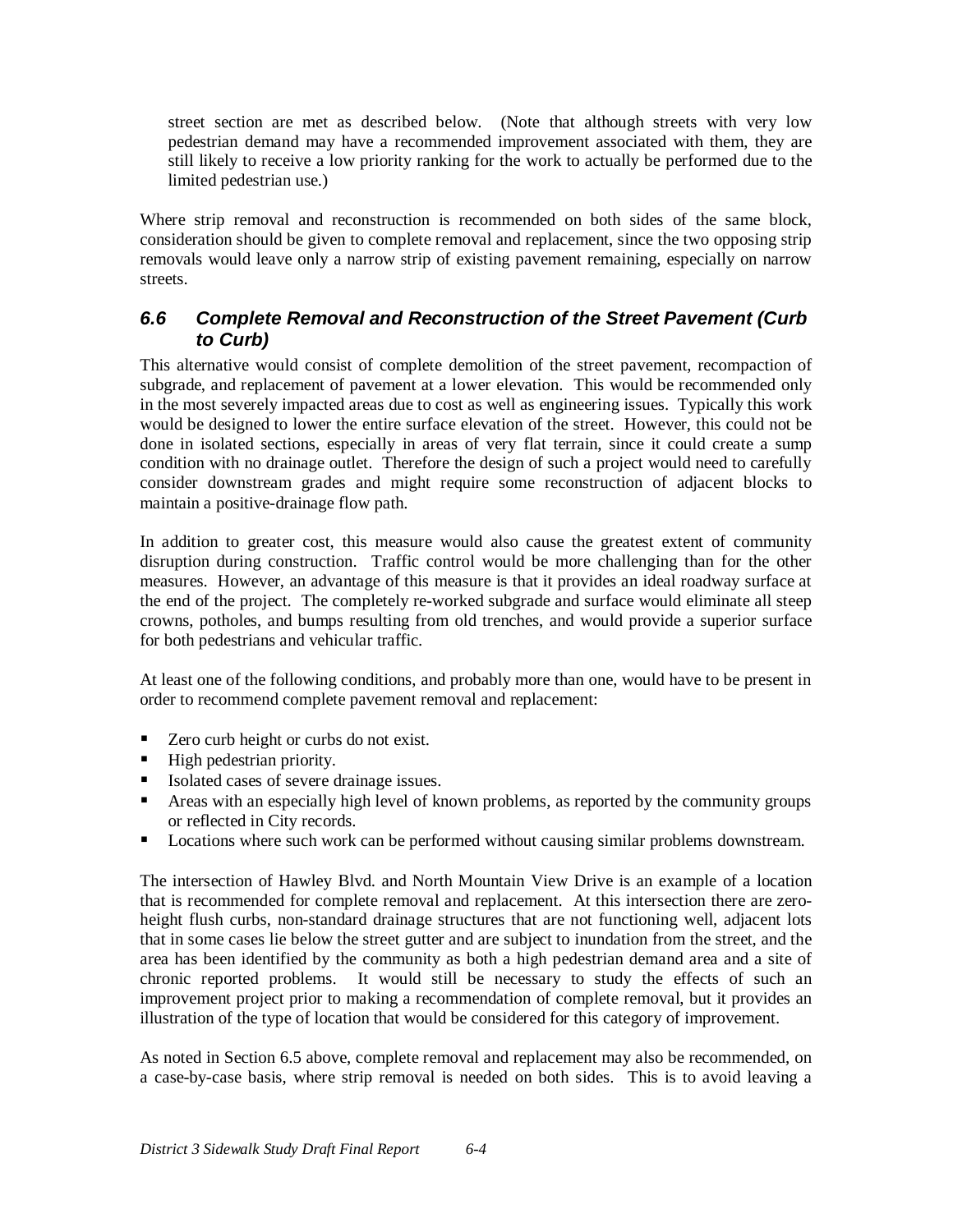street section are met as described below. (Note that although streets with very low pedestrian demand may have a recommended improvement associated with them, they are still likely to receive a low priority ranking for the work to actually be performed due to the limited pedestrian use.)

Where strip removal and reconstruction is recommended on both sides of the same block, consideration should be given to complete removal and replacement, since the two opposing strip removals would leave only a narrow strip of existing pavement remaining, especially on narrow streets.

## *6.6 Complete Removal and Reconstruction of the Street Pavement (Curb to Curb)*

This alternative would consist of complete demolition of the street pavement, recompaction of subgrade, and replacement of pavement at a lower elevation. This would be recommended only in the most severely impacted areas due to cost as well as engineering issues. Typically this work would be designed to lower the entire surface elevation of the street. However, this could not be done in isolated sections, especially in areas of very flat terrain, since it could create a sump condition with no drainage outlet. Therefore the design of such a project would need to carefully consider downstream grades and might require some reconstruction of adjacent blocks to maintain a positive-drainage flow path.

In addition to greater cost, this measure would also cause the greatest extent of community disruption during construction. Traffic control would be more challenging than for the other measures. However, an advantage of this measure is that it provides an ideal roadway surface at the end of the project. The completely re-worked subgrade and surface would eliminate all steep crowns, potholes, and bumps resulting from old trenches, and would provide a superior surface for both pedestrians and vehicular traffic.

At least one of the following conditions, and probably more than one, would have to be present in order to recommend complete pavement removal and replacement:

- Zero curb height or curbs do not exist.
- High pedestrian priority.
- Isolated cases of severe drainage issues.
- ° Areas with an especially high level of known problems, as reported by the community groups or reflected in City records.
- ° Locations where such work can be performed without causing similar problems downstream.

The intersection of Hawley Blvd. and North Mountain View Drive is an example of a location that is recommended for complete removal and replacement. At this intersection there are zeroheight flush curbs, non-standard drainage structures that are not functioning well, adjacent lots that in some cases lie below the street gutter and are subject to inundation from the street, and the area has been identified by the community as both a high pedestrian demand area and a site of chronic reported problems. It would still be necessary to study the effects of such an improvement project prior to making a recommendation of complete removal, but it provides an illustration of the type of location that would be considered for this category of improvement.

As noted in Section 6.5 above, complete removal and replacement may also be recommended, on a case-by-case basis, where strip removal is needed on both sides. This is to avoid leaving a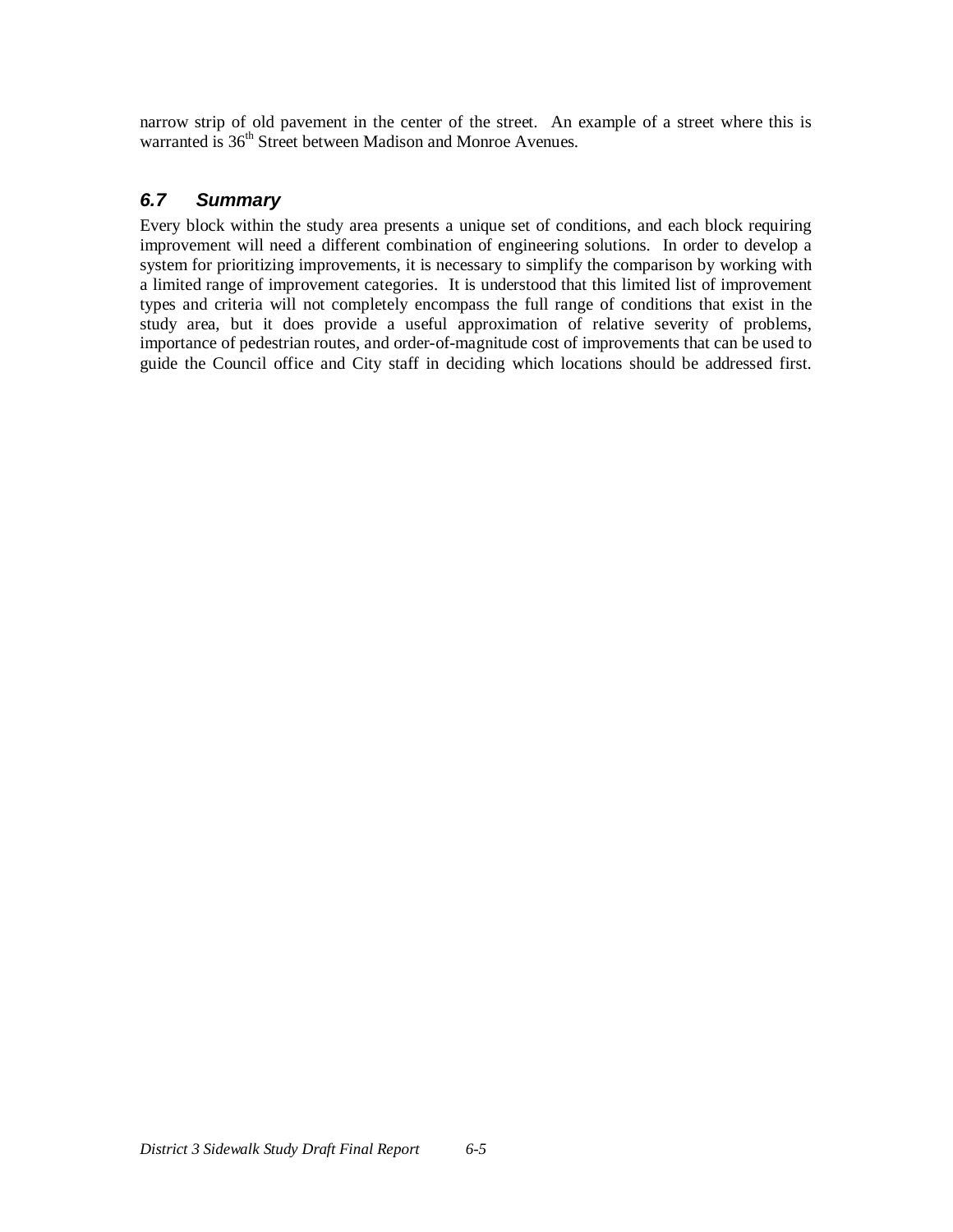narrow strip of old pavement in the center of the street. An example of a street where this is warranted is 36<sup>th</sup> Street between Madison and Monroe Avenues.

## *6.7 Summary*

Every block within the study area presents a unique set of conditions, and each block requiring improvement will need a different combination of engineering solutions. In order to develop a system for prioritizing improvements, it is necessary to simplify the comparison by working with a limited range of improvement categories. It is understood that this limited list of improvement types and criteria will not completely encompass the full range of conditions that exist in the study area, but it does provide a useful approximation of relative severity of problems, importance of pedestrian routes, and order-of-magnitude cost of improvements that can be used to guide the Council office and City staff in deciding which locations should be addressed first.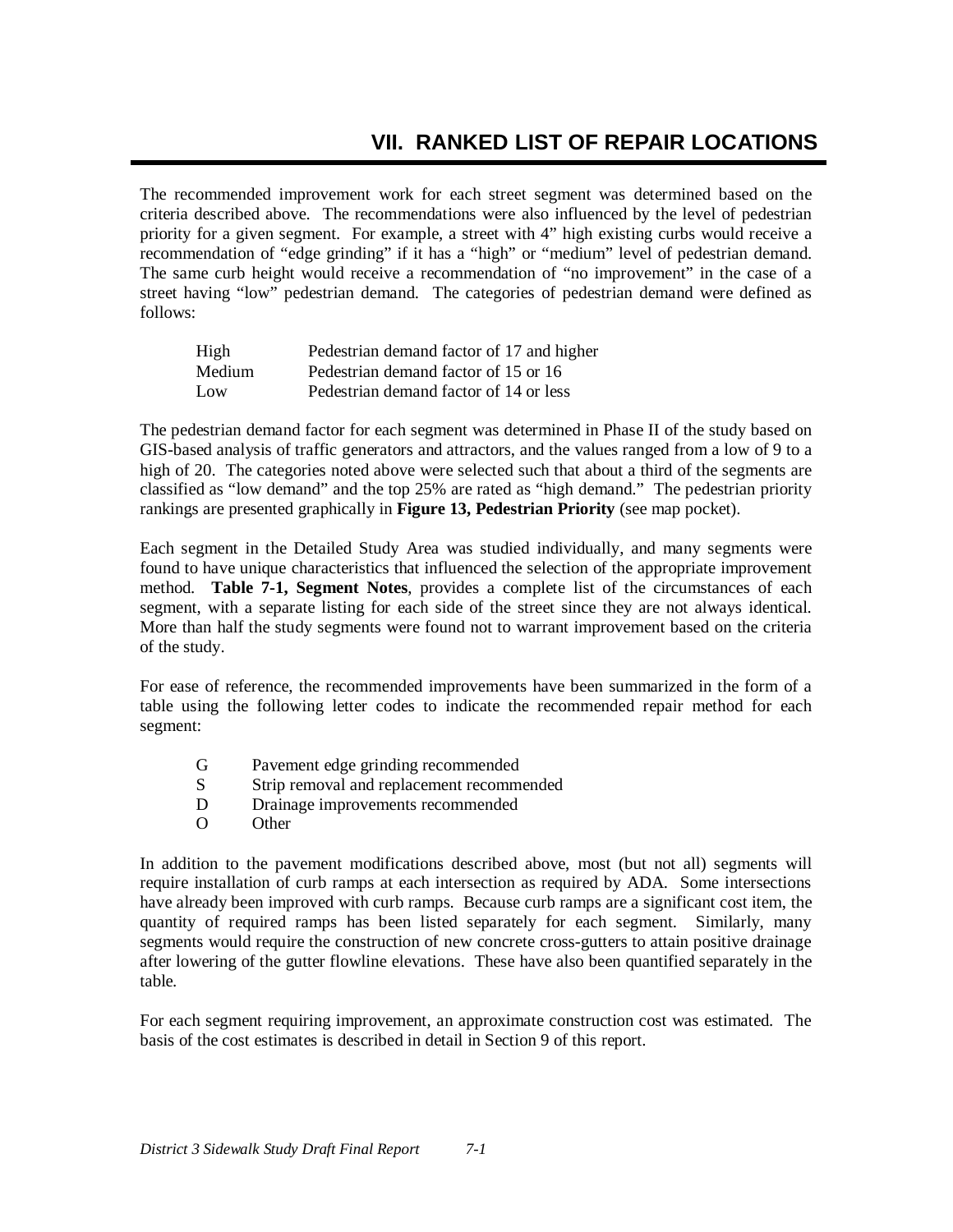The recommended improvement work for each street segment was determined based on the criteria described above. The recommendations were also influenced by the level of pedestrian priority for a given segment. For example, a street with 4" high existing curbs would receive a recommendation of "edge grinding" if it has a "high" or "medium" level of pedestrian demand. The same curb height would receive a recommendation of "no improvement" in the case of a street having "low" pedestrian demand. The categories of pedestrian demand were defined as follows:

| High   | Pedestrian demand factor of 17 and higher |
|--------|-------------------------------------------|
| Medium | Pedestrian demand factor of 15 or 16      |
| Low    | Pedestrian demand factor of 14 or less    |

The pedestrian demand factor for each segment was determined in Phase II of the study based on GIS-based analysis of traffic generators and attractors, and the values ranged from a low of 9 to a high of 20. The categories noted above were selected such that about a third of the segments are classified as "low demand" and the top 25% are rated as "high demand." The pedestrian priority rankings are presented graphically in **Figure 13, Pedestrian Priority** (see map pocket).

Each segment in the Detailed Study Area was studied individually, and many segments were found to have unique characteristics that influenced the selection of the appropriate improvement method. **Table 7-1, Segment Notes**, provides a complete list of the circumstances of each segment, with a separate listing for each side of the street since they are not always identical. More than half the study segments were found not to warrant improvement based on the criteria of the study.

For ease of reference, the recommended improvements have been summarized in the form of a table using the following letter codes to indicate the recommended repair method for each segment:

- G Pavement edge grinding recommended
- S Strip removal and replacement recommended
- D Drainage improvements recommended
- O Other

In addition to the pavement modifications described above, most (but not all) segments will require installation of curb ramps at each intersection as required by ADA. Some intersections have already been improved with curb ramps. Because curb ramps are a significant cost item, the quantity of required ramps has been listed separately for each segment. Similarly, many segments would require the construction of new concrete cross-gutters to attain positive drainage after lowering of the gutter flowline elevations. These have also been quantified separately in the table.

For each segment requiring improvement, an approximate construction cost was estimated. The basis of the cost estimates is described in detail in Section 9 of this report.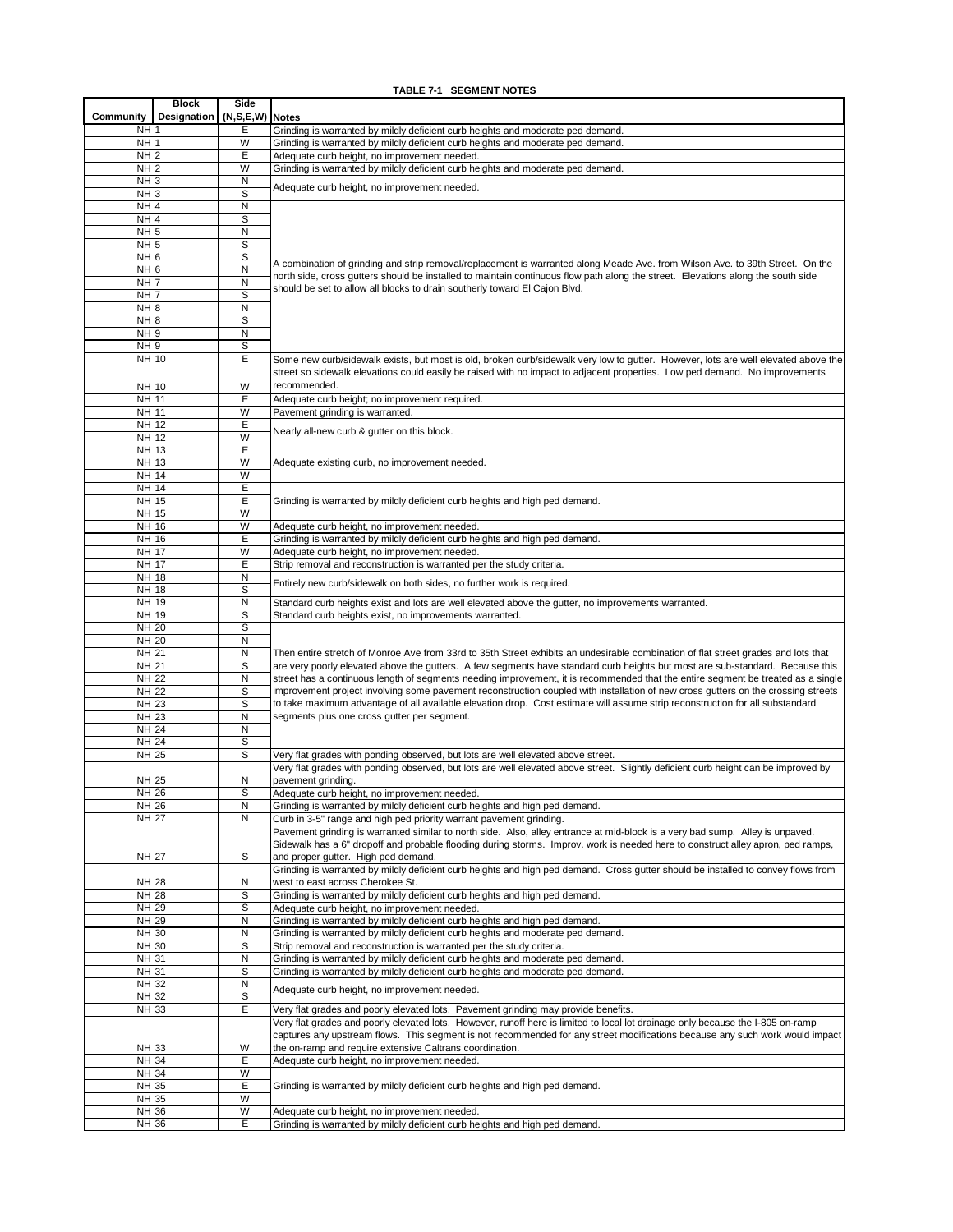#### **TABLE 7-1 SEGMENT NOTES**

|                                    | <b>Block</b> | Side                 |                                                                                                                                                                                                                                                                   |
|------------------------------------|--------------|----------------------|-------------------------------------------------------------------------------------------------------------------------------------------------------------------------------------------------------------------------------------------------------------------|
| Community<br>NH <sub>1</sub>       | Designation  | (N,S,E,W) Notes<br>Е | Grinding is warranted by mildly deficient curb heights and moderate ped demand.                                                                                                                                                                                   |
| NH <sub>1</sub>                    |              | W                    | Grinding is warranted by mildly deficient curb heights and moderate ped demand.                                                                                                                                                                                   |
| NH <sub>2</sub>                    |              | E                    | Adequate curb height, no improvement needed.                                                                                                                                                                                                                      |
| NH <sub>2</sub>                    |              | W                    | Grinding is warranted by mildly deficient curb heights and moderate ped demand.                                                                                                                                                                                   |
| NH <sub>3</sub>                    |              | N                    | Adequate curb height, no improvement needed.                                                                                                                                                                                                                      |
| NH <sub>3</sub><br>NH <sub>4</sub> |              | S<br>N               |                                                                                                                                                                                                                                                                   |
| NH <sub>4</sub>                    |              | $\mathbb S$          |                                                                                                                                                                                                                                                                   |
| NH <sub>5</sub>                    |              | $\mathsf{N}$         |                                                                                                                                                                                                                                                                   |
| NH <sub>5</sub>                    |              | S                    |                                                                                                                                                                                                                                                                   |
| NH <sub>6</sub>                    |              | S                    | A combination of grinding and strip removal/replacement is warranted along Meade Ave. from Wilson Ave. to 39th Street. On the                                                                                                                                     |
| NH <sub>6</sub>                    |              | $\mathsf{N}$         | north side, cross gutters should be installed to maintain continuous flow path along the street. Elevations along the south side                                                                                                                                  |
| <b>NH7</b><br>NH <sub>7</sub>      |              | N<br>S               | should be set to allow all blocks to drain southerly toward El Cajon Blvd.                                                                                                                                                                                        |
| NH <sub>8</sub>                    |              | $\mathsf{N}$         |                                                                                                                                                                                                                                                                   |
| NH <sub>8</sub>                    |              | S                    |                                                                                                                                                                                                                                                                   |
| NH <sub>9</sub>                    |              | N                    |                                                                                                                                                                                                                                                                   |
| NH <sub>9</sub>                    |              | s                    |                                                                                                                                                                                                                                                                   |
| NH 10                              |              | Е                    | Some new curb/sidewalk exists, but most is old, broken curb/sidewalk very low to gutter. However, lots are well elevated above the                                                                                                                                |
|                                    |              |                      | street so sidewalk elevations could easily be raised with no impact to adjacent properties. Low ped demand. No improvements                                                                                                                                       |
| NH 10<br>NH 11                     |              | W<br>E               | recommended.<br>Adequate curb height; no improvement required.                                                                                                                                                                                                    |
| <b>NH 11</b>                       |              | W                    | Pavement grinding is warranted.                                                                                                                                                                                                                                   |
| NH 12                              |              | Ε                    |                                                                                                                                                                                                                                                                   |
| NH 12                              |              | W                    | Nearly all-new curb & gutter on this block.                                                                                                                                                                                                                       |
| NH 13                              |              | E                    |                                                                                                                                                                                                                                                                   |
| <b>NH 13</b>                       |              | W                    | Adequate existing curb, no improvement needed.                                                                                                                                                                                                                    |
| NH 14<br>NH 14                     |              | W<br>E               |                                                                                                                                                                                                                                                                   |
| <b>NH 15</b>                       |              | E                    | Grinding is warranted by mildly deficient curb heights and high ped demand.                                                                                                                                                                                       |
| NH 15                              |              | W                    |                                                                                                                                                                                                                                                                   |
| NH 16                              |              | W                    | Adequate curb height, no improvement needed.                                                                                                                                                                                                                      |
| NH 16                              |              | E                    | Grinding is warranted by mildly deficient curb heights and high ped demand.                                                                                                                                                                                       |
| <b>NH 17</b>                       |              | W                    | Adequate curb height, no improvement needed.                                                                                                                                                                                                                      |
| <b>NH 17</b>                       |              | E                    | Strip removal and reconstruction is warranted per the study criteria.                                                                                                                                                                                             |
| <b>NH 18</b><br><b>NH 18</b>       |              | N<br>S               | Entirely new curb/sidewalk on both sides, no further work is required.                                                                                                                                                                                            |
| NH 19                              |              | N                    | Standard curb heights exist and lots are well elevated above the gutter, no improvements warranted.                                                                                                                                                               |
| NH 19                              |              | S                    | Standard curb heights exist, no improvements warranted.                                                                                                                                                                                                           |
| <b>NH 20</b>                       |              | S                    |                                                                                                                                                                                                                                                                   |
| <b>NH 20</b>                       |              | N                    |                                                                                                                                                                                                                                                                   |
| <b>NH 21</b>                       |              | N                    | Then entire stretch of Monroe Ave from 33rd to 35th Street exhibits an undesirable combination of flat street grades and lots that                                                                                                                                |
| <b>NH 21</b><br><b>NH 22</b>       |              | S<br>N               | are very poorly elevated above the gutters. A few segments have standard curb heights but most are sub-standard. Because this<br>street has a continuous length of segments needing improvement, it is recommended that the entire segment be treated as a single |
| <b>NH 22</b>                       |              | s                    | improvement project involving some pavement reconstruction coupled with installation of new cross gutters on the crossing streets                                                                                                                                 |
| <b>NH 23</b>                       |              | S                    | to take maximum advantage of all available elevation drop. Cost estimate will assume strip reconstruction for all substandard                                                                                                                                     |
| <b>NH 23</b>                       |              | N                    | segments plus one cross gutter per segment.                                                                                                                                                                                                                       |
| <b>NH 24</b>                       |              | N                    |                                                                                                                                                                                                                                                                   |
| <b>NH 24</b>                       |              | S                    |                                                                                                                                                                                                                                                                   |
| NH 25                              |              | S                    | Very flat grades with ponding observed, but lots are well elevated above street.                                                                                                                                                                                  |
| NH 25                              |              | N                    | Very flat grades with ponding observed, but lots are well elevated above street. Slightly deficient curb height can be improved by<br>pavement grinding.                                                                                                          |
| <b>NH 26</b>                       |              | S                    | Adequate curb height, no improvement needed.                                                                                                                                                                                                                      |
| NH 26                              |              | $\mathsf{N}$         | Grinding is warranted by mildly deficient curb heights and high ped demand.                                                                                                                                                                                       |
| <b>NH 27</b>                       |              | N                    | Curb in 3-5" range and high ped priority warrant pavement grinding.                                                                                                                                                                                               |
|                                    |              |                      | Pavement grinding is warranted similar to north side. Also, alley entrance at mid-block is a very bad sump. Alley is unpaved.                                                                                                                                     |
|                                    |              |                      | Sidewalk has a 6" dropoff and probable flooding during storms. Improv. work is needed here to construct alley apron, ped ramps,                                                                                                                                   |
| <b>NH 27</b>                       |              | S                    | and proper gutter. High ped demand.<br>Grinding is warranted by mildly deficient curb heights and high ped demand. Cross gutter should be installed to convey flows from                                                                                          |
| NH 28                              |              | N                    | west to east across Cherokee St.                                                                                                                                                                                                                                  |
| <b>NH 28</b>                       |              | S                    | Grinding is warranted by mildly deficient curb heights and high ped demand.                                                                                                                                                                                       |
| NH 29                              |              | S                    | Adequate curb height, no improvement needed.                                                                                                                                                                                                                      |
| NH 29                              |              | N                    | Grinding is warranted by mildly deficient curb heights and high ped demand.                                                                                                                                                                                       |
| NH 30                              |              | N                    | Grinding is warranted by mildly deficient curb heights and moderate ped demand.                                                                                                                                                                                   |
| NH 30<br>NH 31                     |              | S<br>N               | Strip removal and reconstruction is warranted per the study criteria.<br>Grinding is warranted by mildly deficient curb heights and moderate ped demand.                                                                                                          |
| NH 31                              |              | S                    | Grinding is warranted by mildly deficient curb heights and moderate ped demand.                                                                                                                                                                                   |
| NH 32                              |              | N                    |                                                                                                                                                                                                                                                                   |
| NH 32                              |              | $\mathbb S$          | Adequate curb height, no improvement needed.                                                                                                                                                                                                                      |
| <b>NH 33</b>                       |              | E                    | Very flat grades and poorly elevated lots. Pavement grinding may provide benefits.                                                                                                                                                                                |
|                                    |              |                      | Very flat grades and poorly elevated lots. However, runoff here is limited to local lot drainage only because the I-805 on-ramp                                                                                                                                   |
|                                    |              | W                    | captures any upstream flows. This segment is not recommended for any street modifications because any such work would impact<br>the on-ramp and require extensive Caltrans coordination.                                                                          |
| NH 33<br>NH 34                     |              | E                    | Adequate curb height, no improvement needed.                                                                                                                                                                                                                      |
| NH 34                              |              | W                    |                                                                                                                                                                                                                                                                   |
| NH 35                              |              | E                    | Grinding is warranted by mildly deficient curb heights and high ped demand.                                                                                                                                                                                       |
| NH 35                              |              | W                    |                                                                                                                                                                                                                                                                   |
| NH 36                              |              | W                    | Adequate curb height, no improvement needed.                                                                                                                                                                                                                      |
| NH 36                              |              | Е                    | Grinding is warranted by mildly deficient curb heights and high ped demand.                                                                                                                                                                                       |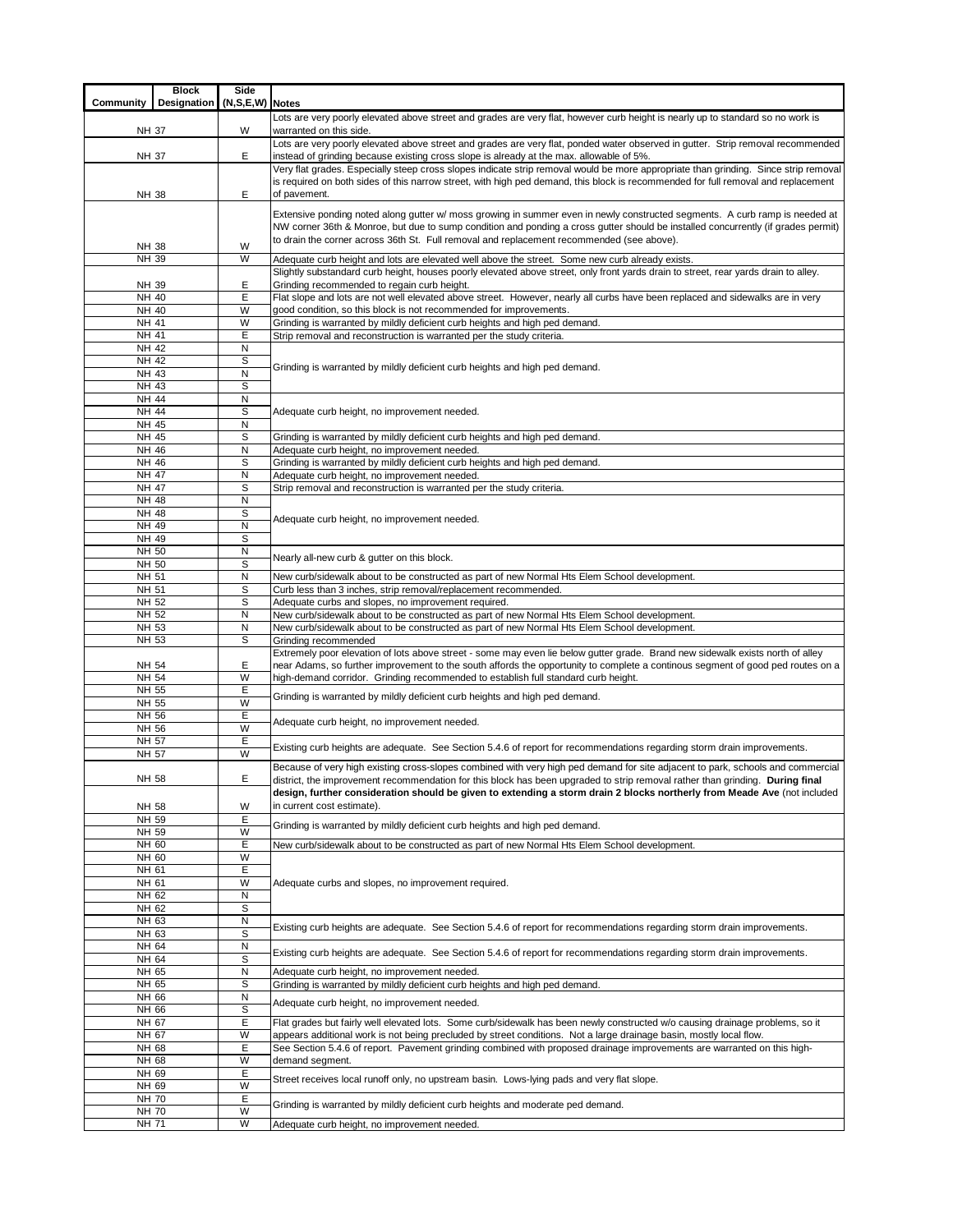| Community                    | <b>Block</b><br>Designation | Side<br>(N,S,E,W) Notes |                                                                                                                                                                                                                                                                  |
|------------------------------|-----------------------------|-------------------------|------------------------------------------------------------------------------------------------------------------------------------------------------------------------------------------------------------------------------------------------------------------|
|                              |                             |                         | Lots are very poorly elevated above street and grades are very flat, however curb height is nearly up to standard so no work is                                                                                                                                  |
| NH 37                        |                             | W                       | warranted on this side.                                                                                                                                                                                                                                          |
| NH 37                        |                             | Е                       | Lots are very poorly elevated above street and grades are very flat, ponded water observed in gutter. Strip removal recommended<br>instead of grinding because existing cross slope is already at the max. allowable of 5%.                                      |
|                              |                             |                         | Very flat grades. Especially steep cross slopes indicate strip removal would be more appropriate than grinding. Since strip removal                                                                                                                              |
|                              |                             |                         | is required on both sides of this narrow street, with high ped demand, this block is recommended for full removal and replacement                                                                                                                                |
| NH 38                        |                             | Е                       | of pavement.                                                                                                                                                                                                                                                     |
|                              |                             |                         | Extensive ponding noted along gutter w/ moss growing in summer even in newly constructed segments. A curb ramp is needed at<br>NW corner 36th & Monroe, but due to sump condition and ponding a cross gutter should be installed concurrently (if grades permit) |
|                              |                             |                         | to drain the corner across 36th St. Full removal and replacement recommended (see above).                                                                                                                                                                        |
| NH 38<br>NH 39               |                             | W<br>W                  | Adequate curb height and lots are elevated well above the street. Some new curb already exists.                                                                                                                                                                  |
|                              |                             |                         | Slightly substandard curb height, houses poorly elevated above street, only front yards drain to street, rear yards drain to alley.                                                                                                                              |
| NH 39<br>NH 40               |                             | Ε<br>E                  | Grinding recommended to regain curb height.<br>Flat slope and lots are not well elevated above street. However, nearly all curbs have been replaced and sidewalks are in very                                                                                    |
| <b>NH 40</b>                 |                             | W                       | good condition, so this block is not recommended for improvements.                                                                                                                                                                                               |
| NH 41                        |                             | W                       | Grinding is warranted by mildly deficient curb heights and high ped demand.                                                                                                                                                                                      |
| NH 41<br>NH 42               |                             | Е<br>N                  | Strip removal and reconstruction is warranted per the study criteria.                                                                                                                                                                                            |
| NH 42                        |                             | S                       |                                                                                                                                                                                                                                                                  |
| NH 43                        |                             | N                       | Grinding is warranted by mildly deficient curb heights and high ped demand.                                                                                                                                                                                      |
| NH 43<br><b>NH 44</b>        |                             | S<br>$\mathsf{N}$       |                                                                                                                                                                                                                                                                  |
| NH 44                        |                             | S                       | Adequate curb height, no improvement needed.                                                                                                                                                                                                                     |
| NH 45                        |                             | N                       |                                                                                                                                                                                                                                                                  |
| NH 45<br>NH 46               |                             | S<br>N                  | Grinding is warranted by mildly deficient curb heights and high ped demand.<br>Adequate curb height, no improvement needed.                                                                                                                                      |
| NH 46                        |                             | S                       | Grinding is warranted by mildly deficient curb heights and high ped demand.                                                                                                                                                                                      |
| NH 47<br>NH 47               |                             | N<br>S                  | Adequate curb height, no improvement needed.                                                                                                                                                                                                                     |
| <b>NH 48</b>                 |                             | N                       | Strip removal and reconstruction is warranted per the study criteria.                                                                                                                                                                                            |
| <b>NH 48</b>                 |                             | S                       | Adequate curb height, no improvement needed.                                                                                                                                                                                                                     |
| NH 49<br>NH 49               |                             | N<br>S                  |                                                                                                                                                                                                                                                                  |
| NH 50                        |                             | N                       |                                                                                                                                                                                                                                                                  |
| NH 50                        |                             | S                       | Nearly all-new curb & gutter on this block.                                                                                                                                                                                                                      |
| NH 51<br>NH 51               |                             | N<br>S                  | New curb/sidewalk about to be constructed as part of new Normal Hts Elem School development.<br>Curb less than 3 inches, strip removal/replacement recommended.                                                                                                  |
| NH 52                        |                             | S                       | Adequate curbs and slopes, no improvement required.                                                                                                                                                                                                              |
| NH 52                        |                             | N                       | New curb/sidewalk about to be constructed as part of new Normal Hts Elem School development.                                                                                                                                                                     |
| NH 53<br>NH 53               |                             | N<br>S                  | New curb/sidewalk about to be constructed as part of new Normal Hts Elem School development.<br>Grinding recommended                                                                                                                                             |
|                              |                             |                         | Extremely poor elevation of lots above street - some may even lie below gutter grade. Brand new sidewalk exists north of alley                                                                                                                                   |
| NH 54                        |                             | Ε<br>W                  | near Adams, so further improvement to the south affords the opportunity to complete a continous segment of good ped routes on a                                                                                                                                  |
| NH 54<br>NH 55               |                             | Е                       | high-demand corridor. Grinding recommended to establish full standard curb height.                                                                                                                                                                               |
| NH 55                        |                             | W                       | Grinding is warranted by mildly deficient curb heights and high ped demand.                                                                                                                                                                                      |
| NH 56<br>NH 56               |                             | Е<br>W                  | Adequate curb height, no improvement needed.                                                                                                                                                                                                                     |
| NH 57                        |                             | Ε                       | Existing curb heights are adequate. See Section 5.4.6 of report for recommendations regarding storm drain improvements.                                                                                                                                          |
| NH 57                        |                             | W                       |                                                                                                                                                                                                                                                                  |
| NH 58                        |                             | Ε                       | Because of very high existing cross-slopes combined with very high ped demand for site adjacent to park, schools and commercial<br>district, the improvement recommendation for this block has been upgraded to strip removal rather than grinding. During final |
|                              |                             |                         | design, further consideration should be given to extending a storm drain 2 blocks northerly from Meade Ave (not included                                                                                                                                         |
| NH 58                        |                             | W                       | in current cost estimate).                                                                                                                                                                                                                                       |
| NH 59<br>NH 59               |                             | E<br>W                  | Grinding is warranted by mildly deficient curb heights and high ped demand.                                                                                                                                                                                      |
| NH 60                        |                             | Ε                       | New curb/sidewalk about to be constructed as part of new Normal Hts Elem School development.                                                                                                                                                                     |
| NH 60                        |                             | W<br>E                  |                                                                                                                                                                                                                                                                  |
| NH 61<br>NH 61               |                             | W                       | Adequate curbs and slopes, no improvement required.                                                                                                                                                                                                              |
| NH 62                        |                             | N                       |                                                                                                                                                                                                                                                                  |
| NH 62<br>NH 63               |                             | S<br>N                  |                                                                                                                                                                                                                                                                  |
| NH 63                        |                             | S                       | Existing curb heights are adequate. See Section 5.4.6 of report for recommendations regarding storm drain improvements.                                                                                                                                          |
| NH 64                        |                             | N                       | Existing curb heights are adequate. See Section 5.4.6 of report for recommendations regarding storm drain improvements.                                                                                                                                          |
| NH 64<br>NH 65               |                             | S<br>N                  | Adequate curb height, no improvement needed.                                                                                                                                                                                                                     |
| NH 65                        |                             | S                       | Grinding is warranted by mildly deficient curb heights and high ped demand.                                                                                                                                                                                      |
| NH 66<br>NH 66               |                             | N<br>s                  | Adequate curb height, no improvement needed.                                                                                                                                                                                                                     |
| NH 67                        |                             | Е                       | Flat grades but fairly well elevated lots. Some curb/sidewalk has been newly constructed w/o causing drainage problems, so it                                                                                                                                    |
| NH 67                        |                             | W                       | appears additional work is not being precluded by street conditions. Not a large drainage basin, mostly local flow.                                                                                                                                              |
| NH 68<br>NH 68               |                             | E<br>W                  | See Section 5.4.6 of report. Pavement grinding combined with proposed drainage improvements are warranted on this high-<br>demand segment.                                                                                                                       |
| NH 69                        |                             | Е                       | Street receives local runoff only, no upstream basin. Lows-lying pads and very flat slope.                                                                                                                                                                       |
| NH 69                        |                             | W                       |                                                                                                                                                                                                                                                                  |
| <b>NH 70</b><br><b>NH 70</b> |                             | Ε<br>W                  | Grinding is warranted by mildly deficient curb heights and moderate ped demand.                                                                                                                                                                                  |
| <b>NH 71</b>                 |                             | W                       | Adequate curb height, no improvement needed.                                                                                                                                                                                                                     |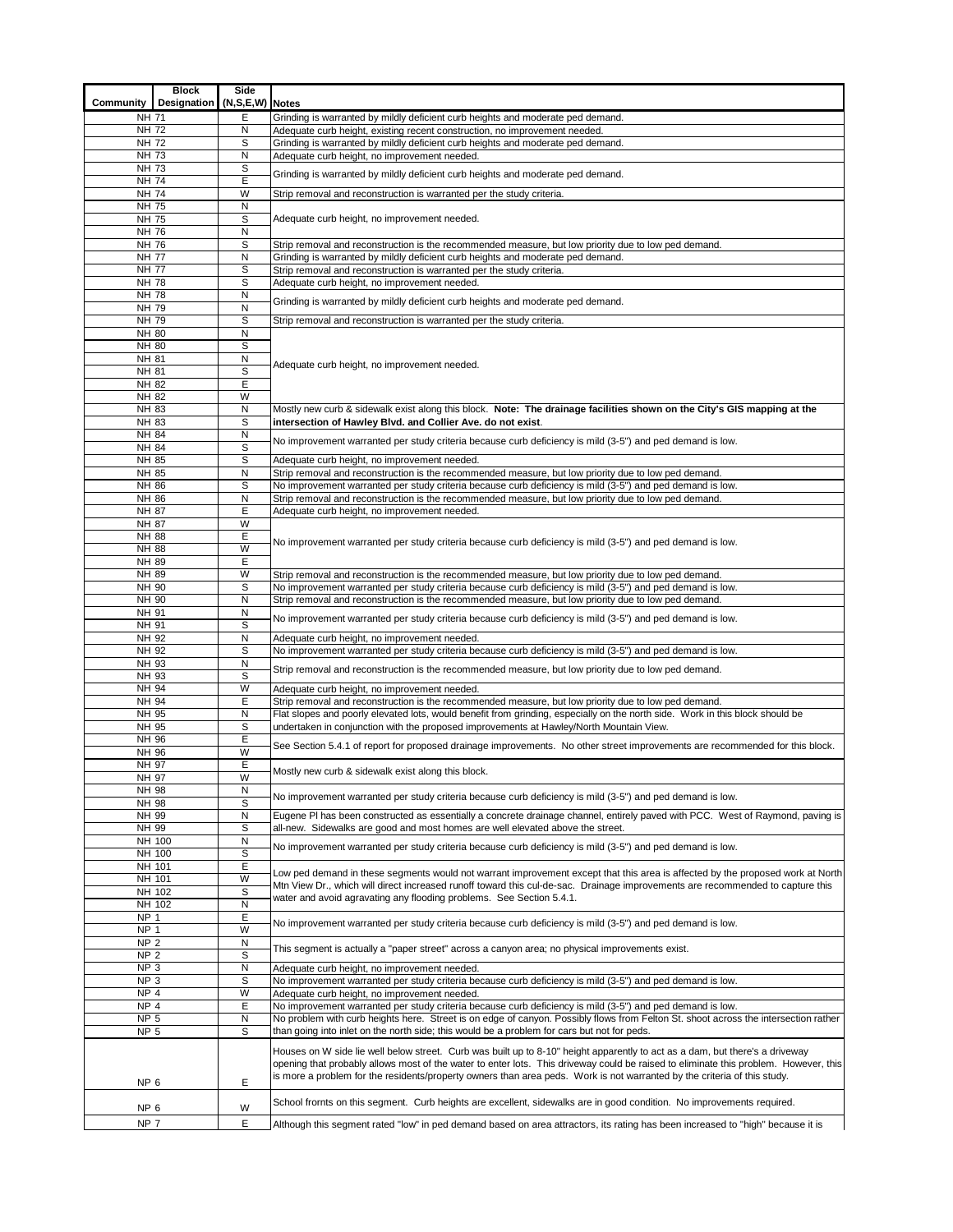| Community                          | <b>Block</b><br>Designation | Side<br>(N,S,E,W) Notes |                                                                                                                                                                                                                                       |
|------------------------------------|-----------------------------|-------------------------|---------------------------------------------------------------------------------------------------------------------------------------------------------------------------------------------------------------------------------------|
| <b>NH 71</b>                       |                             | Ε                       | Grinding is warranted by mildly deficient curb heights and moderate ped demand.                                                                                                                                                       |
| <b>NH 72</b>                       |                             | N                       | Adequate curb height, existing recent construction, no improvement needed.                                                                                                                                                            |
| <b>NH 72</b>                       |                             | S                       | Grinding is warranted by mildly deficient curb heights and moderate ped demand.                                                                                                                                                       |
| <b>NH 73</b>                       |                             | N                       | Adequate curb height, no improvement needed.                                                                                                                                                                                          |
| <b>NH 73</b>                       |                             | $\mathbb S$             | Grinding is warranted by mildly deficient curb heights and moderate ped demand.                                                                                                                                                       |
| <b>NH 74</b>                       |                             | Ε                       |                                                                                                                                                                                                                                       |
| <b>NH 74</b>                       |                             | W                       | Strip removal and reconstruction is warranted per the study criteria.                                                                                                                                                                 |
| <b>NH 75</b><br><b>NH 75</b>       |                             | N<br>S                  | Adequate curb height, no improvement needed.                                                                                                                                                                                          |
| <b>NH 76</b>                       |                             | N                       |                                                                                                                                                                                                                                       |
| NH 76                              |                             | S                       | Strip removal and reconstruction is the recommended measure, but low priority due to low ped demand.                                                                                                                                  |
| <b>NH 77</b>                       |                             | Ν                       | Grinding is warranted by mildly deficient curb heights and moderate ped demand.                                                                                                                                                       |
| <b>NH 77</b>                       |                             | S                       | Strip removal and reconstruction is warranted per the study criteria.                                                                                                                                                                 |
| <b>NH 78</b>                       |                             | S                       | Adequate curb height, no improvement needed.                                                                                                                                                                                          |
| <b>NH 78</b>                       |                             | N                       | Grinding is warranted by mildly deficient curb heights and moderate ped demand.                                                                                                                                                       |
| NH 79                              |                             | N                       |                                                                                                                                                                                                                                       |
| <b>NH 79</b>                       |                             | S                       | Strip removal and reconstruction is warranted per the study criteria.                                                                                                                                                                 |
| <b>NH 80</b><br><b>NH 80</b>       |                             | N<br>S                  |                                                                                                                                                                                                                                       |
| <b>NH 81</b>                       |                             | N                       |                                                                                                                                                                                                                                       |
| <b>NH 81</b>                       |                             | S                       | Adequate curb height, no improvement needed.                                                                                                                                                                                          |
| NH 82                              |                             | E                       |                                                                                                                                                                                                                                       |
| NH 82                              |                             | W                       |                                                                                                                                                                                                                                       |
| NH 83                              |                             | N                       | Mostly new curb & sidewalk exist along this block. Note: The drainage facilities shown on the City's GIS mapping at the                                                                                                               |
| NH 83                              |                             | S                       | intersection of Hawley Blvd. and Collier Ave. do not exist.                                                                                                                                                                           |
| <b>NH 84</b>                       |                             | Ν                       | No improvement warranted per study criteria because curb deficiency is mild (3-5") and ped demand is low.                                                                                                                             |
| NH 84                              |                             | S<br>S                  |                                                                                                                                                                                                                                       |
| NH 85<br>NH 85                     |                             | N                       | Adequate curb height, no improvement needed.<br>Strip removal and reconstruction is the recommended measure, but low priority due to low ped demand.                                                                                  |
| <b>NH 86</b>                       |                             | S                       | No improvement warranted per study criteria because curb deficiency is mild (3-5") and ped demand is low.                                                                                                                             |
| NH 86                              |                             | N                       | Strip removal and reconstruction is the recommended measure, but low priority due to low ped demand.                                                                                                                                  |
| <b>NH 87</b>                       |                             | E                       | Adequate curb height, no improvement needed.                                                                                                                                                                                          |
| <b>NH 87</b>                       |                             | W                       |                                                                                                                                                                                                                                       |
| <b>NH 88</b>                       |                             | E                       | No improvement warranted per study criteria because curb deficiency is mild (3-5") and ped demand is low.                                                                                                                             |
| <b>NH 88</b>                       |                             | W                       |                                                                                                                                                                                                                                       |
| NH 89                              |                             | E                       |                                                                                                                                                                                                                                       |
| NH 89                              |                             | W                       | Strip removal and reconstruction is the recommended measure, but low priority due to low ped demand.                                                                                                                                  |
| NH 90<br>NH 90                     |                             | S<br>N                  | No improvement warranted per study criteria because curb deficiency is mild (3-5") and ped demand is low.<br>Strip removal and reconstruction is the recommended measure, but low priority due to low ped demand.                     |
| NH 91                              |                             | N                       |                                                                                                                                                                                                                                       |
| NH 91                              |                             | S                       | No improvement warranted per study criteria because curb deficiency is mild (3-5") and ped demand is low.                                                                                                                             |
| NH 92                              |                             | N                       | Adequate curb height, no improvement needed.                                                                                                                                                                                          |
| NH 92                              |                             | S                       | No improvement warranted per study criteria because curb deficiency is mild (3-5") and ped demand is low.                                                                                                                             |
| NH 93                              |                             | N                       | Strip removal and reconstruction is the recommended measure, but low priority due to low ped demand.                                                                                                                                  |
| NH 93                              |                             | S                       |                                                                                                                                                                                                                                       |
| NH 94                              |                             | W                       | Adequate curb height, no improvement needed.                                                                                                                                                                                          |
| NH 94<br>$\overline{NH}$ 95        |                             | E<br>N                  | Strip removal and reconstruction is the recommended measure, but low priority due to low ped demand.<br>Flat slopes and poorly elevated lots, would benefit from grinding, especially on the north side. Work in this block should be |
| NH 95                              |                             | S                       | undertaken in conjunction with the proposed improvements at Hawley/North Mountain View.                                                                                                                                               |
| NH 96                              |                             | Ε                       |                                                                                                                                                                                                                                       |
| NH 96                              |                             | W                       | See Section 5.4.1 of report for proposed drainage improvements. No other street improvements are recommended for this block.                                                                                                          |
| NH 97                              |                             | Е                       | Mostly new curb & sidewalk exist along this block.                                                                                                                                                                                    |
| NH 97                              |                             | W                       |                                                                                                                                                                                                                                       |
| NH 98                              |                             | N                       | No improvement warranted per study criteria because curb deficiency is mild (3-5") and ped demand is low.                                                                                                                             |
| NH 98<br>NH 99                     |                             | S<br>N                  | Eugene PI has been constructed as essentially a concrete drainage channel, entirely paved with PCC. West of Raymond, paving is                                                                                                        |
| NH 99                              |                             | S                       | all-new. Sidewalks are good and most homes are well elevated above the street.                                                                                                                                                        |
| NH 100                             |                             | N                       |                                                                                                                                                                                                                                       |
| NH 100                             |                             | S                       | No improvement warranted per study criteria because curb deficiency is mild (3-5") and ped demand is low.                                                                                                                             |
| NH 101                             |                             | Ε                       | Low ped demand in these segments would not warrant improvement except that this area is affected by the proposed work at North                                                                                                        |
| NH 101                             |                             | W                       | Mtn View Dr., which will direct increased runoff toward this cul-de-sac. Drainage improvements are recommended to capture this                                                                                                        |
| NH 102                             |                             | S                       | water and avoid agravating any flooding problems. See Section 5.4.1.                                                                                                                                                                  |
| NH 102                             |                             | N                       |                                                                                                                                                                                                                                       |
| NP <sub>1</sub><br>NP <sub>1</sub> |                             | E<br>W                  | No improvement warranted per study criteria because curb deficiency is mild (3-5") and ped demand is low.                                                                                                                             |
| NP <sub>2</sub>                    |                             | N                       |                                                                                                                                                                                                                                       |
| NP <sub>2</sub>                    |                             | S                       | This segment is actually a "paper street" across a canyon area; no physical improvements exist.                                                                                                                                       |
| NP <sub>3</sub>                    |                             | N                       | Adequate curb height, no improvement needed.                                                                                                                                                                                          |
| NP <sub>3</sub>                    |                             | S                       | No improvement warranted per study criteria because curb deficiency is mild (3-5") and ped demand is low.                                                                                                                             |
| NP <sub>4</sub>                    |                             | W                       | Adequate curb height, no improvement needed.                                                                                                                                                                                          |
| NP <sub>4</sub>                    |                             | Ε                       | No improvement warranted per study criteria because curb deficiency is mild (3-5") and ped demand is low.                                                                                                                             |
| <b>NP 5</b><br><b>NP 5</b>         |                             | N<br>S                  | No problem with curb heights here. Street is on edge of canyon. Possibly flows from Felton St. shoot across the intersection rather                                                                                                   |
|                                    |                             |                         | than going into inlet on the north side; this would be a problem for cars but not for peds.                                                                                                                                           |
|                                    |                             |                         | Houses on W side lie well below street. Curb was built up to 8-10" height apparently to act as a dam, but there's a driveway                                                                                                          |
|                                    |                             |                         | opening that probably allows most of the water to enter lots. This driveway could be raised to eliminate this problem. However, this                                                                                                  |
| NP <sub>6</sub>                    |                             | Е                       | is more a problem for the residents/property owners than area peds. Work is not warranted by the criteria of this study.                                                                                                              |
|                                    |                             |                         | School frornts on this segment. Curb heights are excellent, sidewalks are in good condition. No improvements required.                                                                                                                |
| NP <sub>6</sub>                    |                             | W                       |                                                                                                                                                                                                                                       |
| NP 7                               |                             | E                       | Although this segment rated "low" in ped demand based on area attractors, its rating has been increased to "high" because it is                                                                                                       |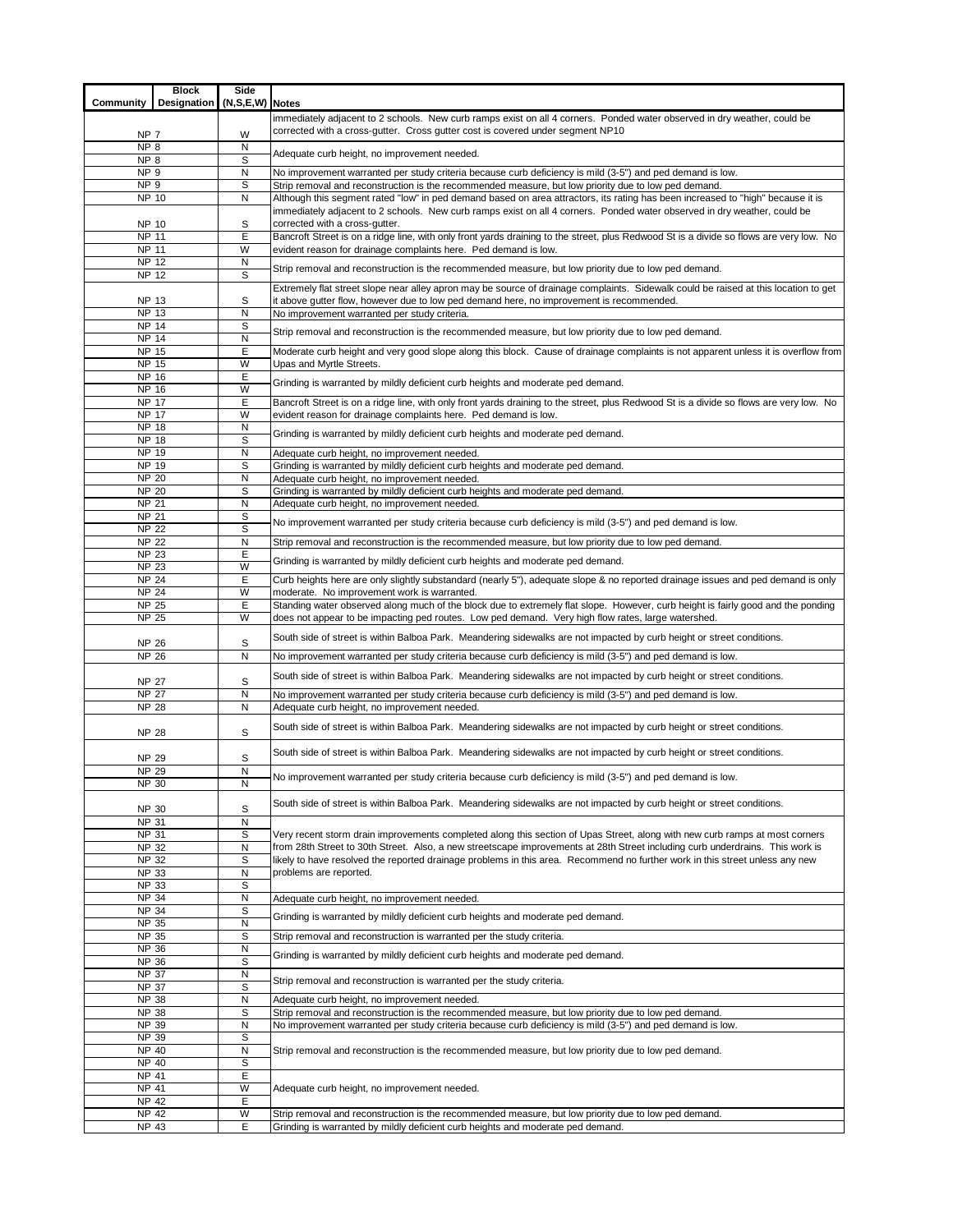| immediately adjacent to 2 schools. New curb ramps exist on all 4 corners. Ponded water observed in dry weather, could be<br>corrected with a cross-gutter. Cross gutter cost is covered under segment NP10<br>W<br>NP 7<br>NP <sub>8</sub><br>N<br>Adequate curb height, no improvement needed.<br>NP <sub>8</sub><br>S<br>NP <sub>9</sub><br>No improvement warranted per study criteria because curb deficiency is mild (3-5") and ped demand is low.<br>N<br>S<br>NP <sub>9</sub><br>Strip removal and reconstruction is the recommended measure, but low priority due to low ped demand.<br><b>NP 10</b><br>N<br>Although this segment rated "low" in ped demand based on area attractors, its rating has been increased to "high" because it is<br>immediately adjacent to 2 schools. New curb ramps exist on all 4 corners. Ponded water observed in dry weather, could be<br>corrected with a cross-gutter.<br>S<br>NP 10<br>E<br>NP 11<br>$\overline{\text{NP}}$ 11<br>W<br>evident reason for drainage complaints here. Ped demand is low.<br>NP 12<br>N<br>Strip removal and reconstruction is the recommended measure, but low priority due to low ped demand.<br><b>NP 12</b><br>S<br>Extremely flat street slope near alley apron may be source of drainage complaints. Sidewalk could be raised at this location to get<br>S<br><b>NP 13</b><br>it above gutter flow, however due to low ped demand here, no improvement is recommended.<br><b>NP 13</b><br>N<br>No improvement warranted per study criteria.<br>S<br>NP 14<br>Strip removal and reconstruction is the recommended measure, but low priority due to low ped demand.<br><b>NP 14</b><br>N<br>E<br>NP 15<br>NP 15<br>W<br>Upas and Myrtle Streets.<br>E<br>NP 16<br>Grinding is warranted by mildly deficient curb heights and moderate ped demand.<br>W<br><b>NP 16</b><br><b>NP 17</b><br>Ε<br>Bancroft Street is on a ridge line, with only front yards draining to the street, plus Redwood St is a divide so flows are very low. No<br>W<br><b>NP 17</b><br>evident reason for drainage complaints here. Ped demand is low.<br><b>NP 18</b><br>N<br>Grinding is warranted by mildly deficient curb heights and moderate ped demand.<br>S<br><b>NP 18</b><br>NP 19<br>N<br>Adequate curb height, no improvement needed.<br>NP 19<br>S<br>Grinding is warranted by mildly deficient curb heights and moderate ped demand.<br><b>NP 20</b><br>N<br>Adequate curb height, no improvement needed.<br><b>NP 20</b><br>S<br>Grinding is warranted by mildly deficient curb heights and moderate ped demand.<br><b>NP 21</b><br>N<br>Adequate curb height, no improvement needed.<br>S<br><b>NP 21</b><br>No improvement warranted per study criteria because curb deficiency is mild (3-5") and ped demand is low.<br>S<br><b>NP 22</b><br><b>NP 22</b><br>N<br>Strip removal and reconstruction is the recommended measure, but low priority due to low ped demand.<br>Ε<br><b>NP 23</b><br>Grinding is warranted by mildly deficient curb heights and moderate ped demand.<br><b>NP 23</b><br>W<br>Ε<br><b>NP 24</b><br>Curb heights here are only slightly substandard (nearly 5"), adequate slope & no reported drainage issues and ped demand is only<br><b>NP 24</b><br>W<br>moderate. No improvement work is warranted.<br>E<br><b>NP 25</b><br>Standing water observed along much of the block due to extremely flat slope. However, curb height is fairly good and the ponding<br><b>NP 25</b><br>W<br>does not appear to be impacting ped routes. Low ped demand. Very high flow rates, large watershed.<br>South side of street is within Balboa Park. Meandering sidewalks are not impacted by curb height or street conditions.<br>S<br><b>NP 26</b><br><b>NP 26</b><br>$\mathsf{N}$<br>No improvement warranted per study criteria because curb deficiency is mild (3-5") and ped demand is low.<br>South side of street is within Balboa Park. Meandering sidewalks are not impacted by curb height or street conditions.<br>S<br><b>NP 27</b><br><b>NP 27</b><br>N<br>No improvement warranted per study criteria because curb deficiency is mild (3-5") and ped demand is low.<br><b>NP 28</b><br>$\mathsf{N}$<br>Adequate curb height, no improvement needed.<br>South side of street is within Balboa Park. Meandering sidewalks are not impacted by curb height or street conditions.<br>S<br><b>NP 28</b><br>South side of street is within Balboa Park. Meandering sidewalks are not impacted by curb height or street conditions.<br>S<br><b>NP 29</b><br><b>NP 29</b><br>N<br>No improvement warranted per study criteria because curb deficiency is mild (3-5") and ped demand is low.<br>NP 30<br>N<br>South side of street is within Balboa Park. Meandering sidewalks are not impacted by curb height or street conditions.<br>S<br><b>NP 30</b><br>NP 31<br>N<br>S<br>NP 31<br>Very recent storm drain improvements completed along this section of Upas Street, along with new curb ramps at most corners<br><b>NP 32</b><br>N<br>from 28th Street to 30th Street. Also, a new streetscape improvements at 28th Street including curb underdrains. This work is<br>S<br>likely to have resolved the reported drainage problems in this area. Recommend no further work in this street unless any new<br><b>NP 32</b><br><b>NP 33</b><br>N<br>problems are reported.<br>S<br><b>NP 33</b><br><b>NP 34</b><br>N<br>Adequate curb height, no improvement needed.<br>S<br><b>NP 34</b><br>Grinding is warranted by mildly deficient curb heights and moderate ped demand.<br><b>NP 35</b><br>N<br><b>NP 35</b><br>S<br>Strip removal and reconstruction is warranted per the study criteria.<br>N<br>NP 36<br>Grinding is warranted by mildly deficient curb heights and moderate ped demand.<br>S<br><b>NP 36</b><br><b>NP 37</b><br>N<br>Strip removal and reconstruction is warranted per the study criteria.<br>S<br><b>NP 37</b><br><b>NP 38</b><br>N<br>Adequate curb height, no improvement needed.<br><b>NP 38</b><br>S<br>Strip removal and reconstruction is the recommended measure, but low priority due to low ped demand.<br><b>NP 39</b><br>N<br>No improvement warranted per study criteria because curb deficiency is mild (3-5") and ped demand is low.<br>S<br>NP 39<br>$\overline{NP}$ 40<br>N<br>Strip removal and reconstruction is the recommended measure, but low priority due to low ped demand.<br>S<br>NP 40<br>Ε<br>NP 41<br>W<br>NP 41<br>Adequate curb height, no improvement needed.<br>NP 42<br>E<br>W<br><b>NP 42</b><br>Strip removal and reconstruction is the recommended measure, but low priority due to low ped demand.<br><b>NP 43</b><br>E<br>Grinding is warranted by mildly deficient curb heights and moderate ped demand. | Community | <b>Block</b><br>Designation | Side<br>(N,S,E,W) Notes |                                                                                                                                         |  |  |  |  |  |  |  |
|-----------------------------------------------------------------------------------------------------------------------------------------------------------------------------------------------------------------------------------------------------------------------------------------------------------------------------------------------------------------------------------------------------------------------------------------------------------------------------------------------------------------------------------------------------------------------------------------------------------------------------------------------------------------------------------------------------------------------------------------------------------------------------------------------------------------------------------------------------------------------------------------------------------------------------------------------------------------------------------------------------------------------------------------------------------------------------------------------------------------------------------------------------------------------------------------------------------------------------------------------------------------------------------------------------------------------------------------------------------------------------------------------------------------------------------------------------------------------------------------------------------------------------------------------------------------------------------------------------------------------------------------------------------------------------------------------------------------------------------------------------------------------------------------------------------------------------------------------------------------------------------------------------------------------------------------------------------------------------------------------------------------------------------------------------------------------------------------------------------------------------------------------------------------------------------------------------------------------------------------------------------------------------------------------------------------------------------------------------------------------------------------------------------------------------------------------------------------------------------------------------------------------------------------------------------------------------------------------------------------------------------------------------------------------------------------------------------------------------------------------------------------------------------------------------------------------------------------------------------------------------------------------------------------------------------------------------------------------------------------------------------------------------------------------------------------------------------------------------------------------------------------------------------------------------------------------------------------------------------------------------------------------------------------------------------------------------------------------------------------------------------------------------------------------------------------------------------------------------------------------------------------------------------------------------------------------------------------------------------------------------------------------------------------------------------------------------------------------------------------------------------------------------------------------------------------------------------------------------------------------------------------------------------------------------------------------------------------------------------------------------------------------------------------------------------------------------------------------------------------------------------------------------------------------------------------------------------------------------------------------------------------------------------------------------------------------------------------------------------------------------------------------------------------------------------------------------------------------------------------------------------------------------------------------------------------------------------------------------------------------------------------------------------------------------------------------------------------------------------------------------------------------------------------------------------------------------------------------------------------------------------------------------------------------------------------------------------------------------------------------------------------------------------------------------------------------------------------------------------------------------------------------------------------------------------------------------------------------------------------------------------------------------------------------------------------------------------------------------------------------------------------------------------------------------------------------------------------------------------------------------------------------------------------------------------------------------------------------------------------------------------------------------------------------------------------------------------------------------------------------------------------------------------------------------------------------------------------------------------------------------------------------------------------------------------------------------------------------------------------------------------------------------------------------------------------------------------------------------------------------------------------------------------------------------------------------------------------------------------------------------------------------------------------------------------------------------------------------------------------------------------------------------------------------------------------------------------------------------------------------------------------------------------------------------------------------------------------------------------------------------------------------------------------------------------------------------------------------------------------------------------------------------|-----------|-----------------------------|-------------------------|-----------------------------------------------------------------------------------------------------------------------------------------|--|--|--|--|--|--|--|
|                                                                                                                                                                                                                                                                                                                                                                                                                                                                                                                                                                                                                                                                                                                                                                                                                                                                                                                                                                                                                                                                                                                                                                                                                                                                                                                                                                                                                                                                                                                                                                                                                                                                                                                                                                                                                                                                                                                                                                                                                                                                                                                                                                                                                                                                                                                                                                                                                                                                                                                                                                                                                                                                                                                                                                                                                                                                                                                                                                                                                                                                                                                                                                                                                                                                                                                                                                                                                                                                                                                                                                                                                                                                                                                                                                                                                                                                                                                                                                                                                                                                                                                                                                                                                                                                                                                                                                                                                                                                                                                                                                                                                                                                                                                                                                                                                                                                                                                                                                                                                                                                                                                                                                                                                                                                                                                                                                                                                                                                                                                                                                                                                                                                                                                                                                                                                                                                                                                                                                                                                                                                                                                                                                                                                                                                                                                                                                                                                                                                                                                                                                                                                                                                                                                                                                             |           |                             |                         |                                                                                                                                         |  |  |  |  |  |  |  |
|                                                                                                                                                                                                                                                                                                                                                                                                                                                                                                                                                                                                                                                                                                                                                                                                                                                                                                                                                                                                                                                                                                                                                                                                                                                                                                                                                                                                                                                                                                                                                                                                                                                                                                                                                                                                                                                                                                                                                                                                                                                                                                                                                                                                                                                                                                                                                                                                                                                                                                                                                                                                                                                                                                                                                                                                                                                                                                                                                                                                                                                                                                                                                                                                                                                                                                                                                                                                                                                                                                                                                                                                                                                                                                                                                                                                                                                                                                                                                                                                                                                                                                                                                                                                                                                                                                                                                                                                                                                                                                                                                                                                                                                                                                                                                                                                                                                                                                                                                                                                                                                                                                                                                                                                                                                                                                                                                                                                                                                                                                                                                                                                                                                                                                                                                                                                                                                                                                                                                                                                                                                                                                                                                                                                                                                                                                                                                                                                                                                                                                                                                                                                                                                                                                                                                                             |           |                             |                         |                                                                                                                                         |  |  |  |  |  |  |  |
|                                                                                                                                                                                                                                                                                                                                                                                                                                                                                                                                                                                                                                                                                                                                                                                                                                                                                                                                                                                                                                                                                                                                                                                                                                                                                                                                                                                                                                                                                                                                                                                                                                                                                                                                                                                                                                                                                                                                                                                                                                                                                                                                                                                                                                                                                                                                                                                                                                                                                                                                                                                                                                                                                                                                                                                                                                                                                                                                                                                                                                                                                                                                                                                                                                                                                                                                                                                                                                                                                                                                                                                                                                                                                                                                                                                                                                                                                                                                                                                                                                                                                                                                                                                                                                                                                                                                                                                                                                                                                                                                                                                                                                                                                                                                                                                                                                                                                                                                                                                                                                                                                                                                                                                                                                                                                                                                                                                                                                                                                                                                                                                                                                                                                                                                                                                                                                                                                                                                                                                                                                                                                                                                                                                                                                                                                                                                                                                                                                                                                                                                                                                                                                                                                                                                                                             |           |                             |                         |                                                                                                                                         |  |  |  |  |  |  |  |
|                                                                                                                                                                                                                                                                                                                                                                                                                                                                                                                                                                                                                                                                                                                                                                                                                                                                                                                                                                                                                                                                                                                                                                                                                                                                                                                                                                                                                                                                                                                                                                                                                                                                                                                                                                                                                                                                                                                                                                                                                                                                                                                                                                                                                                                                                                                                                                                                                                                                                                                                                                                                                                                                                                                                                                                                                                                                                                                                                                                                                                                                                                                                                                                                                                                                                                                                                                                                                                                                                                                                                                                                                                                                                                                                                                                                                                                                                                                                                                                                                                                                                                                                                                                                                                                                                                                                                                                                                                                                                                                                                                                                                                                                                                                                                                                                                                                                                                                                                                                                                                                                                                                                                                                                                                                                                                                                                                                                                                                                                                                                                                                                                                                                                                                                                                                                                                                                                                                                                                                                                                                                                                                                                                                                                                                                                                                                                                                                                                                                                                                                                                                                                                                                                                                                                                             |           |                             |                         |                                                                                                                                         |  |  |  |  |  |  |  |
|                                                                                                                                                                                                                                                                                                                                                                                                                                                                                                                                                                                                                                                                                                                                                                                                                                                                                                                                                                                                                                                                                                                                                                                                                                                                                                                                                                                                                                                                                                                                                                                                                                                                                                                                                                                                                                                                                                                                                                                                                                                                                                                                                                                                                                                                                                                                                                                                                                                                                                                                                                                                                                                                                                                                                                                                                                                                                                                                                                                                                                                                                                                                                                                                                                                                                                                                                                                                                                                                                                                                                                                                                                                                                                                                                                                                                                                                                                                                                                                                                                                                                                                                                                                                                                                                                                                                                                                                                                                                                                                                                                                                                                                                                                                                                                                                                                                                                                                                                                                                                                                                                                                                                                                                                                                                                                                                                                                                                                                                                                                                                                                                                                                                                                                                                                                                                                                                                                                                                                                                                                                                                                                                                                                                                                                                                                                                                                                                                                                                                                                                                                                                                                                                                                                                                                             |           |                             |                         |                                                                                                                                         |  |  |  |  |  |  |  |
|                                                                                                                                                                                                                                                                                                                                                                                                                                                                                                                                                                                                                                                                                                                                                                                                                                                                                                                                                                                                                                                                                                                                                                                                                                                                                                                                                                                                                                                                                                                                                                                                                                                                                                                                                                                                                                                                                                                                                                                                                                                                                                                                                                                                                                                                                                                                                                                                                                                                                                                                                                                                                                                                                                                                                                                                                                                                                                                                                                                                                                                                                                                                                                                                                                                                                                                                                                                                                                                                                                                                                                                                                                                                                                                                                                                                                                                                                                                                                                                                                                                                                                                                                                                                                                                                                                                                                                                                                                                                                                                                                                                                                                                                                                                                                                                                                                                                                                                                                                                                                                                                                                                                                                                                                                                                                                                                                                                                                                                                                                                                                                                                                                                                                                                                                                                                                                                                                                                                                                                                                                                                                                                                                                                                                                                                                                                                                                                                                                                                                                                                                                                                                                                                                                                                                                             |           |                             |                         |                                                                                                                                         |  |  |  |  |  |  |  |
|                                                                                                                                                                                                                                                                                                                                                                                                                                                                                                                                                                                                                                                                                                                                                                                                                                                                                                                                                                                                                                                                                                                                                                                                                                                                                                                                                                                                                                                                                                                                                                                                                                                                                                                                                                                                                                                                                                                                                                                                                                                                                                                                                                                                                                                                                                                                                                                                                                                                                                                                                                                                                                                                                                                                                                                                                                                                                                                                                                                                                                                                                                                                                                                                                                                                                                                                                                                                                                                                                                                                                                                                                                                                                                                                                                                                                                                                                                                                                                                                                                                                                                                                                                                                                                                                                                                                                                                                                                                                                                                                                                                                                                                                                                                                                                                                                                                                                                                                                                                                                                                                                                                                                                                                                                                                                                                                                                                                                                                                                                                                                                                                                                                                                                                                                                                                                                                                                                                                                                                                                                                                                                                                                                                                                                                                                                                                                                                                                                                                                                                                                                                                                                                                                                                                                                             |           |                             |                         |                                                                                                                                         |  |  |  |  |  |  |  |
|                                                                                                                                                                                                                                                                                                                                                                                                                                                                                                                                                                                                                                                                                                                                                                                                                                                                                                                                                                                                                                                                                                                                                                                                                                                                                                                                                                                                                                                                                                                                                                                                                                                                                                                                                                                                                                                                                                                                                                                                                                                                                                                                                                                                                                                                                                                                                                                                                                                                                                                                                                                                                                                                                                                                                                                                                                                                                                                                                                                                                                                                                                                                                                                                                                                                                                                                                                                                                                                                                                                                                                                                                                                                                                                                                                                                                                                                                                                                                                                                                                                                                                                                                                                                                                                                                                                                                                                                                                                                                                                                                                                                                                                                                                                                                                                                                                                                                                                                                                                                                                                                                                                                                                                                                                                                                                                                                                                                                                                                                                                                                                                                                                                                                                                                                                                                                                                                                                                                                                                                                                                                                                                                                                                                                                                                                                                                                                                                                                                                                                                                                                                                                                                                                                                                                                             |           |                             |                         |                                                                                                                                         |  |  |  |  |  |  |  |
|                                                                                                                                                                                                                                                                                                                                                                                                                                                                                                                                                                                                                                                                                                                                                                                                                                                                                                                                                                                                                                                                                                                                                                                                                                                                                                                                                                                                                                                                                                                                                                                                                                                                                                                                                                                                                                                                                                                                                                                                                                                                                                                                                                                                                                                                                                                                                                                                                                                                                                                                                                                                                                                                                                                                                                                                                                                                                                                                                                                                                                                                                                                                                                                                                                                                                                                                                                                                                                                                                                                                                                                                                                                                                                                                                                                                                                                                                                                                                                                                                                                                                                                                                                                                                                                                                                                                                                                                                                                                                                                                                                                                                                                                                                                                                                                                                                                                                                                                                                                                                                                                                                                                                                                                                                                                                                                                                                                                                                                                                                                                                                                                                                                                                                                                                                                                                                                                                                                                                                                                                                                                                                                                                                                                                                                                                                                                                                                                                                                                                                                                                                                                                                                                                                                                                                             |           |                             |                         | Bancroft Street is on a ridge line, with only front yards draining to the street, plus Redwood St is a divide so flows are very low. No |  |  |  |  |  |  |  |
|                                                                                                                                                                                                                                                                                                                                                                                                                                                                                                                                                                                                                                                                                                                                                                                                                                                                                                                                                                                                                                                                                                                                                                                                                                                                                                                                                                                                                                                                                                                                                                                                                                                                                                                                                                                                                                                                                                                                                                                                                                                                                                                                                                                                                                                                                                                                                                                                                                                                                                                                                                                                                                                                                                                                                                                                                                                                                                                                                                                                                                                                                                                                                                                                                                                                                                                                                                                                                                                                                                                                                                                                                                                                                                                                                                                                                                                                                                                                                                                                                                                                                                                                                                                                                                                                                                                                                                                                                                                                                                                                                                                                                                                                                                                                                                                                                                                                                                                                                                                                                                                                                                                                                                                                                                                                                                                                                                                                                                                                                                                                                                                                                                                                                                                                                                                                                                                                                                                                                                                                                                                                                                                                                                                                                                                                                                                                                                                                                                                                                                                                                                                                                                                                                                                                                                             |           |                             |                         |                                                                                                                                         |  |  |  |  |  |  |  |
|                                                                                                                                                                                                                                                                                                                                                                                                                                                                                                                                                                                                                                                                                                                                                                                                                                                                                                                                                                                                                                                                                                                                                                                                                                                                                                                                                                                                                                                                                                                                                                                                                                                                                                                                                                                                                                                                                                                                                                                                                                                                                                                                                                                                                                                                                                                                                                                                                                                                                                                                                                                                                                                                                                                                                                                                                                                                                                                                                                                                                                                                                                                                                                                                                                                                                                                                                                                                                                                                                                                                                                                                                                                                                                                                                                                                                                                                                                                                                                                                                                                                                                                                                                                                                                                                                                                                                                                                                                                                                                                                                                                                                                                                                                                                                                                                                                                                                                                                                                                                                                                                                                                                                                                                                                                                                                                                                                                                                                                                                                                                                                                                                                                                                                                                                                                                                                                                                                                                                                                                                                                                                                                                                                                                                                                                                                                                                                                                                                                                                                                                                                                                                                                                                                                                                                             |           |                             |                         |                                                                                                                                         |  |  |  |  |  |  |  |
|                                                                                                                                                                                                                                                                                                                                                                                                                                                                                                                                                                                                                                                                                                                                                                                                                                                                                                                                                                                                                                                                                                                                                                                                                                                                                                                                                                                                                                                                                                                                                                                                                                                                                                                                                                                                                                                                                                                                                                                                                                                                                                                                                                                                                                                                                                                                                                                                                                                                                                                                                                                                                                                                                                                                                                                                                                                                                                                                                                                                                                                                                                                                                                                                                                                                                                                                                                                                                                                                                                                                                                                                                                                                                                                                                                                                                                                                                                                                                                                                                                                                                                                                                                                                                                                                                                                                                                                                                                                                                                                                                                                                                                                                                                                                                                                                                                                                                                                                                                                                                                                                                                                                                                                                                                                                                                                                                                                                                                                                                                                                                                                                                                                                                                                                                                                                                                                                                                                                                                                                                                                                                                                                                                                                                                                                                                                                                                                                                                                                                                                                                                                                                                                                                                                                                                             |           |                             |                         |                                                                                                                                         |  |  |  |  |  |  |  |
|                                                                                                                                                                                                                                                                                                                                                                                                                                                                                                                                                                                                                                                                                                                                                                                                                                                                                                                                                                                                                                                                                                                                                                                                                                                                                                                                                                                                                                                                                                                                                                                                                                                                                                                                                                                                                                                                                                                                                                                                                                                                                                                                                                                                                                                                                                                                                                                                                                                                                                                                                                                                                                                                                                                                                                                                                                                                                                                                                                                                                                                                                                                                                                                                                                                                                                                                                                                                                                                                                                                                                                                                                                                                                                                                                                                                                                                                                                                                                                                                                                                                                                                                                                                                                                                                                                                                                                                                                                                                                                                                                                                                                                                                                                                                                                                                                                                                                                                                                                                                                                                                                                                                                                                                                                                                                                                                                                                                                                                                                                                                                                                                                                                                                                                                                                                                                                                                                                                                                                                                                                                                                                                                                                                                                                                                                                                                                                                                                                                                                                                                                                                                                                                                                                                                                                             |           |                             |                         |                                                                                                                                         |  |  |  |  |  |  |  |
|                                                                                                                                                                                                                                                                                                                                                                                                                                                                                                                                                                                                                                                                                                                                                                                                                                                                                                                                                                                                                                                                                                                                                                                                                                                                                                                                                                                                                                                                                                                                                                                                                                                                                                                                                                                                                                                                                                                                                                                                                                                                                                                                                                                                                                                                                                                                                                                                                                                                                                                                                                                                                                                                                                                                                                                                                                                                                                                                                                                                                                                                                                                                                                                                                                                                                                                                                                                                                                                                                                                                                                                                                                                                                                                                                                                                                                                                                                                                                                                                                                                                                                                                                                                                                                                                                                                                                                                                                                                                                                                                                                                                                                                                                                                                                                                                                                                                                                                                                                                                                                                                                                                                                                                                                                                                                                                                                                                                                                                                                                                                                                                                                                                                                                                                                                                                                                                                                                                                                                                                                                                                                                                                                                                                                                                                                                                                                                                                                                                                                                                                                                                                                                                                                                                                                                             |           |                             |                         |                                                                                                                                         |  |  |  |  |  |  |  |
|                                                                                                                                                                                                                                                                                                                                                                                                                                                                                                                                                                                                                                                                                                                                                                                                                                                                                                                                                                                                                                                                                                                                                                                                                                                                                                                                                                                                                                                                                                                                                                                                                                                                                                                                                                                                                                                                                                                                                                                                                                                                                                                                                                                                                                                                                                                                                                                                                                                                                                                                                                                                                                                                                                                                                                                                                                                                                                                                                                                                                                                                                                                                                                                                                                                                                                                                                                                                                                                                                                                                                                                                                                                                                                                                                                                                                                                                                                                                                                                                                                                                                                                                                                                                                                                                                                                                                                                                                                                                                                                                                                                                                                                                                                                                                                                                                                                                                                                                                                                                                                                                                                                                                                                                                                                                                                                                                                                                                                                                                                                                                                                                                                                                                                                                                                                                                                                                                                                                                                                                                                                                                                                                                                                                                                                                                                                                                                                                                                                                                                                                                                                                                                                                                                                                                                             |           |                             |                         |                                                                                                                                         |  |  |  |  |  |  |  |
|                                                                                                                                                                                                                                                                                                                                                                                                                                                                                                                                                                                                                                                                                                                                                                                                                                                                                                                                                                                                                                                                                                                                                                                                                                                                                                                                                                                                                                                                                                                                                                                                                                                                                                                                                                                                                                                                                                                                                                                                                                                                                                                                                                                                                                                                                                                                                                                                                                                                                                                                                                                                                                                                                                                                                                                                                                                                                                                                                                                                                                                                                                                                                                                                                                                                                                                                                                                                                                                                                                                                                                                                                                                                                                                                                                                                                                                                                                                                                                                                                                                                                                                                                                                                                                                                                                                                                                                                                                                                                                                                                                                                                                                                                                                                                                                                                                                                                                                                                                                                                                                                                                                                                                                                                                                                                                                                                                                                                                                                                                                                                                                                                                                                                                                                                                                                                                                                                                                                                                                                                                                                                                                                                                                                                                                                                                                                                                                                                                                                                                                                                                                                                                                                                                                                                                             |           |                             |                         | Moderate curb height and very good slope along this block. Cause of drainage complaints is not apparent unless it is overflow from      |  |  |  |  |  |  |  |
|                                                                                                                                                                                                                                                                                                                                                                                                                                                                                                                                                                                                                                                                                                                                                                                                                                                                                                                                                                                                                                                                                                                                                                                                                                                                                                                                                                                                                                                                                                                                                                                                                                                                                                                                                                                                                                                                                                                                                                                                                                                                                                                                                                                                                                                                                                                                                                                                                                                                                                                                                                                                                                                                                                                                                                                                                                                                                                                                                                                                                                                                                                                                                                                                                                                                                                                                                                                                                                                                                                                                                                                                                                                                                                                                                                                                                                                                                                                                                                                                                                                                                                                                                                                                                                                                                                                                                                                                                                                                                                                                                                                                                                                                                                                                                                                                                                                                                                                                                                                                                                                                                                                                                                                                                                                                                                                                                                                                                                                                                                                                                                                                                                                                                                                                                                                                                                                                                                                                                                                                                                                                                                                                                                                                                                                                                                                                                                                                                                                                                                                                                                                                                                                                                                                                                                             |           |                             |                         |                                                                                                                                         |  |  |  |  |  |  |  |
|                                                                                                                                                                                                                                                                                                                                                                                                                                                                                                                                                                                                                                                                                                                                                                                                                                                                                                                                                                                                                                                                                                                                                                                                                                                                                                                                                                                                                                                                                                                                                                                                                                                                                                                                                                                                                                                                                                                                                                                                                                                                                                                                                                                                                                                                                                                                                                                                                                                                                                                                                                                                                                                                                                                                                                                                                                                                                                                                                                                                                                                                                                                                                                                                                                                                                                                                                                                                                                                                                                                                                                                                                                                                                                                                                                                                                                                                                                                                                                                                                                                                                                                                                                                                                                                                                                                                                                                                                                                                                                                                                                                                                                                                                                                                                                                                                                                                                                                                                                                                                                                                                                                                                                                                                                                                                                                                                                                                                                                                                                                                                                                                                                                                                                                                                                                                                                                                                                                                                                                                                                                                                                                                                                                                                                                                                                                                                                                                                                                                                                                                                                                                                                                                                                                                                                             |           |                             |                         |                                                                                                                                         |  |  |  |  |  |  |  |
|                                                                                                                                                                                                                                                                                                                                                                                                                                                                                                                                                                                                                                                                                                                                                                                                                                                                                                                                                                                                                                                                                                                                                                                                                                                                                                                                                                                                                                                                                                                                                                                                                                                                                                                                                                                                                                                                                                                                                                                                                                                                                                                                                                                                                                                                                                                                                                                                                                                                                                                                                                                                                                                                                                                                                                                                                                                                                                                                                                                                                                                                                                                                                                                                                                                                                                                                                                                                                                                                                                                                                                                                                                                                                                                                                                                                                                                                                                                                                                                                                                                                                                                                                                                                                                                                                                                                                                                                                                                                                                                                                                                                                                                                                                                                                                                                                                                                                                                                                                                                                                                                                                                                                                                                                                                                                                                                                                                                                                                                                                                                                                                                                                                                                                                                                                                                                                                                                                                                                                                                                                                                                                                                                                                                                                                                                                                                                                                                                                                                                                                                                                                                                                                                                                                                                                             |           |                             |                         |                                                                                                                                         |  |  |  |  |  |  |  |
|                                                                                                                                                                                                                                                                                                                                                                                                                                                                                                                                                                                                                                                                                                                                                                                                                                                                                                                                                                                                                                                                                                                                                                                                                                                                                                                                                                                                                                                                                                                                                                                                                                                                                                                                                                                                                                                                                                                                                                                                                                                                                                                                                                                                                                                                                                                                                                                                                                                                                                                                                                                                                                                                                                                                                                                                                                                                                                                                                                                                                                                                                                                                                                                                                                                                                                                                                                                                                                                                                                                                                                                                                                                                                                                                                                                                                                                                                                                                                                                                                                                                                                                                                                                                                                                                                                                                                                                                                                                                                                                                                                                                                                                                                                                                                                                                                                                                                                                                                                                                                                                                                                                                                                                                                                                                                                                                                                                                                                                                                                                                                                                                                                                                                                                                                                                                                                                                                                                                                                                                                                                                                                                                                                                                                                                                                                                                                                                                                                                                                                                                                                                                                                                                                                                                                                             |           |                             |                         |                                                                                                                                         |  |  |  |  |  |  |  |
|                                                                                                                                                                                                                                                                                                                                                                                                                                                                                                                                                                                                                                                                                                                                                                                                                                                                                                                                                                                                                                                                                                                                                                                                                                                                                                                                                                                                                                                                                                                                                                                                                                                                                                                                                                                                                                                                                                                                                                                                                                                                                                                                                                                                                                                                                                                                                                                                                                                                                                                                                                                                                                                                                                                                                                                                                                                                                                                                                                                                                                                                                                                                                                                                                                                                                                                                                                                                                                                                                                                                                                                                                                                                                                                                                                                                                                                                                                                                                                                                                                                                                                                                                                                                                                                                                                                                                                                                                                                                                                                                                                                                                                                                                                                                                                                                                                                                                                                                                                                                                                                                                                                                                                                                                                                                                                                                                                                                                                                                                                                                                                                                                                                                                                                                                                                                                                                                                                                                                                                                                                                                                                                                                                                                                                                                                                                                                                                                                                                                                                                                                                                                                                                                                                                                                                             |           |                             |                         |                                                                                                                                         |  |  |  |  |  |  |  |
|                                                                                                                                                                                                                                                                                                                                                                                                                                                                                                                                                                                                                                                                                                                                                                                                                                                                                                                                                                                                                                                                                                                                                                                                                                                                                                                                                                                                                                                                                                                                                                                                                                                                                                                                                                                                                                                                                                                                                                                                                                                                                                                                                                                                                                                                                                                                                                                                                                                                                                                                                                                                                                                                                                                                                                                                                                                                                                                                                                                                                                                                                                                                                                                                                                                                                                                                                                                                                                                                                                                                                                                                                                                                                                                                                                                                                                                                                                                                                                                                                                                                                                                                                                                                                                                                                                                                                                                                                                                                                                                                                                                                                                                                                                                                                                                                                                                                                                                                                                                                                                                                                                                                                                                                                                                                                                                                                                                                                                                                                                                                                                                                                                                                                                                                                                                                                                                                                                                                                                                                                                                                                                                                                                                                                                                                                                                                                                                                                                                                                                                                                                                                                                                                                                                                                                             |           |                             |                         |                                                                                                                                         |  |  |  |  |  |  |  |
|                                                                                                                                                                                                                                                                                                                                                                                                                                                                                                                                                                                                                                                                                                                                                                                                                                                                                                                                                                                                                                                                                                                                                                                                                                                                                                                                                                                                                                                                                                                                                                                                                                                                                                                                                                                                                                                                                                                                                                                                                                                                                                                                                                                                                                                                                                                                                                                                                                                                                                                                                                                                                                                                                                                                                                                                                                                                                                                                                                                                                                                                                                                                                                                                                                                                                                                                                                                                                                                                                                                                                                                                                                                                                                                                                                                                                                                                                                                                                                                                                                                                                                                                                                                                                                                                                                                                                                                                                                                                                                                                                                                                                                                                                                                                                                                                                                                                                                                                                                                                                                                                                                                                                                                                                                                                                                                                                                                                                                                                                                                                                                                                                                                                                                                                                                                                                                                                                                                                                                                                                                                                                                                                                                                                                                                                                                                                                                                                                                                                                                                                                                                                                                                                                                                                                                             |           |                             |                         |                                                                                                                                         |  |  |  |  |  |  |  |
|                                                                                                                                                                                                                                                                                                                                                                                                                                                                                                                                                                                                                                                                                                                                                                                                                                                                                                                                                                                                                                                                                                                                                                                                                                                                                                                                                                                                                                                                                                                                                                                                                                                                                                                                                                                                                                                                                                                                                                                                                                                                                                                                                                                                                                                                                                                                                                                                                                                                                                                                                                                                                                                                                                                                                                                                                                                                                                                                                                                                                                                                                                                                                                                                                                                                                                                                                                                                                                                                                                                                                                                                                                                                                                                                                                                                                                                                                                                                                                                                                                                                                                                                                                                                                                                                                                                                                                                                                                                                                                                                                                                                                                                                                                                                                                                                                                                                                                                                                                                                                                                                                                                                                                                                                                                                                                                                                                                                                                                                                                                                                                                                                                                                                                                                                                                                                                                                                                                                                                                                                                                                                                                                                                                                                                                                                                                                                                                                                                                                                                                                                                                                                                                                                                                                                                             |           |                             |                         |                                                                                                                                         |  |  |  |  |  |  |  |
|                                                                                                                                                                                                                                                                                                                                                                                                                                                                                                                                                                                                                                                                                                                                                                                                                                                                                                                                                                                                                                                                                                                                                                                                                                                                                                                                                                                                                                                                                                                                                                                                                                                                                                                                                                                                                                                                                                                                                                                                                                                                                                                                                                                                                                                                                                                                                                                                                                                                                                                                                                                                                                                                                                                                                                                                                                                                                                                                                                                                                                                                                                                                                                                                                                                                                                                                                                                                                                                                                                                                                                                                                                                                                                                                                                                                                                                                                                                                                                                                                                                                                                                                                                                                                                                                                                                                                                                                                                                                                                                                                                                                                                                                                                                                                                                                                                                                                                                                                                                                                                                                                                                                                                                                                                                                                                                                                                                                                                                                                                                                                                                                                                                                                                                                                                                                                                                                                                                                                                                                                                                                                                                                                                                                                                                                                                                                                                                                                                                                                                                                                                                                                                                                                                                                                                             |           |                             |                         |                                                                                                                                         |  |  |  |  |  |  |  |
|                                                                                                                                                                                                                                                                                                                                                                                                                                                                                                                                                                                                                                                                                                                                                                                                                                                                                                                                                                                                                                                                                                                                                                                                                                                                                                                                                                                                                                                                                                                                                                                                                                                                                                                                                                                                                                                                                                                                                                                                                                                                                                                                                                                                                                                                                                                                                                                                                                                                                                                                                                                                                                                                                                                                                                                                                                                                                                                                                                                                                                                                                                                                                                                                                                                                                                                                                                                                                                                                                                                                                                                                                                                                                                                                                                                                                                                                                                                                                                                                                                                                                                                                                                                                                                                                                                                                                                                                                                                                                                                                                                                                                                                                                                                                                                                                                                                                                                                                                                                                                                                                                                                                                                                                                                                                                                                                                                                                                                                                                                                                                                                                                                                                                                                                                                                                                                                                                                                                                                                                                                                                                                                                                                                                                                                                                                                                                                                                                                                                                                                                                                                                                                                                                                                                                                             |           |                             |                         |                                                                                                                                         |  |  |  |  |  |  |  |
|                                                                                                                                                                                                                                                                                                                                                                                                                                                                                                                                                                                                                                                                                                                                                                                                                                                                                                                                                                                                                                                                                                                                                                                                                                                                                                                                                                                                                                                                                                                                                                                                                                                                                                                                                                                                                                                                                                                                                                                                                                                                                                                                                                                                                                                                                                                                                                                                                                                                                                                                                                                                                                                                                                                                                                                                                                                                                                                                                                                                                                                                                                                                                                                                                                                                                                                                                                                                                                                                                                                                                                                                                                                                                                                                                                                                                                                                                                                                                                                                                                                                                                                                                                                                                                                                                                                                                                                                                                                                                                                                                                                                                                                                                                                                                                                                                                                                                                                                                                                                                                                                                                                                                                                                                                                                                                                                                                                                                                                                                                                                                                                                                                                                                                                                                                                                                                                                                                                                                                                                                                                                                                                                                                                                                                                                                                                                                                                                                                                                                                                                                                                                                                                                                                                                                                             |           |                             |                         |                                                                                                                                         |  |  |  |  |  |  |  |
|                                                                                                                                                                                                                                                                                                                                                                                                                                                                                                                                                                                                                                                                                                                                                                                                                                                                                                                                                                                                                                                                                                                                                                                                                                                                                                                                                                                                                                                                                                                                                                                                                                                                                                                                                                                                                                                                                                                                                                                                                                                                                                                                                                                                                                                                                                                                                                                                                                                                                                                                                                                                                                                                                                                                                                                                                                                                                                                                                                                                                                                                                                                                                                                                                                                                                                                                                                                                                                                                                                                                                                                                                                                                                                                                                                                                                                                                                                                                                                                                                                                                                                                                                                                                                                                                                                                                                                                                                                                                                                                                                                                                                                                                                                                                                                                                                                                                                                                                                                                                                                                                                                                                                                                                                                                                                                                                                                                                                                                                                                                                                                                                                                                                                                                                                                                                                                                                                                                                                                                                                                                                                                                                                                                                                                                                                                                                                                                                                                                                                                                                                                                                                                                                                                                                                                             |           |                             |                         |                                                                                                                                         |  |  |  |  |  |  |  |
|                                                                                                                                                                                                                                                                                                                                                                                                                                                                                                                                                                                                                                                                                                                                                                                                                                                                                                                                                                                                                                                                                                                                                                                                                                                                                                                                                                                                                                                                                                                                                                                                                                                                                                                                                                                                                                                                                                                                                                                                                                                                                                                                                                                                                                                                                                                                                                                                                                                                                                                                                                                                                                                                                                                                                                                                                                                                                                                                                                                                                                                                                                                                                                                                                                                                                                                                                                                                                                                                                                                                                                                                                                                                                                                                                                                                                                                                                                                                                                                                                                                                                                                                                                                                                                                                                                                                                                                                                                                                                                                                                                                                                                                                                                                                                                                                                                                                                                                                                                                                                                                                                                                                                                                                                                                                                                                                                                                                                                                                                                                                                                                                                                                                                                                                                                                                                                                                                                                                                                                                                                                                                                                                                                                                                                                                                                                                                                                                                                                                                                                                                                                                                                                                                                                                                                             |           |                             |                         |                                                                                                                                         |  |  |  |  |  |  |  |
|                                                                                                                                                                                                                                                                                                                                                                                                                                                                                                                                                                                                                                                                                                                                                                                                                                                                                                                                                                                                                                                                                                                                                                                                                                                                                                                                                                                                                                                                                                                                                                                                                                                                                                                                                                                                                                                                                                                                                                                                                                                                                                                                                                                                                                                                                                                                                                                                                                                                                                                                                                                                                                                                                                                                                                                                                                                                                                                                                                                                                                                                                                                                                                                                                                                                                                                                                                                                                                                                                                                                                                                                                                                                                                                                                                                                                                                                                                                                                                                                                                                                                                                                                                                                                                                                                                                                                                                                                                                                                                                                                                                                                                                                                                                                                                                                                                                                                                                                                                                                                                                                                                                                                                                                                                                                                                                                                                                                                                                                                                                                                                                                                                                                                                                                                                                                                                                                                                                                                                                                                                                                                                                                                                                                                                                                                                                                                                                                                                                                                                                                                                                                                                                                                                                                                                             |           |                             |                         |                                                                                                                                         |  |  |  |  |  |  |  |
|                                                                                                                                                                                                                                                                                                                                                                                                                                                                                                                                                                                                                                                                                                                                                                                                                                                                                                                                                                                                                                                                                                                                                                                                                                                                                                                                                                                                                                                                                                                                                                                                                                                                                                                                                                                                                                                                                                                                                                                                                                                                                                                                                                                                                                                                                                                                                                                                                                                                                                                                                                                                                                                                                                                                                                                                                                                                                                                                                                                                                                                                                                                                                                                                                                                                                                                                                                                                                                                                                                                                                                                                                                                                                                                                                                                                                                                                                                                                                                                                                                                                                                                                                                                                                                                                                                                                                                                                                                                                                                                                                                                                                                                                                                                                                                                                                                                                                                                                                                                                                                                                                                                                                                                                                                                                                                                                                                                                                                                                                                                                                                                                                                                                                                                                                                                                                                                                                                                                                                                                                                                                                                                                                                                                                                                                                                                                                                                                                                                                                                                                                                                                                                                                                                                                                                             |           |                             |                         |                                                                                                                                         |  |  |  |  |  |  |  |
|                                                                                                                                                                                                                                                                                                                                                                                                                                                                                                                                                                                                                                                                                                                                                                                                                                                                                                                                                                                                                                                                                                                                                                                                                                                                                                                                                                                                                                                                                                                                                                                                                                                                                                                                                                                                                                                                                                                                                                                                                                                                                                                                                                                                                                                                                                                                                                                                                                                                                                                                                                                                                                                                                                                                                                                                                                                                                                                                                                                                                                                                                                                                                                                                                                                                                                                                                                                                                                                                                                                                                                                                                                                                                                                                                                                                                                                                                                                                                                                                                                                                                                                                                                                                                                                                                                                                                                                                                                                                                                                                                                                                                                                                                                                                                                                                                                                                                                                                                                                                                                                                                                                                                                                                                                                                                                                                                                                                                                                                                                                                                                                                                                                                                                                                                                                                                                                                                                                                                                                                                                                                                                                                                                                                                                                                                                                                                                                                                                                                                                                                                                                                                                                                                                                                                                             |           |                             |                         |                                                                                                                                         |  |  |  |  |  |  |  |
|                                                                                                                                                                                                                                                                                                                                                                                                                                                                                                                                                                                                                                                                                                                                                                                                                                                                                                                                                                                                                                                                                                                                                                                                                                                                                                                                                                                                                                                                                                                                                                                                                                                                                                                                                                                                                                                                                                                                                                                                                                                                                                                                                                                                                                                                                                                                                                                                                                                                                                                                                                                                                                                                                                                                                                                                                                                                                                                                                                                                                                                                                                                                                                                                                                                                                                                                                                                                                                                                                                                                                                                                                                                                                                                                                                                                                                                                                                                                                                                                                                                                                                                                                                                                                                                                                                                                                                                                                                                                                                                                                                                                                                                                                                                                                                                                                                                                                                                                                                                                                                                                                                                                                                                                                                                                                                                                                                                                                                                                                                                                                                                                                                                                                                                                                                                                                                                                                                                                                                                                                                                                                                                                                                                                                                                                                                                                                                                                                                                                                                                                                                                                                                                                                                                                                                             |           |                             |                         |                                                                                                                                         |  |  |  |  |  |  |  |
|                                                                                                                                                                                                                                                                                                                                                                                                                                                                                                                                                                                                                                                                                                                                                                                                                                                                                                                                                                                                                                                                                                                                                                                                                                                                                                                                                                                                                                                                                                                                                                                                                                                                                                                                                                                                                                                                                                                                                                                                                                                                                                                                                                                                                                                                                                                                                                                                                                                                                                                                                                                                                                                                                                                                                                                                                                                                                                                                                                                                                                                                                                                                                                                                                                                                                                                                                                                                                                                                                                                                                                                                                                                                                                                                                                                                                                                                                                                                                                                                                                                                                                                                                                                                                                                                                                                                                                                                                                                                                                                                                                                                                                                                                                                                                                                                                                                                                                                                                                                                                                                                                                                                                                                                                                                                                                                                                                                                                                                                                                                                                                                                                                                                                                                                                                                                                                                                                                                                                                                                                                                                                                                                                                                                                                                                                                                                                                                                                                                                                                                                                                                                                                                                                                                                                                             |           |                             |                         |                                                                                                                                         |  |  |  |  |  |  |  |
|                                                                                                                                                                                                                                                                                                                                                                                                                                                                                                                                                                                                                                                                                                                                                                                                                                                                                                                                                                                                                                                                                                                                                                                                                                                                                                                                                                                                                                                                                                                                                                                                                                                                                                                                                                                                                                                                                                                                                                                                                                                                                                                                                                                                                                                                                                                                                                                                                                                                                                                                                                                                                                                                                                                                                                                                                                                                                                                                                                                                                                                                                                                                                                                                                                                                                                                                                                                                                                                                                                                                                                                                                                                                                                                                                                                                                                                                                                                                                                                                                                                                                                                                                                                                                                                                                                                                                                                                                                                                                                                                                                                                                                                                                                                                                                                                                                                                                                                                                                                                                                                                                                                                                                                                                                                                                                                                                                                                                                                                                                                                                                                                                                                                                                                                                                                                                                                                                                                                                                                                                                                                                                                                                                                                                                                                                                                                                                                                                                                                                                                                                                                                                                                                                                                                                                             |           |                             |                         |                                                                                                                                         |  |  |  |  |  |  |  |
|                                                                                                                                                                                                                                                                                                                                                                                                                                                                                                                                                                                                                                                                                                                                                                                                                                                                                                                                                                                                                                                                                                                                                                                                                                                                                                                                                                                                                                                                                                                                                                                                                                                                                                                                                                                                                                                                                                                                                                                                                                                                                                                                                                                                                                                                                                                                                                                                                                                                                                                                                                                                                                                                                                                                                                                                                                                                                                                                                                                                                                                                                                                                                                                                                                                                                                                                                                                                                                                                                                                                                                                                                                                                                                                                                                                                                                                                                                                                                                                                                                                                                                                                                                                                                                                                                                                                                                                                                                                                                                                                                                                                                                                                                                                                                                                                                                                                                                                                                                                                                                                                                                                                                                                                                                                                                                                                                                                                                                                                                                                                                                                                                                                                                                                                                                                                                                                                                                                                                                                                                                                                                                                                                                                                                                                                                                                                                                                                                                                                                                                                                                                                                                                                                                                                                                             |           |                             |                         |                                                                                                                                         |  |  |  |  |  |  |  |
|                                                                                                                                                                                                                                                                                                                                                                                                                                                                                                                                                                                                                                                                                                                                                                                                                                                                                                                                                                                                                                                                                                                                                                                                                                                                                                                                                                                                                                                                                                                                                                                                                                                                                                                                                                                                                                                                                                                                                                                                                                                                                                                                                                                                                                                                                                                                                                                                                                                                                                                                                                                                                                                                                                                                                                                                                                                                                                                                                                                                                                                                                                                                                                                                                                                                                                                                                                                                                                                                                                                                                                                                                                                                                                                                                                                                                                                                                                                                                                                                                                                                                                                                                                                                                                                                                                                                                                                                                                                                                                                                                                                                                                                                                                                                                                                                                                                                                                                                                                                                                                                                                                                                                                                                                                                                                                                                                                                                                                                                                                                                                                                                                                                                                                                                                                                                                                                                                                                                                                                                                                                                                                                                                                                                                                                                                                                                                                                                                                                                                                                                                                                                                                                                                                                                                                             |           |                             |                         |                                                                                                                                         |  |  |  |  |  |  |  |
|                                                                                                                                                                                                                                                                                                                                                                                                                                                                                                                                                                                                                                                                                                                                                                                                                                                                                                                                                                                                                                                                                                                                                                                                                                                                                                                                                                                                                                                                                                                                                                                                                                                                                                                                                                                                                                                                                                                                                                                                                                                                                                                                                                                                                                                                                                                                                                                                                                                                                                                                                                                                                                                                                                                                                                                                                                                                                                                                                                                                                                                                                                                                                                                                                                                                                                                                                                                                                                                                                                                                                                                                                                                                                                                                                                                                                                                                                                                                                                                                                                                                                                                                                                                                                                                                                                                                                                                                                                                                                                                                                                                                                                                                                                                                                                                                                                                                                                                                                                                                                                                                                                                                                                                                                                                                                                                                                                                                                                                                                                                                                                                                                                                                                                                                                                                                                                                                                                                                                                                                                                                                                                                                                                                                                                                                                                                                                                                                                                                                                                                                                                                                                                                                                                                                                                             |           |                             |                         |                                                                                                                                         |  |  |  |  |  |  |  |
|                                                                                                                                                                                                                                                                                                                                                                                                                                                                                                                                                                                                                                                                                                                                                                                                                                                                                                                                                                                                                                                                                                                                                                                                                                                                                                                                                                                                                                                                                                                                                                                                                                                                                                                                                                                                                                                                                                                                                                                                                                                                                                                                                                                                                                                                                                                                                                                                                                                                                                                                                                                                                                                                                                                                                                                                                                                                                                                                                                                                                                                                                                                                                                                                                                                                                                                                                                                                                                                                                                                                                                                                                                                                                                                                                                                                                                                                                                                                                                                                                                                                                                                                                                                                                                                                                                                                                                                                                                                                                                                                                                                                                                                                                                                                                                                                                                                                                                                                                                                                                                                                                                                                                                                                                                                                                                                                                                                                                                                                                                                                                                                                                                                                                                                                                                                                                                                                                                                                                                                                                                                                                                                                                                                                                                                                                                                                                                                                                                                                                                                                                                                                                                                                                                                                                                             |           |                             |                         |                                                                                                                                         |  |  |  |  |  |  |  |
|                                                                                                                                                                                                                                                                                                                                                                                                                                                                                                                                                                                                                                                                                                                                                                                                                                                                                                                                                                                                                                                                                                                                                                                                                                                                                                                                                                                                                                                                                                                                                                                                                                                                                                                                                                                                                                                                                                                                                                                                                                                                                                                                                                                                                                                                                                                                                                                                                                                                                                                                                                                                                                                                                                                                                                                                                                                                                                                                                                                                                                                                                                                                                                                                                                                                                                                                                                                                                                                                                                                                                                                                                                                                                                                                                                                                                                                                                                                                                                                                                                                                                                                                                                                                                                                                                                                                                                                                                                                                                                                                                                                                                                                                                                                                                                                                                                                                                                                                                                                                                                                                                                                                                                                                                                                                                                                                                                                                                                                                                                                                                                                                                                                                                                                                                                                                                                                                                                                                                                                                                                                                                                                                                                                                                                                                                                                                                                                                                                                                                                                                                                                                                                                                                                                                                                             |           |                             |                         |                                                                                                                                         |  |  |  |  |  |  |  |
|                                                                                                                                                                                                                                                                                                                                                                                                                                                                                                                                                                                                                                                                                                                                                                                                                                                                                                                                                                                                                                                                                                                                                                                                                                                                                                                                                                                                                                                                                                                                                                                                                                                                                                                                                                                                                                                                                                                                                                                                                                                                                                                                                                                                                                                                                                                                                                                                                                                                                                                                                                                                                                                                                                                                                                                                                                                                                                                                                                                                                                                                                                                                                                                                                                                                                                                                                                                                                                                                                                                                                                                                                                                                                                                                                                                                                                                                                                                                                                                                                                                                                                                                                                                                                                                                                                                                                                                                                                                                                                                                                                                                                                                                                                                                                                                                                                                                                                                                                                                                                                                                                                                                                                                                                                                                                                                                                                                                                                                                                                                                                                                                                                                                                                                                                                                                                                                                                                                                                                                                                                                                                                                                                                                                                                                                                                                                                                                                                                                                                                                                                                                                                                                                                                                                                                             |           |                             |                         |                                                                                                                                         |  |  |  |  |  |  |  |
|                                                                                                                                                                                                                                                                                                                                                                                                                                                                                                                                                                                                                                                                                                                                                                                                                                                                                                                                                                                                                                                                                                                                                                                                                                                                                                                                                                                                                                                                                                                                                                                                                                                                                                                                                                                                                                                                                                                                                                                                                                                                                                                                                                                                                                                                                                                                                                                                                                                                                                                                                                                                                                                                                                                                                                                                                                                                                                                                                                                                                                                                                                                                                                                                                                                                                                                                                                                                                                                                                                                                                                                                                                                                                                                                                                                                                                                                                                                                                                                                                                                                                                                                                                                                                                                                                                                                                                                                                                                                                                                                                                                                                                                                                                                                                                                                                                                                                                                                                                                                                                                                                                                                                                                                                                                                                                                                                                                                                                                                                                                                                                                                                                                                                                                                                                                                                                                                                                                                                                                                                                                                                                                                                                                                                                                                                                                                                                                                                                                                                                                                                                                                                                                                                                                                                                             |           |                             |                         |                                                                                                                                         |  |  |  |  |  |  |  |
|                                                                                                                                                                                                                                                                                                                                                                                                                                                                                                                                                                                                                                                                                                                                                                                                                                                                                                                                                                                                                                                                                                                                                                                                                                                                                                                                                                                                                                                                                                                                                                                                                                                                                                                                                                                                                                                                                                                                                                                                                                                                                                                                                                                                                                                                                                                                                                                                                                                                                                                                                                                                                                                                                                                                                                                                                                                                                                                                                                                                                                                                                                                                                                                                                                                                                                                                                                                                                                                                                                                                                                                                                                                                                                                                                                                                                                                                                                                                                                                                                                                                                                                                                                                                                                                                                                                                                                                                                                                                                                                                                                                                                                                                                                                                                                                                                                                                                                                                                                                                                                                                                                                                                                                                                                                                                                                                                                                                                                                                                                                                                                                                                                                                                                                                                                                                                                                                                                                                                                                                                                                                                                                                                                                                                                                                                                                                                                                                                                                                                                                                                                                                                                                                                                                                                                             |           |                             |                         |                                                                                                                                         |  |  |  |  |  |  |  |
|                                                                                                                                                                                                                                                                                                                                                                                                                                                                                                                                                                                                                                                                                                                                                                                                                                                                                                                                                                                                                                                                                                                                                                                                                                                                                                                                                                                                                                                                                                                                                                                                                                                                                                                                                                                                                                                                                                                                                                                                                                                                                                                                                                                                                                                                                                                                                                                                                                                                                                                                                                                                                                                                                                                                                                                                                                                                                                                                                                                                                                                                                                                                                                                                                                                                                                                                                                                                                                                                                                                                                                                                                                                                                                                                                                                                                                                                                                                                                                                                                                                                                                                                                                                                                                                                                                                                                                                                                                                                                                                                                                                                                                                                                                                                                                                                                                                                                                                                                                                                                                                                                                                                                                                                                                                                                                                                                                                                                                                                                                                                                                                                                                                                                                                                                                                                                                                                                                                                                                                                                                                                                                                                                                                                                                                                                                                                                                                                                                                                                                                                                                                                                                                                                                                                                                             |           |                             |                         |                                                                                                                                         |  |  |  |  |  |  |  |
|                                                                                                                                                                                                                                                                                                                                                                                                                                                                                                                                                                                                                                                                                                                                                                                                                                                                                                                                                                                                                                                                                                                                                                                                                                                                                                                                                                                                                                                                                                                                                                                                                                                                                                                                                                                                                                                                                                                                                                                                                                                                                                                                                                                                                                                                                                                                                                                                                                                                                                                                                                                                                                                                                                                                                                                                                                                                                                                                                                                                                                                                                                                                                                                                                                                                                                                                                                                                                                                                                                                                                                                                                                                                                                                                                                                                                                                                                                                                                                                                                                                                                                                                                                                                                                                                                                                                                                                                                                                                                                                                                                                                                                                                                                                                                                                                                                                                                                                                                                                                                                                                                                                                                                                                                                                                                                                                                                                                                                                                                                                                                                                                                                                                                                                                                                                                                                                                                                                                                                                                                                                                                                                                                                                                                                                                                                                                                                                                                                                                                                                                                                                                                                                                                                                                                                             |           |                             |                         |                                                                                                                                         |  |  |  |  |  |  |  |
|                                                                                                                                                                                                                                                                                                                                                                                                                                                                                                                                                                                                                                                                                                                                                                                                                                                                                                                                                                                                                                                                                                                                                                                                                                                                                                                                                                                                                                                                                                                                                                                                                                                                                                                                                                                                                                                                                                                                                                                                                                                                                                                                                                                                                                                                                                                                                                                                                                                                                                                                                                                                                                                                                                                                                                                                                                                                                                                                                                                                                                                                                                                                                                                                                                                                                                                                                                                                                                                                                                                                                                                                                                                                                                                                                                                                                                                                                                                                                                                                                                                                                                                                                                                                                                                                                                                                                                                                                                                                                                                                                                                                                                                                                                                                                                                                                                                                                                                                                                                                                                                                                                                                                                                                                                                                                                                                                                                                                                                                                                                                                                                                                                                                                                                                                                                                                                                                                                                                                                                                                                                                                                                                                                                                                                                                                                                                                                                                                                                                                                                                                                                                                                                                                                                                                                             |           |                             |                         |                                                                                                                                         |  |  |  |  |  |  |  |
|                                                                                                                                                                                                                                                                                                                                                                                                                                                                                                                                                                                                                                                                                                                                                                                                                                                                                                                                                                                                                                                                                                                                                                                                                                                                                                                                                                                                                                                                                                                                                                                                                                                                                                                                                                                                                                                                                                                                                                                                                                                                                                                                                                                                                                                                                                                                                                                                                                                                                                                                                                                                                                                                                                                                                                                                                                                                                                                                                                                                                                                                                                                                                                                                                                                                                                                                                                                                                                                                                                                                                                                                                                                                                                                                                                                                                                                                                                                                                                                                                                                                                                                                                                                                                                                                                                                                                                                                                                                                                                                                                                                                                                                                                                                                                                                                                                                                                                                                                                                                                                                                                                                                                                                                                                                                                                                                                                                                                                                                                                                                                                                                                                                                                                                                                                                                                                                                                                                                                                                                                                                                                                                                                                                                                                                                                                                                                                                                                                                                                                                                                                                                                                                                                                                                                                             |           |                             |                         |                                                                                                                                         |  |  |  |  |  |  |  |
|                                                                                                                                                                                                                                                                                                                                                                                                                                                                                                                                                                                                                                                                                                                                                                                                                                                                                                                                                                                                                                                                                                                                                                                                                                                                                                                                                                                                                                                                                                                                                                                                                                                                                                                                                                                                                                                                                                                                                                                                                                                                                                                                                                                                                                                                                                                                                                                                                                                                                                                                                                                                                                                                                                                                                                                                                                                                                                                                                                                                                                                                                                                                                                                                                                                                                                                                                                                                                                                                                                                                                                                                                                                                                                                                                                                                                                                                                                                                                                                                                                                                                                                                                                                                                                                                                                                                                                                                                                                                                                                                                                                                                                                                                                                                                                                                                                                                                                                                                                                                                                                                                                                                                                                                                                                                                                                                                                                                                                                                                                                                                                                                                                                                                                                                                                                                                                                                                                                                                                                                                                                                                                                                                                                                                                                                                                                                                                                                                                                                                                                                                                                                                                                                                                                                                                             |           |                             |                         |                                                                                                                                         |  |  |  |  |  |  |  |
|                                                                                                                                                                                                                                                                                                                                                                                                                                                                                                                                                                                                                                                                                                                                                                                                                                                                                                                                                                                                                                                                                                                                                                                                                                                                                                                                                                                                                                                                                                                                                                                                                                                                                                                                                                                                                                                                                                                                                                                                                                                                                                                                                                                                                                                                                                                                                                                                                                                                                                                                                                                                                                                                                                                                                                                                                                                                                                                                                                                                                                                                                                                                                                                                                                                                                                                                                                                                                                                                                                                                                                                                                                                                                                                                                                                                                                                                                                                                                                                                                                                                                                                                                                                                                                                                                                                                                                                                                                                                                                                                                                                                                                                                                                                                                                                                                                                                                                                                                                                                                                                                                                                                                                                                                                                                                                                                                                                                                                                                                                                                                                                                                                                                                                                                                                                                                                                                                                                                                                                                                                                                                                                                                                                                                                                                                                                                                                                                                                                                                                                                                                                                                                                                                                                                                                             |           |                             |                         |                                                                                                                                         |  |  |  |  |  |  |  |
|                                                                                                                                                                                                                                                                                                                                                                                                                                                                                                                                                                                                                                                                                                                                                                                                                                                                                                                                                                                                                                                                                                                                                                                                                                                                                                                                                                                                                                                                                                                                                                                                                                                                                                                                                                                                                                                                                                                                                                                                                                                                                                                                                                                                                                                                                                                                                                                                                                                                                                                                                                                                                                                                                                                                                                                                                                                                                                                                                                                                                                                                                                                                                                                                                                                                                                                                                                                                                                                                                                                                                                                                                                                                                                                                                                                                                                                                                                                                                                                                                                                                                                                                                                                                                                                                                                                                                                                                                                                                                                                                                                                                                                                                                                                                                                                                                                                                                                                                                                                                                                                                                                                                                                                                                                                                                                                                                                                                                                                                                                                                                                                                                                                                                                                                                                                                                                                                                                                                                                                                                                                                                                                                                                                                                                                                                                                                                                                                                                                                                                                                                                                                                                                                                                                                                                             |           |                             |                         |                                                                                                                                         |  |  |  |  |  |  |  |
|                                                                                                                                                                                                                                                                                                                                                                                                                                                                                                                                                                                                                                                                                                                                                                                                                                                                                                                                                                                                                                                                                                                                                                                                                                                                                                                                                                                                                                                                                                                                                                                                                                                                                                                                                                                                                                                                                                                                                                                                                                                                                                                                                                                                                                                                                                                                                                                                                                                                                                                                                                                                                                                                                                                                                                                                                                                                                                                                                                                                                                                                                                                                                                                                                                                                                                                                                                                                                                                                                                                                                                                                                                                                                                                                                                                                                                                                                                                                                                                                                                                                                                                                                                                                                                                                                                                                                                                                                                                                                                                                                                                                                                                                                                                                                                                                                                                                                                                                                                                                                                                                                                                                                                                                                                                                                                                                                                                                                                                                                                                                                                                                                                                                                                                                                                                                                                                                                                                                                                                                                                                                                                                                                                                                                                                                                                                                                                                                                                                                                                                                                                                                                                                                                                                                                                             |           |                             |                         |                                                                                                                                         |  |  |  |  |  |  |  |
|                                                                                                                                                                                                                                                                                                                                                                                                                                                                                                                                                                                                                                                                                                                                                                                                                                                                                                                                                                                                                                                                                                                                                                                                                                                                                                                                                                                                                                                                                                                                                                                                                                                                                                                                                                                                                                                                                                                                                                                                                                                                                                                                                                                                                                                                                                                                                                                                                                                                                                                                                                                                                                                                                                                                                                                                                                                                                                                                                                                                                                                                                                                                                                                                                                                                                                                                                                                                                                                                                                                                                                                                                                                                                                                                                                                                                                                                                                                                                                                                                                                                                                                                                                                                                                                                                                                                                                                                                                                                                                                                                                                                                                                                                                                                                                                                                                                                                                                                                                                                                                                                                                                                                                                                                                                                                                                                                                                                                                                                                                                                                                                                                                                                                                                                                                                                                                                                                                                                                                                                                                                                                                                                                                                                                                                                                                                                                                                                                                                                                                                                                                                                                                                                                                                                                                             |           |                             |                         |                                                                                                                                         |  |  |  |  |  |  |  |
|                                                                                                                                                                                                                                                                                                                                                                                                                                                                                                                                                                                                                                                                                                                                                                                                                                                                                                                                                                                                                                                                                                                                                                                                                                                                                                                                                                                                                                                                                                                                                                                                                                                                                                                                                                                                                                                                                                                                                                                                                                                                                                                                                                                                                                                                                                                                                                                                                                                                                                                                                                                                                                                                                                                                                                                                                                                                                                                                                                                                                                                                                                                                                                                                                                                                                                                                                                                                                                                                                                                                                                                                                                                                                                                                                                                                                                                                                                                                                                                                                                                                                                                                                                                                                                                                                                                                                                                                                                                                                                                                                                                                                                                                                                                                                                                                                                                                                                                                                                                                                                                                                                                                                                                                                                                                                                                                                                                                                                                                                                                                                                                                                                                                                                                                                                                                                                                                                                                                                                                                                                                                                                                                                                                                                                                                                                                                                                                                                                                                                                                                                                                                                                                                                                                                                                             |           |                             |                         |                                                                                                                                         |  |  |  |  |  |  |  |
|                                                                                                                                                                                                                                                                                                                                                                                                                                                                                                                                                                                                                                                                                                                                                                                                                                                                                                                                                                                                                                                                                                                                                                                                                                                                                                                                                                                                                                                                                                                                                                                                                                                                                                                                                                                                                                                                                                                                                                                                                                                                                                                                                                                                                                                                                                                                                                                                                                                                                                                                                                                                                                                                                                                                                                                                                                                                                                                                                                                                                                                                                                                                                                                                                                                                                                                                                                                                                                                                                                                                                                                                                                                                                                                                                                                                                                                                                                                                                                                                                                                                                                                                                                                                                                                                                                                                                                                                                                                                                                                                                                                                                                                                                                                                                                                                                                                                                                                                                                                                                                                                                                                                                                                                                                                                                                                                                                                                                                                                                                                                                                                                                                                                                                                                                                                                                                                                                                                                                                                                                                                                                                                                                                                                                                                                                                                                                                                                                                                                                                                                                                                                                                                                                                                                                                             |           |                             |                         |                                                                                                                                         |  |  |  |  |  |  |  |
|                                                                                                                                                                                                                                                                                                                                                                                                                                                                                                                                                                                                                                                                                                                                                                                                                                                                                                                                                                                                                                                                                                                                                                                                                                                                                                                                                                                                                                                                                                                                                                                                                                                                                                                                                                                                                                                                                                                                                                                                                                                                                                                                                                                                                                                                                                                                                                                                                                                                                                                                                                                                                                                                                                                                                                                                                                                                                                                                                                                                                                                                                                                                                                                                                                                                                                                                                                                                                                                                                                                                                                                                                                                                                                                                                                                                                                                                                                                                                                                                                                                                                                                                                                                                                                                                                                                                                                                                                                                                                                                                                                                                                                                                                                                                                                                                                                                                                                                                                                                                                                                                                                                                                                                                                                                                                                                                                                                                                                                                                                                                                                                                                                                                                                                                                                                                                                                                                                                                                                                                                                                                                                                                                                                                                                                                                                                                                                                                                                                                                                                                                                                                                                                                                                                                                                             |           |                             |                         |                                                                                                                                         |  |  |  |  |  |  |  |
|                                                                                                                                                                                                                                                                                                                                                                                                                                                                                                                                                                                                                                                                                                                                                                                                                                                                                                                                                                                                                                                                                                                                                                                                                                                                                                                                                                                                                                                                                                                                                                                                                                                                                                                                                                                                                                                                                                                                                                                                                                                                                                                                                                                                                                                                                                                                                                                                                                                                                                                                                                                                                                                                                                                                                                                                                                                                                                                                                                                                                                                                                                                                                                                                                                                                                                                                                                                                                                                                                                                                                                                                                                                                                                                                                                                                                                                                                                                                                                                                                                                                                                                                                                                                                                                                                                                                                                                                                                                                                                                                                                                                                                                                                                                                                                                                                                                                                                                                                                                                                                                                                                                                                                                                                                                                                                                                                                                                                                                                                                                                                                                                                                                                                                                                                                                                                                                                                                                                                                                                                                                                                                                                                                                                                                                                                                                                                                                                                                                                                                                                                                                                                                                                                                                                                                             |           |                             |                         |                                                                                                                                         |  |  |  |  |  |  |  |
|                                                                                                                                                                                                                                                                                                                                                                                                                                                                                                                                                                                                                                                                                                                                                                                                                                                                                                                                                                                                                                                                                                                                                                                                                                                                                                                                                                                                                                                                                                                                                                                                                                                                                                                                                                                                                                                                                                                                                                                                                                                                                                                                                                                                                                                                                                                                                                                                                                                                                                                                                                                                                                                                                                                                                                                                                                                                                                                                                                                                                                                                                                                                                                                                                                                                                                                                                                                                                                                                                                                                                                                                                                                                                                                                                                                                                                                                                                                                                                                                                                                                                                                                                                                                                                                                                                                                                                                                                                                                                                                                                                                                                                                                                                                                                                                                                                                                                                                                                                                                                                                                                                                                                                                                                                                                                                                                                                                                                                                                                                                                                                                                                                                                                                                                                                                                                                                                                                                                                                                                                                                                                                                                                                                                                                                                                                                                                                                                                                                                                                                                                                                                                                                                                                                                                                             |           |                             |                         |                                                                                                                                         |  |  |  |  |  |  |  |
|                                                                                                                                                                                                                                                                                                                                                                                                                                                                                                                                                                                                                                                                                                                                                                                                                                                                                                                                                                                                                                                                                                                                                                                                                                                                                                                                                                                                                                                                                                                                                                                                                                                                                                                                                                                                                                                                                                                                                                                                                                                                                                                                                                                                                                                                                                                                                                                                                                                                                                                                                                                                                                                                                                                                                                                                                                                                                                                                                                                                                                                                                                                                                                                                                                                                                                                                                                                                                                                                                                                                                                                                                                                                                                                                                                                                                                                                                                                                                                                                                                                                                                                                                                                                                                                                                                                                                                                                                                                                                                                                                                                                                                                                                                                                                                                                                                                                                                                                                                                                                                                                                                                                                                                                                                                                                                                                                                                                                                                                                                                                                                                                                                                                                                                                                                                                                                                                                                                                                                                                                                                                                                                                                                                                                                                                                                                                                                                                                                                                                                                                                                                                                                                                                                                                                                             |           |                             |                         |                                                                                                                                         |  |  |  |  |  |  |  |
|                                                                                                                                                                                                                                                                                                                                                                                                                                                                                                                                                                                                                                                                                                                                                                                                                                                                                                                                                                                                                                                                                                                                                                                                                                                                                                                                                                                                                                                                                                                                                                                                                                                                                                                                                                                                                                                                                                                                                                                                                                                                                                                                                                                                                                                                                                                                                                                                                                                                                                                                                                                                                                                                                                                                                                                                                                                                                                                                                                                                                                                                                                                                                                                                                                                                                                                                                                                                                                                                                                                                                                                                                                                                                                                                                                                                                                                                                                                                                                                                                                                                                                                                                                                                                                                                                                                                                                                                                                                                                                                                                                                                                                                                                                                                                                                                                                                                                                                                                                                                                                                                                                                                                                                                                                                                                                                                                                                                                                                                                                                                                                                                                                                                                                                                                                                                                                                                                                                                                                                                                                                                                                                                                                                                                                                                                                                                                                                                                                                                                                                                                                                                                                                                                                                                                                             |           |                             |                         |                                                                                                                                         |  |  |  |  |  |  |  |
|                                                                                                                                                                                                                                                                                                                                                                                                                                                                                                                                                                                                                                                                                                                                                                                                                                                                                                                                                                                                                                                                                                                                                                                                                                                                                                                                                                                                                                                                                                                                                                                                                                                                                                                                                                                                                                                                                                                                                                                                                                                                                                                                                                                                                                                                                                                                                                                                                                                                                                                                                                                                                                                                                                                                                                                                                                                                                                                                                                                                                                                                                                                                                                                                                                                                                                                                                                                                                                                                                                                                                                                                                                                                                                                                                                                                                                                                                                                                                                                                                                                                                                                                                                                                                                                                                                                                                                                                                                                                                                                                                                                                                                                                                                                                                                                                                                                                                                                                                                                                                                                                                                                                                                                                                                                                                                                                                                                                                                                                                                                                                                                                                                                                                                                                                                                                                                                                                                                                                                                                                                                                                                                                                                                                                                                                                                                                                                                                                                                                                                                                                                                                                                                                                                                                                                             |           |                             |                         |                                                                                                                                         |  |  |  |  |  |  |  |
|                                                                                                                                                                                                                                                                                                                                                                                                                                                                                                                                                                                                                                                                                                                                                                                                                                                                                                                                                                                                                                                                                                                                                                                                                                                                                                                                                                                                                                                                                                                                                                                                                                                                                                                                                                                                                                                                                                                                                                                                                                                                                                                                                                                                                                                                                                                                                                                                                                                                                                                                                                                                                                                                                                                                                                                                                                                                                                                                                                                                                                                                                                                                                                                                                                                                                                                                                                                                                                                                                                                                                                                                                                                                                                                                                                                                                                                                                                                                                                                                                                                                                                                                                                                                                                                                                                                                                                                                                                                                                                                                                                                                                                                                                                                                                                                                                                                                                                                                                                                                                                                                                                                                                                                                                                                                                                                                                                                                                                                                                                                                                                                                                                                                                                                                                                                                                                                                                                                                                                                                                                                                                                                                                                                                                                                                                                                                                                                                                                                                                                                                                                                                                                                                                                                                                                             |           |                             |                         |                                                                                                                                         |  |  |  |  |  |  |  |
|                                                                                                                                                                                                                                                                                                                                                                                                                                                                                                                                                                                                                                                                                                                                                                                                                                                                                                                                                                                                                                                                                                                                                                                                                                                                                                                                                                                                                                                                                                                                                                                                                                                                                                                                                                                                                                                                                                                                                                                                                                                                                                                                                                                                                                                                                                                                                                                                                                                                                                                                                                                                                                                                                                                                                                                                                                                                                                                                                                                                                                                                                                                                                                                                                                                                                                                                                                                                                                                                                                                                                                                                                                                                                                                                                                                                                                                                                                                                                                                                                                                                                                                                                                                                                                                                                                                                                                                                                                                                                                                                                                                                                                                                                                                                                                                                                                                                                                                                                                                                                                                                                                                                                                                                                                                                                                                                                                                                                                                                                                                                                                                                                                                                                                                                                                                                                                                                                                                                                                                                                                                                                                                                                                                                                                                                                                                                                                                                                                                                                                                                                                                                                                                                                                                                                                             |           |                             |                         |                                                                                                                                         |  |  |  |  |  |  |  |
|                                                                                                                                                                                                                                                                                                                                                                                                                                                                                                                                                                                                                                                                                                                                                                                                                                                                                                                                                                                                                                                                                                                                                                                                                                                                                                                                                                                                                                                                                                                                                                                                                                                                                                                                                                                                                                                                                                                                                                                                                                                                                                                                                                                                                                                                                                                                                                                                                                                                                                                                                                                                                                                                                                                                                                                                                                                                                                                                                                                                                                                                                                                                                                                                                                                                                                                                                                                                                                                                                                                                                                                                                                                                                                                                                                                                                                                                                                                                                                                                                                                                                                                                                                                                                                                                                                                                                                                                                                                                                                                                                                                                                                                                                                                                                                                                                                                                                                                                                                                                                                                                                                                                                                                                                                                                                                                                                                                                                                                                                                                                                                                                                                                                                                                                                                                                                                                                                                                                                                                                                                                                                                                                                                                                                                                                                                                                                                                                                                                                                                                                                                                                                                                                                                                                                                             |           |                             |                         |                                                                                                                                         |  |  |  |  |  |  |  |
|                                                                                                                                                                                                                                                                                                                                                                                                                                                                                                                                                                                                                                                                                                                                                                                                                                                                                                                                                                                                                                                                                                                                                                                                                                                                                                                                                                                                                                                                                                                                                                                                                                                                                                                                                                                                                                                                                                                                                                                                                                                                                                                                                                                                                                                                                                                                                                                                                                                                                                                                                                                                                                                                                                                                                                                                                                                                                                                                                                                                                                                                                                                                                                                                                                                                                                                                                                                                                                                                                                                                                                                                                                                                                                                                                                                                                                                                                                                                                                                                                                                                                                                                                                                                                                                                                                                                                                                                                                                                                                                                                                                                                                                                                                                                                                                                                                                                                                                                                                                                                                                                                                                                                                                                                                                                                                                                                                                                                                                                                                                                                                                                                                                                                                                                                                                                                                                                                                                                                                                                                                                                                                                                                                                                                                                                                                                                                                                                                                                                                                                                                                                                                                                                                                                                                                             |           |                             |                         |                                                                                                                                         |  |  |  |  |  |  |  |
|                                                                                                                                                                                                                                                                                                                                                                                                                                                                                                                                                                                                                                                                                                                                                                                                                                                                                                                                                                                                                                                                                                                                                                                                                                                                                                                                                                                                                                                                                                                                                                                                                                                                                                                                                                                                                                                                                                                                                                                                                                                                                                                                                                                                                                                                                                                                                                                                                                                                                                                                                                                                                                                                                                                                                                                                                                                                                                                                                                                                                                                                                                                                                                                                                                                                                                                                                                                                                                                                                                                                                                                                                                                                                                                                                                                                                                                                                                                                                                                                                                                                                                                                                                                                                                                                                                                                                                                                                                                                                                                                                                                                                                                                                                                                                                                                                                                                                                                                                                                                                                                                                                                                                                                                                                                                                                                                                                                                                                                                                                                                                                                                                                                                                                                                                                                                                                                                                                                                                                                                                                                                                                                                                                                                                                                                                                                                                                                                                                                                                                                                                                                                                                                                                                                                                                             |           |                             |                         |                                                                                                                                         |  |  |  |  |  |  |  |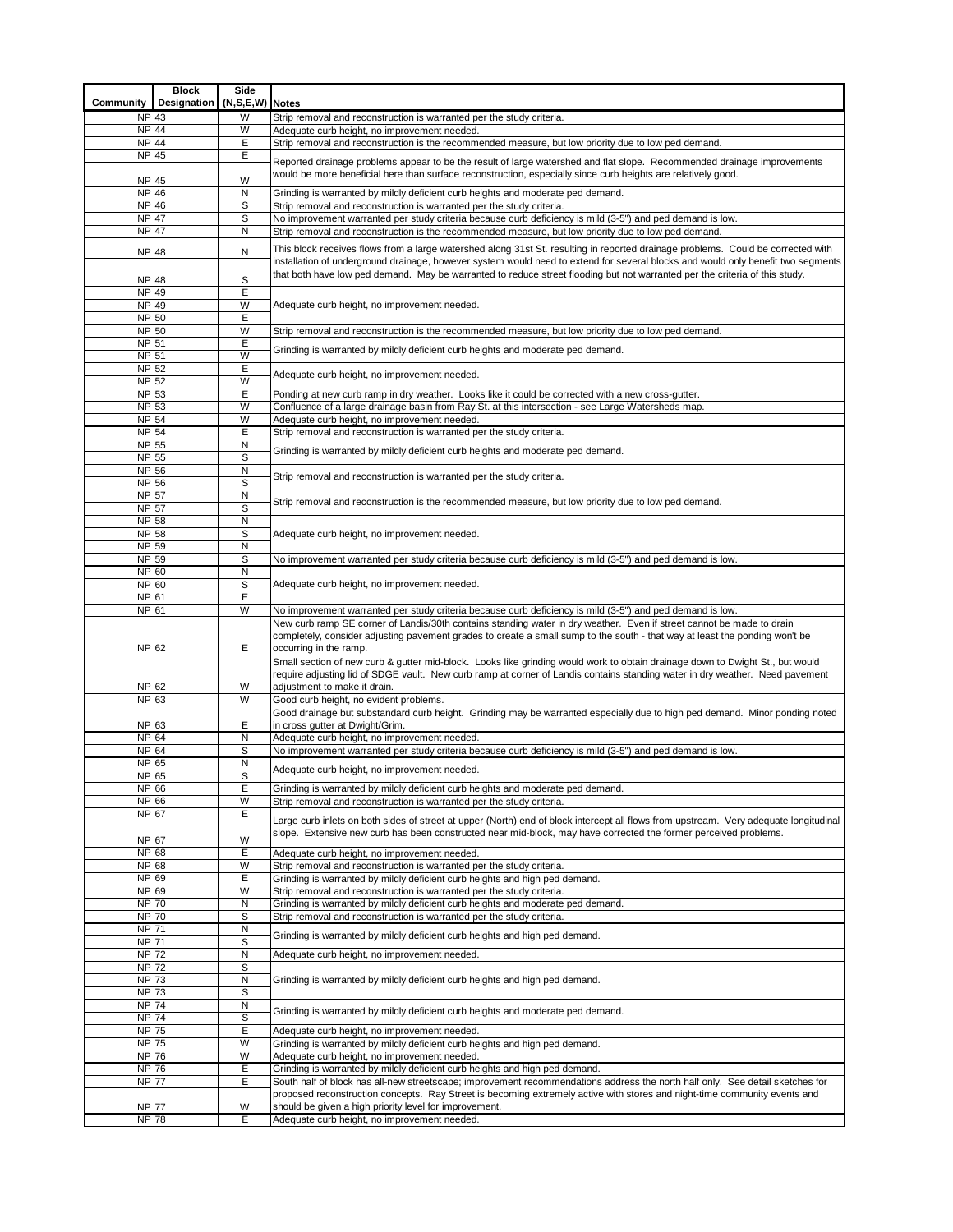|                              | <b>Block</b> | Side                 |                                                                                                                                                                                                                                                                 |
|------------------------------|--------------|----------------------|-----------------------------------------------------------------------------------------------------------------------------------------------------------------------------------------------------------------------------------------------------------------|
| Community                    | Designation  | $(N, S, E, W)$ Notes |                                                                                                                                                                                                                                                                 |
| <b>NP 43</b>                 |              | W                    | Strip removal and reconstruction is warranted per the study criteria.                                                                                                                                                                                           |
| NP 44<br><b>NP 44</b>        |              | W<br>Е               | Adequate curb height, no improvement needed.                                                                                                                                                                                                                    |
| <b>NP 45</b>                 |              | Ε                    | Strip removal and reconstruction is the recommended measure, but low priority due to low ped demand.                                                                                                                                                            |
|                              |              |                      | Reported drainage problems appear to be the result of large watershed and flat slope. Recommended drainage improvements                                                                                                                                         |
| <b>NP 45</b>                 |              | W                    | would be more beneficial here than surface reconstruction, especially since curb heights are relatively good.                                                                                                                                                   |
| <b>NP 46</b>                 |              | N                    | Grinding is warranted by mildly deficient curb heights and moderate ped demand.                                                                                                                                                                                 |
| <b>NP 46</b>                 |              | S                    | Strip removal and reconstruction is warranted per the study criteria.                                                                                                                                                                                           |
| <b>NP 47</b>                 |              | S                    | No improvement warranted per study criteria because curb deficiency is mild (3-5") and ped demand is low.                                                                                                                                                       |
| <b>NP 47</b>                 |              | N                    | Strip removal and reconstruction is the recommended measure, but low priority due to low ped demand.                                                                                                                                                            |
| NP 48                        |              | Ν                    | This block receives flows from a large watershed along 31st St. resulting in reported drainage problems. Could be corrected with                                                                                                                                |
|                              |              |                      | installation of underground drainage, however system would need to extend for several blocks and would only benefit two segments<br>that both have low ped demand. May be warranted to reduce street flooding but not warranted per the criteria of this study. |
| <b>NP 48</b>                 |              | S                    |                                                                                                                                                                                                                                                                 |
| NP 49                        |              | Е                    |                                                                                                                                                                                                                                                                 |
| NP 49<br>NP 50               |              | W<br>E               | Adequate curb height, no improvement needed.                                                                                                                                                                                                                    |
| NP 50                        |              | W                    | Strip removal and reconstruction is the recommended measure, but low priority due to low ped demand.                                                                                                                                                            |
| NP 51                        |              | E                    |                                                                                                                                                                                                                                                                 |
| NP 51                        |              | W                    | Grinding is warranted by mildly deficient curb heights and moderate ped demand.                                                                                                                                                                                 |
| NP 52                        |              | Ε                    | Adequate curb height, no improvement needed.                                                                                                                                                                                                                    |
| NP 52                        |              | W                    |                                                                                                                                                                                                                                                                 |
| NP 53<br>NP 53               |              | Ε<br>W               | Ponding at new curb ramp in dry weather. Looks like it could be corrected with a new cross-gutter.                                                                                                                                                              |
| NP 54                        |              | W                    | Confluence of a large drainage basin from Ray St. at this intersection - see Large Watersheds map.<br>Adequate curb height, no improvement needed.                                                                                                              |
| NP 54                        |              | Е                    | Strip removal and reconstruction is warranted per the study criteria.                                                                                                                                                                                           |
| NP 55                        |              | N                    |                                                                                                                                                                                                                                                                 |
| NP 55                        |              | S                    | Grinding is warranted by mildly deficient curb heights and moderate ped demand.                                                                                                                                                                                 |
| NP 56                        |              | $\mathsf{N}$         | Strip removal and reconstruction is warranted per the study criteria.                                                                                                                                                                                           |
| NP 56                        |              | S                    |                                                                                                                                                                                                                                                                 |
| <b>NP 57</b>                 |              | N<br>S               | Strip removal and reconstruction is the recommended measure, but low priority due to low ped demand.                                                                                                                                                            |
| NP 57<br>NP 58               |              | N                    |                                                                                                                                                                                                                                                                 |
| NP 58                        |              | S                    | Adequate curb height, no improvement needed.                                                                                                                                                                                                                    |
| NP 59                        |              | N                    |                                                                                                                                                                                                                                                                 |
| NP 59                        |              | S                    | No improvement warranted per study criteria because curb deficiency is mild (3-5") and ped demand is low.                                                                                                                                                       |
| NP 60                        |              | N                    |                                                                                                                                                                                                                                                                 |
| NP 60                        |              | S                    | Adequate curb height, no improvement needed.                                                                                                                                                                                                                    |
| NP 61                        |              | Е<br>W               |                                                                                                                                                                                                                                                                 |
| NP 61                        |              |                      | No improvement warranted per study criteria because curb deficiency is mild (3-5") and ped demand is low.<br>New curb ramp SE corner of Landis/30th contains standing water in dry weather. Even if street cannot be made to drain                              |
|                              |              |                      | completely, consider adjusting pavement grades to create a small sump to the south - that way at least the ponding won't be                                                                                                                                     |
| NP 62                        |              | Е                    | occurring in the ramp.                                                                                                                                                                                                                                          |
|                              |              |                      | Small section of new curb & gutter mid-block. Looks like grinding would work to obtain drainage down to Dwight St., but would                                                                                                                                   |
|                              |              |                      | require adjusting lid of SDGE vault. New curb ramp at corner of Landis contains standing water in dry weather. Need pavement                                                                                                                                    |
| NP 62                        |              | W                    | adjustment to make it drain.                                                                                                                                                                                                                                    |
| NP 63                        |              | W                    | Good curb height, no evident problems.                                                                                                                                                                                                                          |
| NP 63                        |              | E                    | Good drainage but substandard curb height. Grinding may be warranted especially due to high ped demand. Minor ponding noted<br>in cross gutter at Dwight/Grim.                                                                                                  |
| <b>NP 64</b>                 |              | N                    | Adequate curb height, no improvement needed.                                                                                                                                                                                                                    |
| NP 64                        |              | S                    | No improvement warranted per study criteria because curb deficiency is mild (3-5") and ped demand is low.                                                                                                                                                       |
| NP 65                        |              | N                    | Adequate curb height, no improvement needed.                                                                                                                                                                                                                    |
| NP 65                        |              | S                    |                                                                                                                                                                                                                                                                 |
| NP 66                        |              | Ε                    | Grinding is warranted by mildly deficient curb heights and moderate ped demand.                                                                                                                                                                                 |
| NP 66<br>NP 67               |              | W<br>Е               | Strip removal and reconstruction is warranted per the study criteria.                                                                                                                                                                                           |
|                              |              |                      | Large curb inlets on both sides of street at upper (North) end of block intercept all flows from upstream. Very adequate longitudinal                                                                                                                           |
| NP 67                        |              | W                    | slope. Extensive new curb has been constructed near mid-block, may have corrected the former perceived problems.                                                                                                                                                |
| <b>NP 68</b>                 |              | E                    | Adequate curb height, no improvement needed.                                                                                                                                                                                                                    |
| NP 68                        |              | W                    | Strip removal and reconstruction is warranted per the study criteria.                                                                                                                                                                                           |
| NP 69                        |              | E                    | Grinding is warranted by mildly deficient curb heights and high ped demand.                                                                                                                                                                                     |
| NP 69                        |              | W                    | Strip removal and reconstruction is warranted per the study criteria.                                                                                                                                                                                           |
| <b>NP 70</b><br><b>NP 70</b> |              | N<br>S               | Grinding is warranted by mildly deficient curb heights and moderate ped demand.                                                                                                                                                                                 |
| <b>NP 71</b>                 |              | N                    | Strip removal and reconstruction is warranted per the study criteria.                                                                                                                                                                                           |
| <b>NP 71</b>                 |              | S                    | Grinding is warranted by mildly deficient curb heights and high ped demand.                                                                                                                                                                                     |
| $\overline{NP}$ 72           |              | N                    | Adequate curb height, no improvement needed.                                                                                                                                                                                                                    |
| $\overline{\text{NP}}$ 72    |              | S                    |                                                                                                                                                                                                                                                                 |
| <b>NP 73</b>                 |              | N                    | Grinding is warranted by mildly deficient curb heights and high ped demand.                                                                                                                                                                                     |
| <b>NP 73</b>                 |              | S                    |                                                                                                                                                                                                                                                                 |
| <b>NP 74</b><br><b>NP 74</b> |              | N<br>S               | Grinding is warranted by mildly deficient curb heights and moderate ped demand.                                                                                                                                                                                 |
| <b>NP 75</b>                 |              | E                    | Adequate curb height, no improvement needed.                                                                                                                                                                                                                    |
| <b>NP 75</b>                 |              | W                    | Grinding is warranted by mildly deficient curb heights and high ped demand.                                                                                                                                                                                     |
| <b>NP 76</b>                 |              | W                    | Adequate curb height, no improvement needed.                                                                                                                                                                                                                    |
| <b>NP 76</b>                 |              | Ε                    | Grinding is warranted by mildly deficient curb heights and high ped demand.                                                                                                                                                                                     |
| <b>NP 77</b>                 |              | Е                    | South half of block has all-new streetscape; improvement recommendations address the north half only. See detail sketches for                                                                                                                                   |
|                              |              |                      | proposed reconstruction concepts. Ray Street is becoming extremely active with stores and night-time community events and                                                                                                                                       |
| <b>NP 77</b>                 |              | W<br>Е               | should be given a high priority level for improvement.                                                                                                                                                                                                          |
| <b>NP 78</b>                 |              |                      | Adequate curb height, no improvement needed.                                                                                                                                                                                                                    |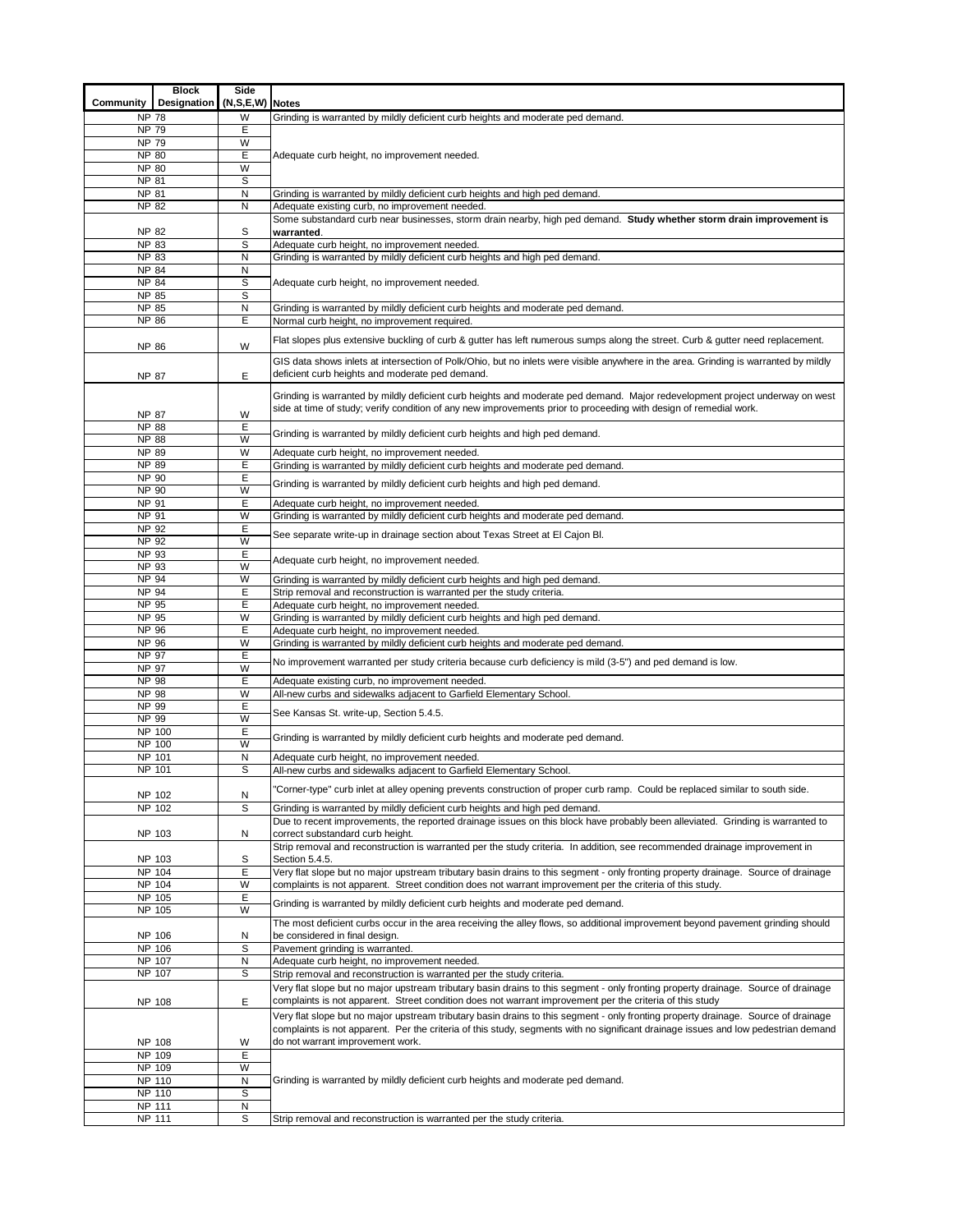| Community                                                      | <b>Block</b><br>Designation | Side<br>(N,S,E,W) Notes |                                                                                                                                                                   |  |  |  |  |  |  |  |
|----------------------------------------------------------------|-----------------------------|-------------------------|-------------------------------------------------------------------------------------------------------------------------------------------------------------------|--|--|--|--|--|--|--|
| <b>NP 78</b>                                                   |                             | W                       | Grinding is warranted by mildly deficient curb heights and moderate ped demand.                                                                                   |  |  |  |  |  |  |  |
| <b>NP 79</b>                                                   |                             | Ε                       |                                                                                                                                                                   |  |  |  |  |  |  |  |
| <b>NP 79</b>                                                   |                             | W                       |                                                                                                                                                                   |  |  |  |  |  |  |  |
| <b>NP 80</b>                                                   |                             | E                       | Adequate curb height, no improvement needed.                                                                                                                      |  |  |  |  |  |  |  |
| <b>NP 80</b>                                                   |                             | W                       |                                                                                                                                                                   |  |  |  |  |  |  |  |
| NP 81<br><b>NP 81</b>                                          |                             | S<br>N                  |                                                                                                                                                                   |  |  |  |  |  |  |  |
| <b>NP 82</b>                                                   |                             | N                       | Grinding is warranted by mildly deficient curb heights and high ped demand.<br>Adequate existing curb, no improvement needed.                                     |  |  |  |  |  |  |  |
|                                                                |                             |                         | Some substandard curb near businesses, storm drain nearby, high ped demand. Study whether storm drain improvement is                                              |  |  |  |  |  |  |  |
| <b>NP 82</b>                                                   |                             | S                       | warranted.                                                                                                                                                        |  |  |  |  |  |  |  |
| <b>NP 83</b>                                                   |                             | S                       | Adequate curb height, no improvement needed.                                                                                                                      |  |  |  |  |  |  |  |
| <b>NP 83</b>                                                   |                             | N                       | Grinding is warranted by mildly deficient curb heights and high ped demand.                                                                                       |  |  |  |  |  |  |  |
| <b>NP 84</b>                                                   |                             | N                       |                                                                                                                                                                   |  |  |  |  |  |  |  |
| <b>NP 84</b><br><b>NP 85</b>                                   |                             | S<br>$\mathbb S$        | Adequate curb height, no improvement needed.                                                                                                                      |  |  |  |  |  |  |  |
| NP 85                                                          |                             | N                       | Grinding is warranted by mildly deficient curb heights and moderate ped demand.                                                                                   |  |  |  |  |  |  |  |
| <b>NP 86</b>                                                   |                             | E                       | Normal curb height, no improvement required.                                                                                                                      |  |  |  |  |  |  |  |
|                                                                |                             |                         | Flat slopes plus extensive buckling of curb & gutter has left numerous sumps along the street. Curb & gutter need replacement.                                    |  |  |  |  |  |  |  |
| <b>NP 86</b>                                                   |                             | W                       |                                                                                                                                                                   |  |  |  |  |  |  |  |
|                                                                |                             |                         | GIS data shows inlets at intersection of Polk/Ohio, but no inlets were visible anywhere in the area. Grinding is warranted by mildly                              |  |  |  |  |  |  |  |
| <b>NP 87</b>                                                   |                             | E                       | deficient curb heights and moderate ped demand.                                                                                                                   |  |  |  |  |  |  |  |
|                                                                |                             |                         | Grinding is warranted by mildly deficient curb heights and moderate ped demand. Major redevelopment project underway on west                                      |  |  |  |  |  |  |  |
| <b>NP 87</b>                                                   |                             | W                       | side at time of study; verify condition of any new improvements prior to proceeding with design of remedial work.                                                 |  |  |  |  |  |  |  |
| <b>NP 88</b>                                                   |                             | E                       |                                                                                                                                                                   |  |  |  |  |  |  |  |
| <b>NP 88</b>                                                   |                             | W                       | Grinding is warranted by mildly deficient curb heights and high ped demand.                                                                                       |  |  |  |  |  |  |  |
| NP 89                                                          |                             | W                       | Adequate curb height, no improvement needed.                                                                                                                      |  |  |  |  |  |  |  |
| <b>NP 89</b>                                                   |                             | E                       | Grinding is warranted by mildly deficient curb heights and moderate ped demand.                                                                                   |  |  |  |  |  |  |  |
| NP 90<br>NP 90                                                 |                             | E<br>W                  | Grinding is warranted by mildly deficient curb heights and high ped demand.                                                                                       |  |  |  |  |  |  |  |
| NP 91                                                          |                             | Ε                       | Adequate curb height, no improvement needed.                                                                                                                      |  |  |  |  |  |  |  |
| NP 91                                                          |                             | W                       | Grinding is warranted by mildly deficient curb heights and moderate ped demand.                                                                                   |  |  |  |  |  |  |  |
| NP 92                                                          |                             | Ε                       |                                                                                                                                                                   |  |  |  |  |  |  |  |
| NP 92                                                          |                             | W                       | See separate write-up in drainage section about Texas Street at El Cajon Bl.                                                                                      |  |  |  |  |  |  |  |
| NP 93                                                          |                             | E                       | Adequate curb height, no improvement needed.                                                                                                                      |  |  |  |  |  |  |  |
| NP 93                                                          |                             | W                       |                                                                                                                                                                   |  |  |  |  |  |  |  |
| NP 94<br>NP 94                                                 |                             | W<br>E                  | Grinding is warranted by mildly deficient curb heights and high ped demand.<br>Strip removal and reconstruction is warranted per the study criteria.              |  |  |  |  |  |  |  |
| <b>NP 95</b>                                                   |                             | E                       | Adequate curb height, no improvement needed                                                                                                                       |  |  |  |  |  |  |  |
| NP 95                                                          |                             | W                       | Grinding is warranted by mildly deficient curb heights and high ped demand.                                                                                       |  |  |  |  |  |  |  |
| NP 96                                                          |                             | E                       | Adequate curb height, no improvement needed.                                                                                                                      |  |  |  |  |  |  |  |
| NP 96                                                          |                             | W                       | Grinding is warranted by mildly deficient curb heights and moderate ped demand.                                                                                   |  |  |  |  |  |  |  |
| NP 97                                                          |                             | E                       | No improvement warranted per study criteria because curb deficiency is mild (3-5") and ped demand is low.                                                         |  |  |  |  |  |  |  |
| <b>NP 97</b><br><b>NP 98</b>                                   |                             | W<br>E                  | Adequate existing curb, no improvement needed.                                                                                                                    |  |  |  |  |  |  |  |
| <b>NP 98</b>                                                   |                             | W                       | All-new curbs and sidewalks adjacent to Garfield Elementary School.                                                                                               |  |  |  |  |  |  |  |
| NP 99                                                          |                             | E                       | See Kansas St. write-up, Section 5.4.5.                                                                                                                           |  |  |  |  |  |  |  |
| $\overline{\text{NP}}$ 99                                      |                             | W                       |                                                                                                                                                                   |  |  |  |  |  |  |  |
| NP 100                                                         |                             | Ε                       | Grinding is warranted by mildly deficient curb heights and moderate ped demand.                                                                                   |  |  |  |  |  |  |  |
| NP 100<br><b>NP 101</b>                                        |                             | W<br>N                  | Adequate curb height, no improvement needed.                                                                                                                      |  |  |  |  |  |  |  |
| NP 101                                                         |                             | S                       | All-new curbs and sidewalks adjacent to Garfield Elementary School.                                                                                               |  |  |  |  |  |  |  |
|                                                                |                             |                         |                                                                                                                                                                   |  |  |  |  |  |  |  |
| NP 102                                                         |                             | N                       | 'Corner-type" curb inlet at alley opening prevents construction of proper curb ramp. Could be replaced similar to south side.                                     |  |  |  |  |  |  |  |
| NP 102                                                         |                             | S                       | Grinding is warranted by mildly deficient curb heights and high ped demand.                                                                                       |  |  |  |  |  |  |  |
|                                                                |                             |                         | Due to recent improvements, the reported drainage issues on this block have probably been alleviated. Grinding is warranted to                                    |  |  |  |  |  |  |  |
| NP 103                                                         |                             | Ν                       | correct substandard curb height.<br>Strip removal and reconstruction is warranted per the study criteria. In addition, see recommended drainage improvement in    |  |  |  |  |  |  |  |
| NP 103                                                         |                             | S                       | Section 5.4.5.                                                                                                                                                    |  |  |  |  |  |  |  |
| NP 104                                                         |                             | Ε                       | Very flat slope but no major upstream tributary basin drains to this segment - only fronting property drainage. Source of drainage                                |  |  |  |  |  |  |  |
| NP 104                                                         |                             | W                       | complaints is not apparent. Street condition does not warrant improvement per the criteria of this study.                                                         |  |  |  |  |  |  |  |
| NP 105                                                         |                             | Е                       | Grinding is warranted by mildly deficient curb heights and moderate ped demand.                                                                                   |  |  |  |  |  |  |  |
| NP 105                                                         |                             | W                       |                                                                                                                                                                   |  |  |  |  |  |  |  |
| NP 106                                                         |                             | Ν                       | The most deficient curbs occur in the area receiving the alley flows, so additional improvement beyond pavement grinding should<br>be considered in final design. |  |  |  |  |  |  |  |
| NP 106                                                         |                             | S                       | Pavement grinding is warranted.                                                                                                                                   |  |  |  |  |  |  |  |
| NP 107                                                         |                             | N                       | Adequate curb height, no improvement needed.                                                                                                                      |  |  |  |  |  |  |  |
| NP 107                                                         |                             | $\mathbb S$             | Strip removal and reconstruction is warranted per the study criteria.                                                                                             |  |  |  |  |  |  |  |
|                                                                |                             |                         | Very flat slope but no major upstream tributary basin drains to this segment - only fronting property drainage. Source of drainage                                |  |  |  |  |  |  |  |
| NP 108                                                         |                             | Ε                       | complaints is not apparent. Street condition does not warrant improvement per the criteria of this study                                                          |  |  |  |  |  |  |  |
|                                                                |                             |                         | Very flat slope but no major upstream tributary basin drains to this segment - only fronting property drainage. Source of drainage                                |  |  |  |  |  |  |  |
|                                                                |                             |                         | complaints is not apparent. Per the criteria of this study, segments with no significant drainage issues and low pedestrian demand                                |  |  |  |  |  |  |  |
| do not warrant improvement work.<br>NP 108<br>W<br>E<br>NP 109 |                             |                         |                                                                                                                                                                   |  |  |  |  |  |  |  |
| NP 109                                                         |                             | W                       |                                                                                                                                                                   |  |  |  |  |  |  |  |
| NP 110                                                         |                             | N                       | Grinding is warranted by mildly deficient curb heights and moderate ped demand.                                                                                   |  |  |  |  |  |  |  |
| NP 110                                                         |                             | S                       |                                                                                                                                                                   |  |  |  |  |  |  |  |
| NP 111                                                         |                             | Ν                       |                                                                                                                                                                   |  |  |  |  |  |  |  |
| NP 111                                                         |                             | S                       | Strip removal and reconstruction is warranted per the study criteria.                                                                                             |  |  |  |  |  |  |  |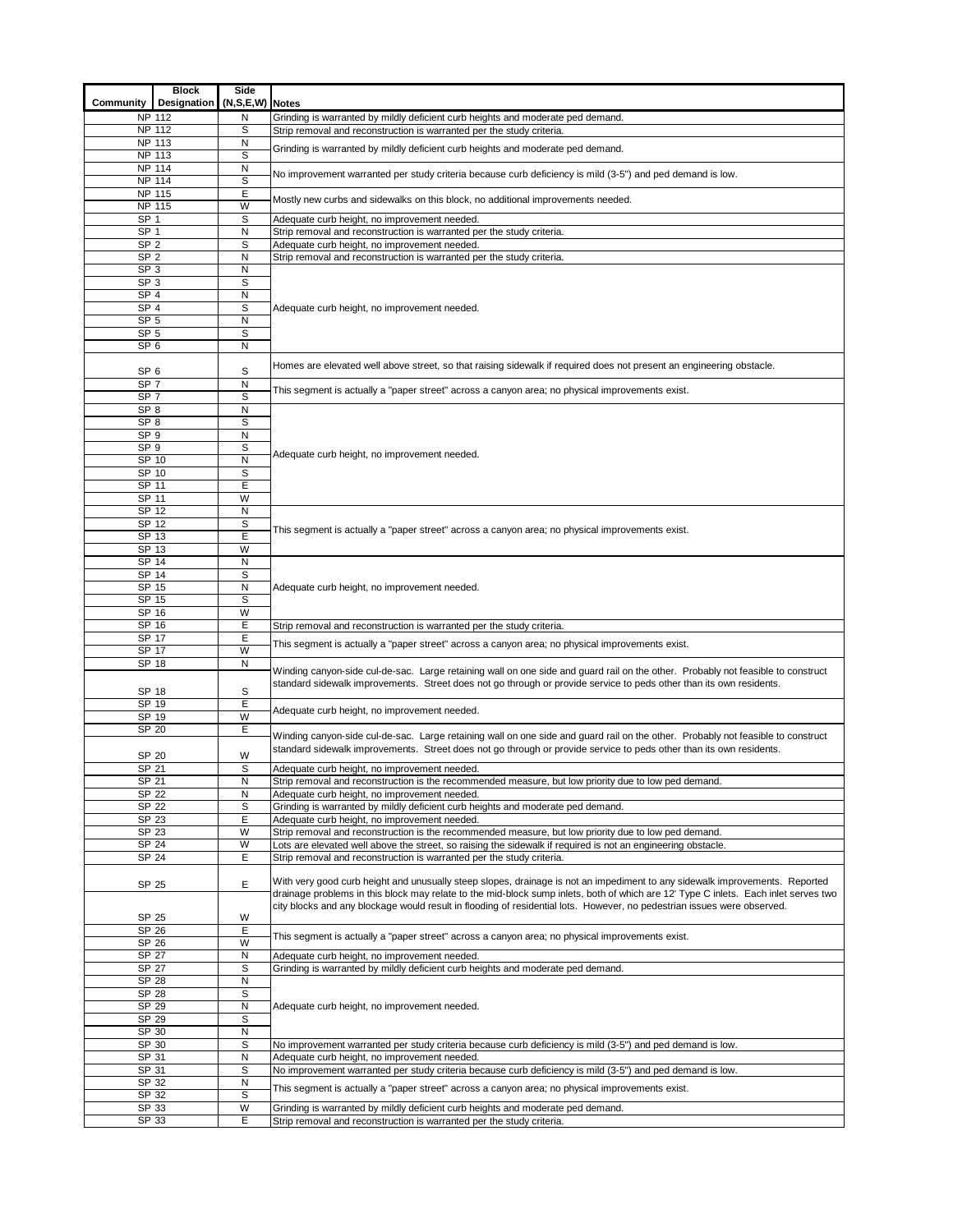|                                    | <b>Block</b> | Side             |                                                                                                                                                                                                                                                                    |
|------------------------------------|--------------|------------------|--------------------------------------------------------------------------------------------------------------------------------------------------------------------------------------------------------------------------------------------------------------------|
| Community                          | Designation  | (N,S,E,W) Notes  |                                                                                                                                                                                                                                                                    |
| NP 112                             |              | N                | Grinding is warranted by mildly deficient curb heights and moderate ped demand.                                                                                                                                                                                    |
| NP 112<br>NP 113                   |              | S<br>N           | Strip removal and reconstruction is warranted per the study criteria.                                                                                                                                                                                              |
| NP 113                             |              | S                | Grinding is warranted by mildly deficient curb heights and moderate ped demand.                                                                                                                                                                                    |
| <b>NP 114</b>                      |              | N                |                                                                                                                                                                                                                                                                    |
| NP 114                             |              | S                | No improvement warranted per study criteria because curb deficiency is mild (3-5") and ped demand is low.                                                                                                                                                          |
| <b>NP 115</b>                      |              | Е                | Mostly new curbs and sidewalks on this block, no additional improvements needed.                                                                                                                                                                                   |
| NP 115                             |              | W                |                                                                                                                                                                                                                                                                    |
| SP <sub>1</sub><br>SP <sub>1</sub> |              | $\mathbb S$<br>N | Adequate curb height, no improvement needed.<br>Strip removal and reconstruction is warranted per the study criteria.                                                                                                                                              |
| SP <sub>2</sub>                    |              | S                | Adequate curb height, no improvement needed.                                                                                                                                                                                                                       |
| SP <sub>2</sub>                    |              | N                | Strip removal and reconstruction is warranted per the study criteria.                                                                                                                                                                                              |
| SP <sub>3</sub>                    |              | N                |                                                                                                                                                                                                                                                                    |
| SP <sub>3</sub>                    |              | $\mathbb S$      |                                                                                                                                                                                                                                                                    |
| SP <sub>4</sub>                    |              | N                |                                                                                                                                                                                                                                                                    |
| SP <sub>4</sub><br>SP <sub>5</sub> |              | S<br>N           | Adequate curb height, no improvement needed.                                                                                                                                                                                                                       |
| SP <sub>5</sub>                    |              | S                |                                                                                                                                                                                                                                                                    |
| SP <sub>6</sub>                    |              | N                |                                                                                                                                                                                                                                                                    |
|                                    |              |                  | Homes are elevated well above street, so that raising sidewalk if required does not present an engineering obstacle.                                                                                                                                               |
| SP <sub>6</sub>                    |              | S                |                                                                                                                                                                                                                                                                    |
| SP <sub>7</sub>                    |              | N                | This segment is actually a "paper street" across a canyon area; no physical improvements exist.                                                                                                                                                                    |
| SP <sub>7</sub><br>SP <sub>8</sub> |              | $\mathbb S$<br>N |                                                                                                                                                                                                                                                                    |
| SP <sub>8</sub>                    |              | S                |                                                                                                                                                                                                                                                                    |
| SP <sub>9</sub>                    |              | N                |                                                                                                                                                                                                                                                                    |
| SP <sub>9</sub>                    |              | $\mathbb S$      | Adequate curb height, no improvement needed.                                                                                                                                                                                                                       |
| SP 10                              |              | N                |                                                                                                                                                                                                                                                                    |
| SP 10                              |              | S                |                                                                                                                                                                                                                                                                    |
| SP 11<br>SP 11                     |              | Ε<br>W           |                                                                                                                                                                                                                                                                    |
| SP 12                              |              | N                |                                                                                                                                                                                                                                                                    |
| SP 12                              |              | S                |                                                                                                                                                                                                                                                                    |
| SP 13                              |              | E                | This segment is actually a "paper street" across a canyon area; no physical improvements exist.                                                                                                                                                                    |
| SP 13                              |              | W                |                                                                                                                                                                                                                                                                    |
| SP 14                              |              | N                |                                                                                                                                                                                                                                                                    |
| SP 14<br>SP 15                     |              | S<br>N           | Adequate curb height, no improvement needed.                                                                                                                                                                                                                       |
| SP 15                              |              | S                |                                                                                                                                                                                                                                                                    |
| SP 16                              |              | W                |                                                                                                                                                                                                                                                                    |
| SP 16                              |              | Е                | Strip removal and reconstruction is warranted per the study criteria.                                                                                                                                                                                              |
| SP 17                              |              | E                | This segment is actually a "paper street" across a canyon area; no physical improvements exist.                                                                                                                                                                    |
| SP 17                              |              | W                |                                                                                                                                                                                                                                                                    |
| SP 18<br>SP 18                     |              | N<br>S           | Winding canyon-side cul-de-sac. Large retaining wall on one side and guard rail on the other. Probably not feasible to construct<br>standard sidewalk improvements. Street does not go through or provide service to peds other than its own residents.            |
| SP <sub>19</sub>                   |              | Ε                |                                                                                                                                                                                                                                                                    |
| SP 19                              |              | W                | Adequate curb height, no improvement needed.                                                                                                                                                                                                                       |
| SP 20                              |              | Ε                | Winding canyon-side cul-de-sac. Large retaining wall on one side and guard rail on the other. Probably not feasible to construct                                                                                                                                   |
| SP 20                              |              | W                | standard sidewalk improvements. Street does not go through or provide service to peds other than its own residents.                                                                                                                                                |
| SP 21                              |              | S                | Adequate curb height, no improvement needed.                                                                                                                                                                                                                       |
| SP 21<br>SP 22                     |              | N<br>N           | Strip removal and reconstruction is the recommended measure, but low priority due to low ped demand.                                                                                                                                                               |
| SP <sub>22</sub>                   |              | S                | Adequate curb height, no improvement needed.<br>Grinding is warranted by mildly deficient curb heights and moderate ped demand.                                                                                                                                    |
| SP 23                              |              | Ε                | Adequate curb height, no improvement needed.                                                                                                                                                                                                                       |
| SP 23                              |              | W                | Strip removal and reconstruction is the recommended measure, but low priority due to low ped demand.                                                                                                                                                               |
| SP 24                              |              | W                | Lots are elevated well above the street, so raising the sidewalk if required is not an engineering obstacle.                                                                                                                                                       |
| SP 24                              |              | Ε                | Strip removal and reconstruction is warranted per the study criteria.                                                                                                                                                                                              |
| SP 25                              |              | Е                | With very good curb height and unusually steep slopes, drainage is not an impediment to any sidewalk improvements. Reported<br>drainage problems in this block may relate to the mid-block sump inlets, both of which are 12' Type C inlets. Each inlet serves two |
|                                    |              |                  | city blocks and any blockage would result in flooding of residential lots. However, no pedestrian issues were observed.                                                                                                                                            |
| SP 25<br>SP 26                     |              | W<br>E           |                                                                                                                                                                                                                                                                    |
| SP 26                              |              | W                | This segment is actually a "paper street" across a canyon area; no physical improvements exist.                                                                                                                                                                    |
| SP 27                              |              | N                | Adequate curb height, no improvement needed.                                                                                                                                                                                                                       |
| SP 27                              |              | S                | Grinding is warranted by mildly deficient curb heights and moderate ped demand.                                                                                                                                                                                    |
| SP 28                              |              | N                |                                                                                                                                                                                                                                                                    |
| SP 28                              |              | S<br>N           | Adequate curb height, no improvement needed.                                                                                                                                                                                                                       |
| SP 29<br>SP 29                     |              | S                |                                                                                                                                                                                                                                                                    |
| SP 30                              |              | N                |                                                                                                                                                                                                                                                                    |
| SP 30                              |              | S                | No improvement warranted per study criteria because curb deficiency is mild (3-5") and ped demand is low.                                                                                                                                                          |
| SP 31                              |              | N                | Adequate curb height, no improvement needed.                                                                                                                                                                                                                       |
| SP 31                              |              | S                | No improvement warranted per study criteria because curb deficiency is mild (3-5") and ped demand is low.                                                                                                                                                          |
| SP <sub>32</sub><br>SP 32          |              | N<br>S           | This segment is actually a "paper street" across a canyon area; no physical improvements exist.                                                                                                                                                                    |
| SP 33                              |              | W                | Grinding is warranted by mildly deficient curb heights and moderate ped demand.                                                                                                                                                                                    |
| SP 33                              |              | Е                | Strip removal and reconstruction is warranted per the study criteria.                                                                                                                                                                                              |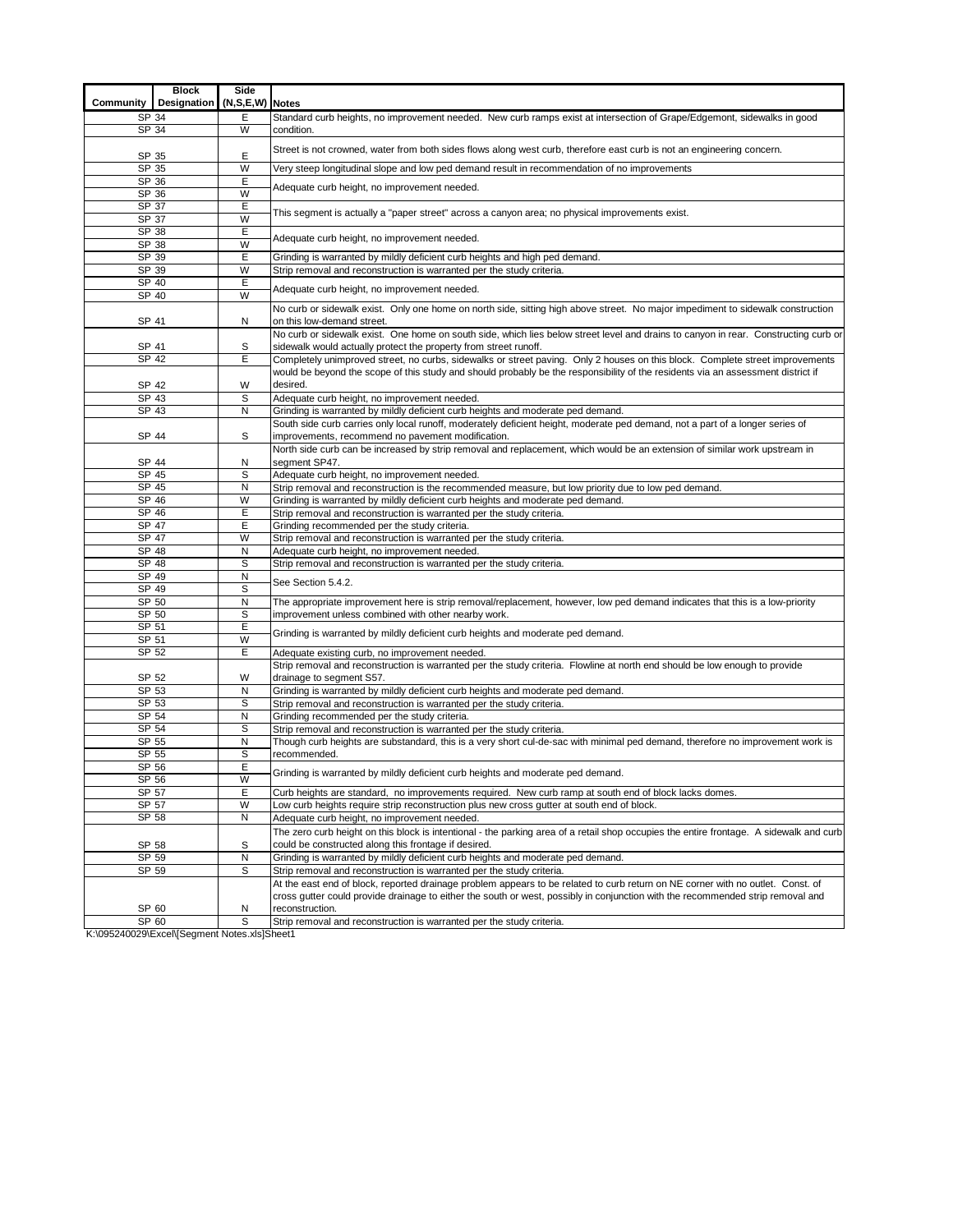|                           | <b>Block</b> | Side         |                                                                                                                                                                                                         |  |  |  |  |  |  |  |
|---------------------------|--------------|--------------|---------------------------------------------------------------------------------------------------------------------------------------------------------------------------------------------------------|--|--|--|--|--|--|--|
| Community                 | Designation  | (N, S, E, W) | <b>Notes</b>                                                                                                                                                                                            |  |  |  |  |  |  |  |
| SP 34                     |              | Е            | Standard curb heights, no improvement needed. New curb ramps exist at intersection of Grape/Edgemont, sidewalks in good                                                                                 |  |  |  |  |  |  |  |
| SP 34                     |              | W            | condition.                                                                                                                                                                                              |  |  |  |  |  |  |  |
|                           |              |              |                                                                                                                                                                                                         |  |  |  |  |  |  |  |
| SP 35                     |              | E            | Street is not crowned, water from both sides flows along west curb, therefore east curb is not an engineering concern.                                                                                  |  |  |  |  |  |  |  |
| SP 35                     |              | W            | Very steep longitudinal slope and low ped demand result in recommendation of no improvements                                                                                                            |  |  |  |  |  |  |  |
| SP 36                     |              | E            | Adequate curb height, no improvement needed.                                                                                                                                                            |  |  |  |  |  |  |  |
| SP 36                     |              | W            |                                                                                                                                                                                                         |  |  |  |  |  |  |  |
| SP 37                     |              | Ε            | This segment is actually a "paper street" across a canyon area; no physical improvements exist.                                                                                                         |  |  |  |  |  |  |  |
| SP 37                     |              | W            |                                                                                                                                                                                                         |  |  |  |  |  |  |  |
| SP 38                     |              | E            | Adequate curb height, no improvement needed.                                                                                                                                                            |  |  |  |  |  |  |  |
| SP 38                     |              | W            |                                                                                                                                                                                                         |  |  |  |  |  |  |  |
| SP 39                     |              | Ε            | Grinding is warranted by mildly deficient curb heights and high ped demand.                                                                                                                             |  |  |  |  |  |  |  |
| SP 39<br>SP 40            |              | W<br>E       | Strip removal and reconstruction is warranted per the study criteria.                                                                                                                                   |  |  |  |  |  |  |  |
| SP 40                     |              | W            | Adequate curb height, no improvement needed.                                                                                                                                                            |  |  |  |  |  |  |  |
|                           |              |              | No curb or sidewalk exist. Only one home on north side, sitting high above street. No major impediment to sidewalk construction                                                                         |  |  |  |  |  |  |  |
| SP 41                     |              | N            | on this low-demand street.                                                                                                                                                                              |  |  |  |  |  |  |  |
|                           |              |              | No curb or sidewalk exist. One home on south side, which lies below street level and drains to canyon in rear. Constructing curb or                                                                     |  |  |  |  |  |  |  |
| SP 41                     |              | S            | sidewalk would actually protect the property from street runoff.                                                                                                                                        |  |  |  |  |  |  |  |
| SP 42                     |              | E            | Completely unimproved street, no curbs, sidewalks or street paving. Only 2 houses on this block. Complete street improvements                                                                           |  |  |  |  |  |  |  |
|                           |              |              | would be beyond the scope of this study and should probably be the responsibility of the residents via an assessment district if                                                                        |  |  |  |  |  |  |  |
| SP 42                     |              | W            | desired.                                                                                                                                                                                                |  |  |  |  |  |  |  |
| SP 43                     |              | S            | Adequate curb height, no improvement needed.                                                                                                                                                            |  |  |  |  |  |  |  |
| SP 43                     |              | N            | Grinding is warranted by mildly deficient curb heights and moderate ped demand.                                                                                                                         |  |  |  |  |  |  |  |
|                           |              |              | South side curb carries only local runoff, moderately deficient height, moderate ped demand, not a part of a longer series of                                                                           |  |  |  |  |  |  |  |
| SP 44                     |              | S            | improvements, recommend no pavement modification.                                                                                                                                                       |  |  |  |  |  |  |  |
|                           |              |              | North side curb can be increased by strip removal and replacement, which would be an extension of similar work upstream in                                                                              |  |  |  |  |  |  |  |
| SP 44                     |              | N            | segment SP47.                                                                                                                                                                                           |  |  |  |  |  |  |  |
| SP 45                     |              | S            | Adequate curb height, no improvement needed.                                                                                                                                                            |  |  |  |  |  |  |  |
| SP 45                     |              | $\mathsf{N}$ | Strip removal and reconstruction is the recommended measure, but low priority due to low ped demand.                                                                                                    |  |  |  |  |  |  |  |
| SP 46                     |              | W            | Grinding is warranted by mildly deficient curb heights and moderate ped demand.                                                                                                                         |  |  |  |  |  |  |  |
| SP 46                     |              | E            | Strip removal and reconstruction is warranted per the study criteria.                                                                                                                                   |  |  |  |  |  |  |  |
| SP 47<br>SP 47            |              | E<br>W       | Grinding recommended per the study criteria.                                                                                                                                                            |  |  |  |  |  |  |  |
| SP 48                     |              | N            | Strip removal and reconstruction is warranted per the study criteria.<br>Adequate curb height, no improvement needed.                                                                                   |  |  |  |  |  |  |  |
| SP 48                     |              | S            | Strip removal and reconstruction is warranted per the study criteria.                                                                                                                                   |  |  |  |  |  |  |  |
| SP 49                     |              | N            |                                                                                                                                                                                                         |  |  |  |  |  |  |  |
| SP 49                     |              | s            | See Section 5.4.2.                                                                                                                                                                                      |  |  |  |  |  |  |  |
| SP 50                     |              | N            | The appropriate improvement here is strip removal/replacement, however, low ped demand indicates that this is a low-priority                                                                            |  |  |  |  |  |  |  |
| SP 50                     |              | S            | improvement unless combined with other nearby work.                                                                                                                                                     |  |  |  |  |  |  |  |
| SP 51                     |              | Ε            |                                                                                                                                                                                                         |  |  |  |  |  |  |  |
| SP 51                     |              | W            | Grinding is warranted by mildly deficient curb heights and moderate ped demand.                                                                                                                         |  |  |  |  |  |  |  |
| SP 52                     |              | E            | Adequate existing curb, no improvement needed.                                                                                                                                                          |  |  |  |  |  |  |  |
|                           |              |              | Strip removal and reconstruction is warranted per the study criteria. Flowline at north end should be low enough to provide                                                                             |  |  |  |  |  |  |  |
| SP 52                     |              | W            | drainage to segment S57.                                                                                                                                                                                |  |  |  |  |  |  |  |
| SP 53                     |              | N            | Grinding is warranted by mildly deficient curb heights and moderate ped demand.                                                                                                                         |  |  |  |  |  |  |  |
| $\overline{\text{SP}}$ 53 |              | S            | Strip removal and reconstruction is warranted per the study criteria.                                                                                                                                   |  |  |  |  |  |  |  |
| SP 54                     |              | N            | Grinding recommended per the study criteria.                                                                                                                                                            |  |  |  |  |  |  |  |
| SP 54<br>SP 55            |              | S<br>N       | Strip removal and reconstruction is warranted per the study criteria.<br>Though curb heights are substandard, this is a very short cul-de-sac with minimal ped demand, therefore no improvement work is |  |  |  |  |  |  |  |
| SP 55                     |              | S            | recommended.                                                                                                                                                                                            |  |  |  |  |  |  |  |
| SP 56                     |              | E            |                                                                                                                                                                                                         |  |  |  |  |  |  |  |
| $S\overline{P}56$         |              | W            | Grinding is warranted by mildly deficient curb heights and moderate ped demand.                                                                                                                         |  |  |  |  |  |  |  |
| SP 57                     |              | Ε            | Curb heights are standard, no improvements required. New curb ramp at south end of block lacks domes.                                                                                                   |  |  |  |  |  |  |  |
| SP 57                     |              | W            | Low curb heights require strip reconstruction plus new cross gutter at south end of block.                                                                                                              |  |  |  |  |  |  |  |
| SP 58                     |              | N            | Adequate curb height, no improvement needed.                                                                                                                                                            |  |  |  |  |  |  |  |
|                           |              |              | The zero curb height on this block is intentional - the parking area of a retail shop occupies the entire frontage. A sidewalk and curb                                                                 |  |  |  |  |  |  |  |
| SP 58                     |              | S            | could be constructed along this frontage if desired.                                                                                                                                                    |  |  |  |  |  |  |  |
| SP 59                     |              | N            | Grinding is warranted by mildly deficient curb heights and moderate ped demand.                                                                                                                         |  |  |  |  |  |  |  |
| SP 59                     |              | S            | Strip removal and reconstruction is warranted per the study criteria.                                                                                                                                   |  |  |  |  |  |  |  |
|                           |              |              | At the east end of block, reported drainage problem appears to be related to curb return on NE corner with no outlet. Const. of                                                                         |  |  |  |  |  |  |  |
|                           |              |              | cross gutter could provide drainage to either the south or west, possibly in conjunction with the recommended strip removal and                                                                         |  |  |  |  |  |  |  |
| SP 60                     |              | N            | reconstruction.                                                                                                                                                                                         |  |  |  |  |  |  |  |
| SP 60                     |              | S            | Strip removal and reconstruction is warranted per the study criteria.                                                                                                                                   |  |  |  |  |  |  |  |

K:\095240029\Excel\[Segment Notes.xls]Sheet1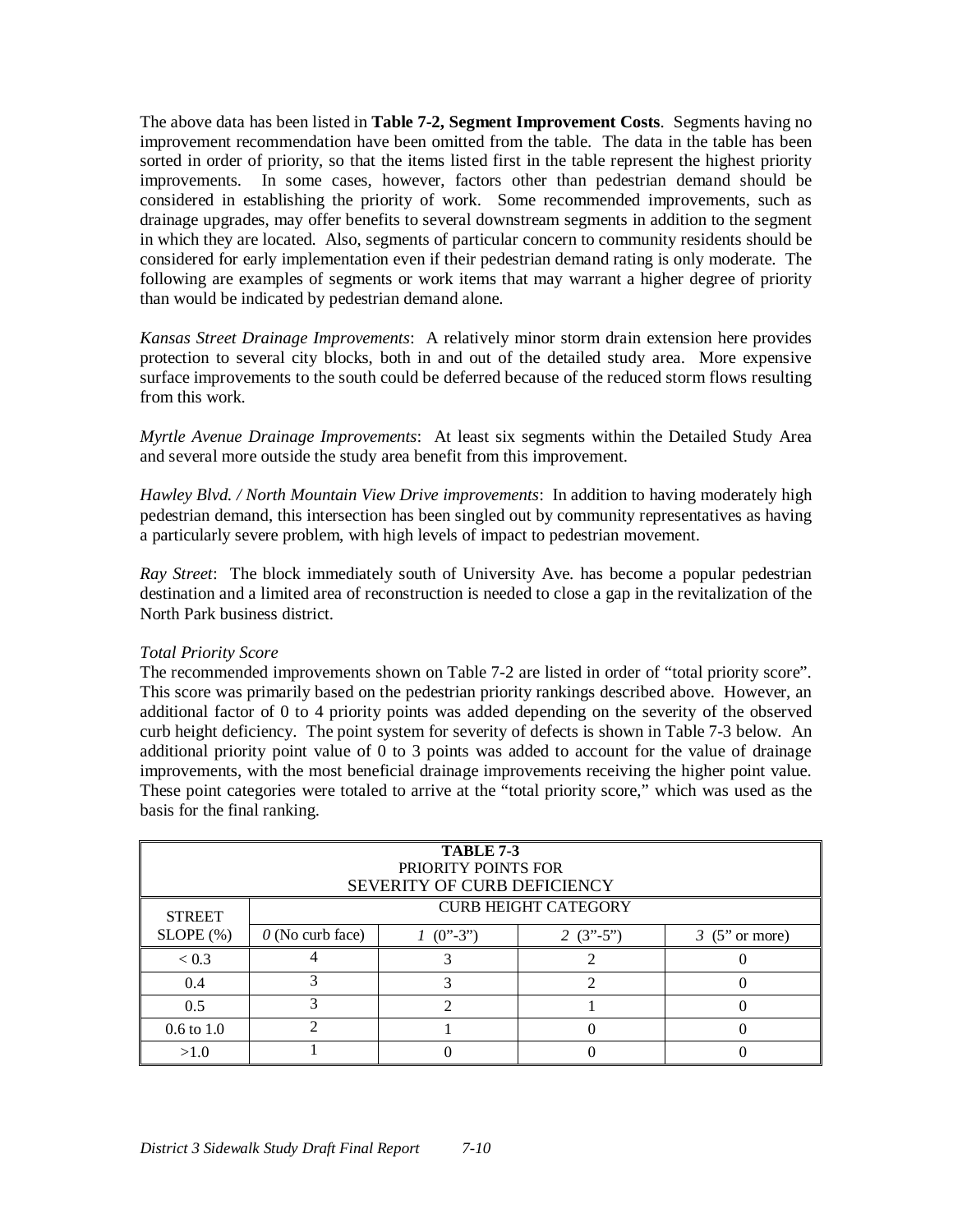The above data has been listed in **Table 7-2, Segment Improvement Costs**. Segments having no improvement recommendation have been omitted from the table. The data in the table has been sorted in order of priority, so that the items listed first in the table represent the highest priority improvements. In some cases, however, factors other than pedestrian demand should be considered in establishing the priority of work. Some recommended improvements, such as drainage upgrades, may offer benefits to several downstream segments in addition to the segment in which they are located. Also, segments of particular concern to community residents should be considered for early implementation even if their pedestrian demand rating is only moderate. The following are examples of segments or work items that may warrant a higher degree of priority than would be indicated by pedestrian demand alone.

*Kansas Street Drainage Improvements*: A relatively minor storm drain extension here provides protection to several city blocks, both in and out of the detailed study area. More expensive surface improvements to the south could be deferred because of the reduced storm flows resulting from this work.

*Myrtle Avenue Drainage Improvements*: At least six segments within the Detailed Study Area and several more outside the study area benefit from this improvement.

*Hawley Blvd. / North Mountain View Drive improvements*: In addition to having moderately high pedestrian demand, this intersection has been singled out by community representatives as having a particularly severe problem, with high levels of impact to pedestrian movement.

*Ray Street*: The block immediately south of University Ave. has become a popular pedestrian destination and a limited area of reconstruction is needed to close a gap in the revitalization of the North Park business district.

#### *Total Priority Score*

The recommended improvements shown on Table 7-2 are listed in order of "total priority score". This score was primarily based on the pedestrian priority rankings described above. However, an additional factor of 0 to 4 priority points was added depending on the severity of the observed curb height deficiency. The point system for severity of defects is shown in Table 7-3 below. An additional priority point value of 0 to 3 points was added to account for the value of drainage improvements, with the most beneficial drainage improvements receiving the higher point value. These point categories were totaled to arrive at the "total priority score," which was used as the basis for the final ranking.

|                |                         | TABLE 7-3<br>PRIORITY POINTS FOR<br>SEVERITY OF CURB DEFICIENCY |                                           |                          |
|----------------|-------------------------|-----------------------------------------------------------------|-------------------------------------------|--------------------------|
| <b>STREET</b>  |                         |                                                                 | <b>CURB HEIGHT CATEGORY</b>               |                          |
| SLOPE(%)       | $\theta$ (No curb face) | $(0^{3}-3^{3})$                                                 | 2 $(3^{\prime\prime} - 5^{\prime\prime})$ | $3 \text{ (5" or more)}$ |
| < 0.3          |                         |                                                                 |                                           |                          |
| 0.4            |                         |                                                                 | ↑                                         |                          |
| 0.5            |                         |                                                                 |                                           |                          |
| $0.6$ to $1.0$ |                         |                                                                 |                                           |                          |
| >1.0           |                         |                                                                 |                                           |                          |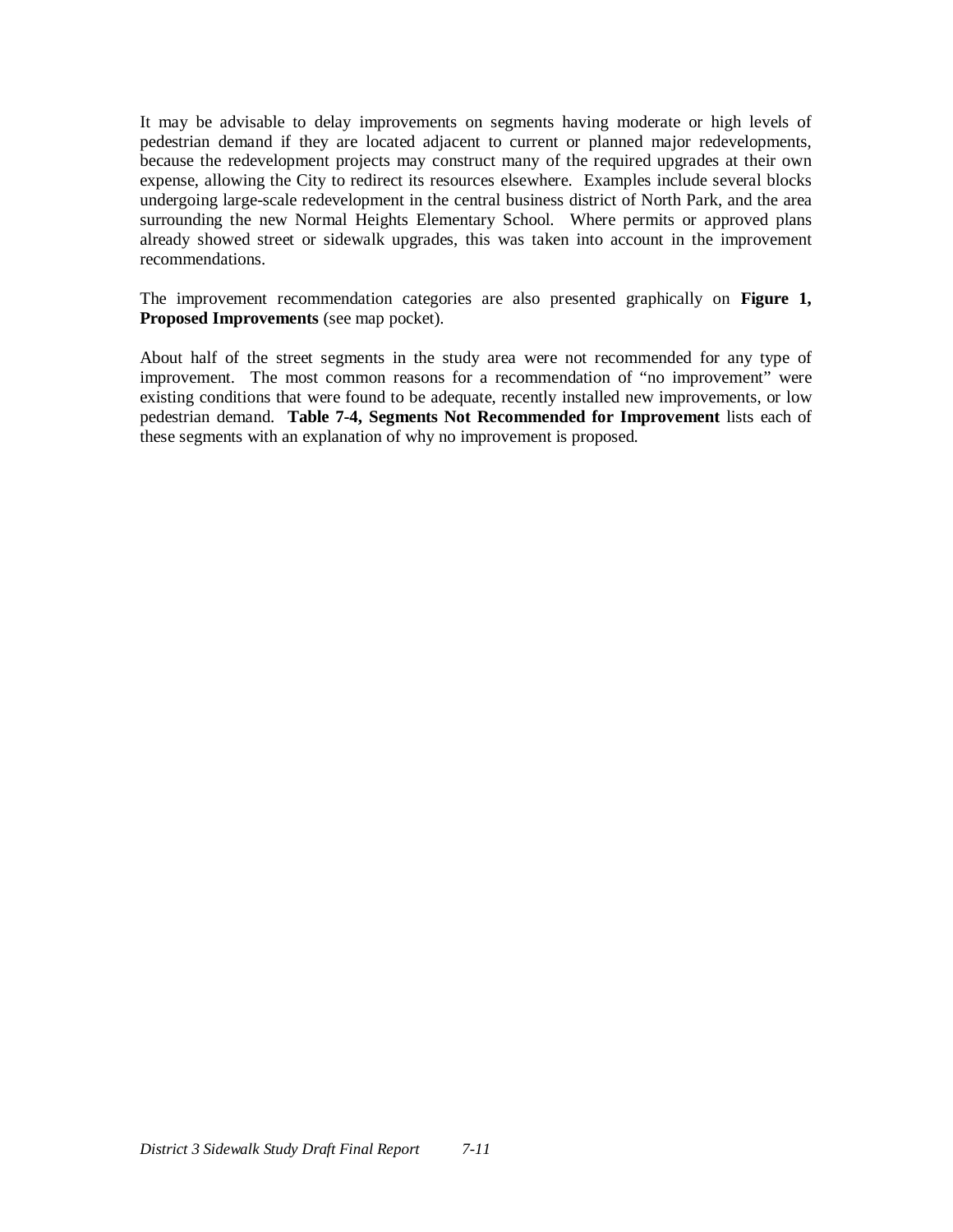It may be advisable to delay improvements on segments having moderate or high levels of pedestrian demand if they are located adjacent to current or planned major redevelopments, because the redevelopment projects may construct many of the required upgrades at their own expense, allowing the City to redirect its resources elsewhere. Examples include several blocks undergoing large-scale redevelopment in the central business district of North Park, and the area surrounding the new Normal Heights Elementary School. Where permits or approved plans already showed street or sidewalk upgrades, this was taken into account in the improvement recommendations.

The improvement recommendation categories are also presented graphically on **Figure 1, Proposed Improvements** (see map pocket).

About half of the street segments in the study area were not recommended for any type of improvement. The most common reasons for a recommendation of "no improvement" were existing conditions that were found to be adequate, recently installed new improvements, or low pedestrian demand. **Table 7-4, Segments Not Recommended for Improvement** lists each of these segments with an explanation of why no improvement is proposed.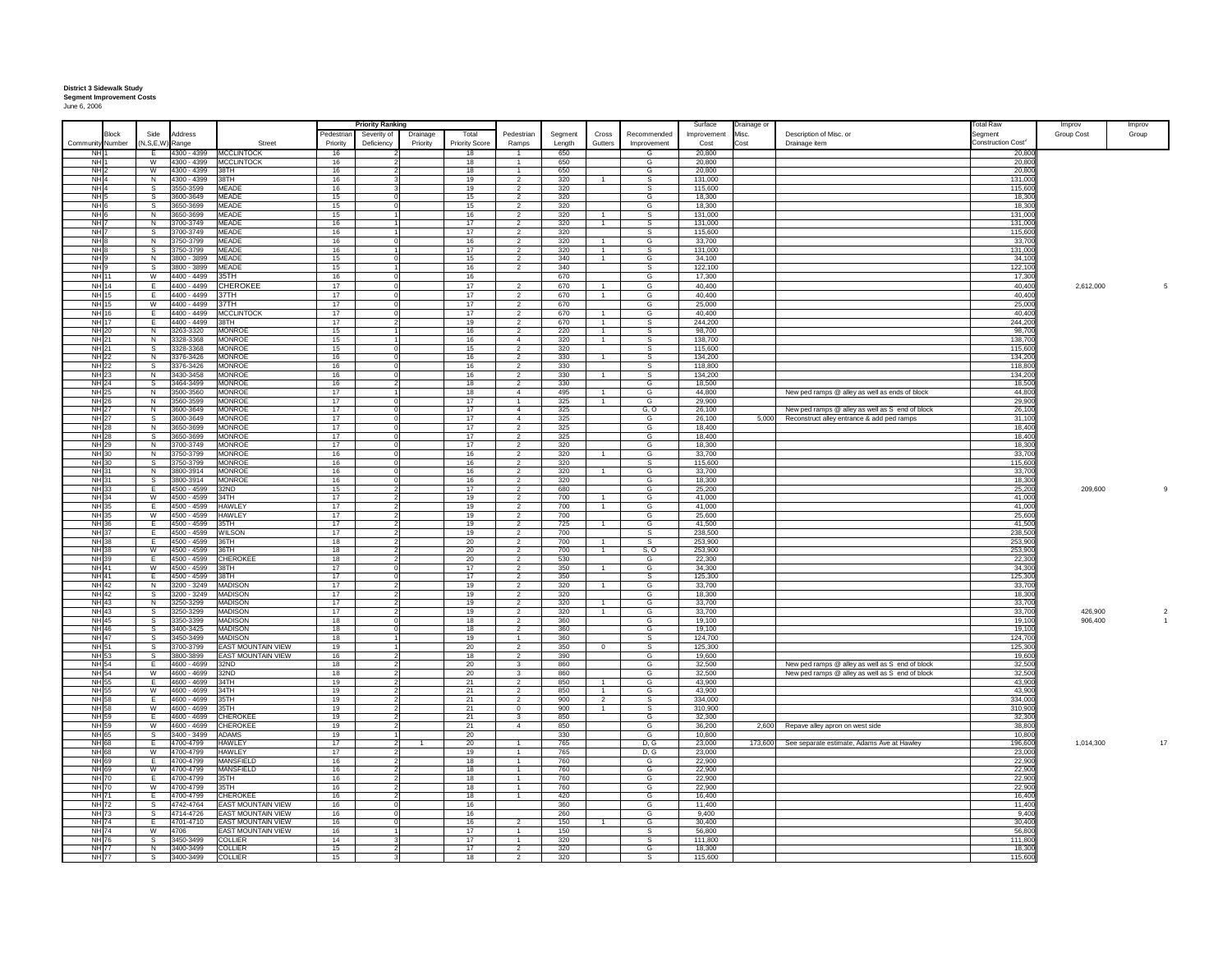## **District 3 Sidewalk Study Segment Improvement Costs** June 6, 2006

|                                    |                              |                            |                                                 |                | <b>Priority Ranking</b> |          |                       |                                  |               |                |                              | Surface            | Drainage or |                                                                                                     | otal Raw                       | Improv             | Improv |
|------------------------------------|------------------------------|----------------------------|-------------------------------------------------|----------------|-------------------------|----------|-----------------------|----------------------------------|---------------|----------------|------------------------------|--------------------|-------------|-----------------------------------------------------------------------------------------------------|--------------------------------|--------------------|--------|
| <b>Block</b>                       | Side                         | Address                    |                                                 | Pedestriar     | Severity of             | Drainage | Total                 | Pedestrian                       | Segment       | Cross          | Recommended                  | Improvement        | Misc.       | Description of Misc. or                                                                             | Segment                        | Group Cost         | Group  |
| Community<br>Numbe<br><b>NH</b>    | N.S.E.W) Range<br>- F        |                            | Stree<br>4300 - 4399 MCCLINTOCK                 | Priority<br>16 | Deficiency              | Priority | <b>Priority Score</b> | Ramps                            | Length<br>650 | Gutters        | Improvement                  | Cost<br>20,800     |             | Drainage item                                                                                       | Construction Cost <sup>2</sup> |                    |        |
| NH <sup>1</sup>                    | W                            |                            | 4300 - 4399 MCCLINTOCK                          | 16             |                         |          | 18<br>18              | $\overline{1}$                   | 650           |                | G                            | 20,800             |             |                                                                                                     | 20,800<br>20,800               |                    |        |
| NH <sub>2</sub>                    | W                            | 4300 - 4399                | 38TH                                            | 16             |                         |          | 18                    | $\mathbf{1}$                     | 650           |                | G                            | 20,800             |             |                                                                                                     | 20,800                         |                    |        |
| NH <sub>4</sub>                    | N                            | 4300 - 4399                | 38TH                                            | 16             |                         |          | 19                    | $\overline{2}$                   | 320           |                | $\overline{s}$               | 131,000            |             |                                                                                                     | 131,000                        |                    |        |
| NH<br>NH <sub>5</sub>              | S<br>$\overline{s}$          | 3550-3599<br>3600-3649     | <b>MEADE</b><br><b>MFADE</b>                    | 16<br>15       |                         |          | 19<br>15              | $\overline{2}$                   | 320<br>320    |                | G                            | 115,600<br>18,300  |             |                                                                                                     | 115,60<br>18,300               |                    |        |
| NH <sub>6</sub>                    | s                            | 3650-3699                  | <b>MEADE</b>                                    | 15             |                         |          | 15                    | 2                                | 320           |                | G                            | 18,300             |             |                                                                                                     | 18,300                         |                    |        |
| NH <sub>6</sub>                    | N                            | 3650-3699                  | <b>MFADE</b>                                    | 15             |                         |          | 16                    | $\overline{2}$                   | 320           |                | -S                           | 131.000            |             |                                                                                                     | 131.00                         |                    |        |
| NH                                 | N                            | 700-3749                   | <b>MEADE</b>                                    | 16             |                         |          | 17                    | $\overline{2}$                   | 320           |                | s                            | 131,000            |             |                                                                                                     | 131,00                         |                    |        |
| NH <sup>1</sup><br>NH <sub>8</sub> | S.<br>N                      | 3700-3749<br>3750-3799     | <b>MFADE</b><br><b>MEADE</b>                    | 16<br>16       |                         |          | 17<br>16              | $\overline{2}$<br>$\overline{2}$ | 320<br>320    |                | S<br>G                       | 115,600<br>33,700  |             |                                                                                                     | 115.60<br>33,70                |                    |        |
| NH <sub>8</sub>                    | s.                           | 3750-3799                  | <b>MEADE</b>                                    | 16             |                         |          | 17                    | $\overline{2}$                   | 320           | $\overline{1}$ | -S                           | 131,000            |             |                                                                                                     | 131,00                         |                    |        |
| NH 9                               | N                            | 800 - 3899                 | <b>MEADE</b>                                    | 15             |                         |          | 15                    | $\overline{\phantom{a}}$         | 340           | $\overline{1}$ | G                            | 34,100             |             |                                                                                                     | 34,10                          |                    |        |
| <b>NH</b>                          | -S                           | 3800 - 3899                | <b>MFADE</b>                                    | 15             |                         |          | 16                    | $\overline{\phantom{a}}$         | 340           |                |                              | 122,100            |             |                                                                                                     | 122,1                          |                    |        |
| NH 11<br><b>NH</b> 14              | W<br>F                       | 4400 - 4499<br>4400 - 4499 | 35TH<br><b>CHEROKEE</b>                         | 16<br>17       |                         |          | 16<br>17              | $\overline{2}$                   | 670<br>670    |                | G<br>G                       | 17.300<br>40,400   |             |                                                                                                     | 17,300<br>40,400               | 2,612,000          |        |
| <b>NH</b> 15                       | F.                           | 4400 - 4499                | 37TH                                            | 17             |                         |          | 17                    | $\overline{2}$                   | 670           | $\overline{1}$ | G                            | 40,400             |             |                                                                                                     | 40,400                         |                    |        |
| NH 15                              | W                            | 4400 - 4499                | 37TH                                            | 17             |                         |          | 17                    | 2                                | 670           |                | G                            | 25,000             |             |                                                                                                     | 25,000                         |                    |        |
| <b>NH</b> 16                       | Ε                            | 4400 - 4499                | <b>MCCLINTOCK</b>                               | 17             |                         |          | 17                    | 2                                | 670           |                | G                            | 40,400             |             |                                                                                                     | 40,400                         |                    |        |
| <b>NH 17</b><br><b>NH 20</b>       | E<br>N                       | 4400 - 4499<br>3263-3320   | 38TH<br><b>MONROE</b>                           | 17<br>15       |                         |          | 19<br>16              | $\overline{2}$<br>$\overline{2}$ | 670<br>220    | $\overline{1}$ | s<br>$\overline{\mathbf{s}}$ | 244,200<br>98,700  |             |                                                                                                     | 244,20<br>98,700               |                    |        |
| NH 21                              | N                            | 3328-3368                  | <b>MONROE</b>                                   | 15             |                         |          | 16                    | $\overline{4}$                   | 320           |                | S                            | 138,700            |             |                                                                                                     | 138,70                         |                    |        |
| <b>NH 21</b>                       | -S                           | 3328-3368                  | <b>MONROF</b>                                   | 15             |                         |          | 15                    | $\overline{2}$                   | 320           |                | -S                           | 115.600            |             |                                                                                                     | 115.60                         |                    |        |
| <b>NH 22</b>                       | $\mathsf{N}$                 | 376-3426                   | <b>MONROE</b>                                   | 16             |                         |          | 16                    | $\mathcal{L}$                    | 330           |                | <b>s</b>                     | 134,200            |             |                                                                                                     | 134,20                         |                    |        |
| NH 22<br><b>NH 23</b>              | -S<br>N                      | 3376-3426<br>3430-3458     | <b>MONROF</b><br><b>MONROE</b>                  | 16<br>16       |                         |          | 16<br>16              | $\overline{2}$<br>$\overline{2}$ | 330<br>330    | $\overline{1}$ | -S<br>s                      | 118,800<br>134,200 |             |                                                                                                     | 118,80<br>134,200              |                    |        |
| <b>NH 24</b>                       | s.                           | 3464-3499                  | <b>MONROF</b>                                   | 16             |                         |          | 18                    | $\overline{2}$                   | 330           |                | G                            | 18,500             |             |                                                                                                     | 18,500                         |                    |        |
| <b>NH 25</b>                       | N                            | 3500-3560                  | <b>MONROE</b>                                   | 17             |                         |          | 18                    | $\overline{4}$                   | 495           |                | G                            | 44,800             |             | New ped ramps @ alley as well as ends of block                                                      | 44,800                         |                    |        |
| <b>NH 26</b><br>NH 27              | N<br>$\overline{N}$          | 3560-3599<br>3600-3649     | <b>MONROE</b><br><b>MONROE</b>                  | 17<br>17       |                         |          | $\overline{17}$<br>17 | $\overline{4}$                   | 325<br>325    |                | G<br>G. O                    | 29,900<br>26,100   |             |                                                                                                     | 29,90<br>26,100                |                    |        |
| <b>NH27</b>                        | s                            | 3600-3649                  | <b>MONROE</b>                                   | 17             |                         |          | 17                    | $\overline{4}$                   | 325           |                | G                            | 26,100             |             | New ped ramps @ alley as well as S end of block<br>5,000 Reconstruct alley entrance & add ped ramps | 31,100                         |                    |        |
| <b>NH</b> 28                       | $\overline{N}$               | 3650-3699                  | <b>MONROF</b>                                   | 17             |                         |          | 17                    | $\overline{2}$                   | 325           |                | G                            | 18.400             |             |                                                                                                     | 18.40                          |                    |        |
| <b>NH 28</b>                       | s                            | 650-3699                   | <b>MONROE</b>                                   | 17             |                         |          | 17                    | $\overline{2}$                   | 325           |                | G                            | 18,400             |             |                                                                                                     | 18,40                          |                    |        |
| NH 29<br><b>NH 30</b>              | N<br>N                       | 3700-3749<br>3750-3799     | <b>MONROF</b><br><b>MONROE</b>                  | 17<br>16       |                         |          | 17<br>16              | $\overline{2}$<br>$\overline{2}$ | 320<br>320    |                | G<br>G                       | 18.300<br>33,700   |             |                                                                                                     | 18.30<br>33,70                 |                    |        |
| NH 30                              | S.                           | 3750-3799                  | <b>MONROF</b>                                   | 16             |                         |          | 16                    | $\overline{2}$                   | 320           |                | <b>S</b>                     | 115,600            |             |                                                                                                     | 115,60                         |                    |        |
| <b>NH 31</b>                       | Z                            | 800-3914                   | <b>MONROE</b>                                   | 16             |                         |          | 16                    | $\overline{2}$                   | 320           |                | G                            | 33,700             |             |                                                                                                     | 33,70                          |                    |        |
| NH 31                              | <b>s</b>                     | 3800-3914                  | <b>MONROF</b>                                   | 16             |                         |          | 16                    | $\overline{2}$                   | 320           |                | G                            | 18,300             |             |                                                                                                     | 18,30                          |                    |        |
| <b>NH</b> 33<br><b>NH</b> 34       | F<br>W                       | 4500 - 4599<br>4500 - 4599 | 32ND<br>34TH                                    | 15<br>17       |                         |          | 17<br>19              | $\overline{2}$<br>$\overline{2}$ | 680<br>700    |                | G<br>G                       | 25,200<br>41,000   |             |                                                                                                     | 25,200<br>41,000               | 209,600            |        |
| <b>NH 35</b>                       | E                            | 4500 - 4599                | <b>HAWLEY</b>                                   | 17             |                         |          | 19                    | 2                                | 700           | $\mathbf{1}$   | G                            | 41,000             |             |                                                                                                     | 41,000                         |                    |        |
| <b>NH 35</b>                       | W                            | 4500 - 4599                | <b>HAWLEY</b>                                   | 17             |                         |          | 19                    |                                  | 700           |                | G                            | 25,600             |             |                                                                                                     | 25,600                         |                    |        |
| NH 36                              | $\overline{F}$<br>F          | 4500 - 4599                | 35TH                                            | 17             |                         |          | 19                    | $\overline{2}$                   | 725           |                | G                            | 41,500             |             |                                                                                                     | 41,500                         |                    |        |
| <b>NH 37</b><br><b>NH</b> 38       | F.                           | 4500 - 4599<br>4500 - 4599 | <b>WILSON</b><br>36TH                           | 17<br>18       |                         |          | 19<br>20              | 2<br>$\overline{2}$              | 700<br>700    |                | <b>S</b><br>-S               | 238,500<br>253,900 |             |                                                                                                     | 238,500<br>253.90              |                    |        |
| <b>NH</b> 38                       | W                            | 4500 - 4599                | 36TH                                            | 18             |                         |          | 20                    | $\overline{2}$                   | 700           |                | S, O                         | 253,900            |             |                                                                                                     | 253,90                         |                    |        |
| NH 39                              | Ŧ                            | 4500 - 4599 CHEROKEE       |                                                 | 18             |                         |          | 20                    | $\overline{2}$                   | 530           |                | $\overline{G}$               | 22,300             |             |                                                                                                     | 22.30                          |                    |        |
| <b>NH 41</b><br><b>NH 41</b>       | W<br>F                       | 4500 - 4599<br>4500 - 4599 | 38TH<br>38TH                                    | 17<br>17       |                         |          | 17<br>17              | $\overline{2}$<br>$\overline{2}$ | 350<br>350    |                | G<br>s                       | 34,300<br>125,300  |             |                                                                                                     | 34,30<br>125,30                |                    |        |
| <b>NH 42</b>                       | N                            | 3200 - 3249                | <b>MADISON</b>                                  | 17             |                         |          | 19                    | $\overline{2}$                   | 320           | $\overline{1}$ | G                            | 33,700             |             |                                                                                                     | 33,700                         |                    |        |
| <b>NH 42</b>                       | S.                           | 3200 - 3249                | <b>MADISON</b>                                  | 17             |                         |          | 19                    | $\overline{2}$                   | 320           |                | G                            | 18,300             |             |                                                                                                     | 18,30                          |                    |        |
| <b>NH 43</b>                       | $\overline{N}$               | 3250-3299                  | <b>MADISON</b>                                  | 17             |                         |          | 19                    | $\overline{\phantom{a}}$         | 320           |                | G                            | 33,700             |             |                                                                                                     | 33,700                         |                    |        |
| <b>NH 43</b><br><b>NH 45</b>       | s.<br>$\overline{s}$         | 3250-3299<br>3350-3399     | <b>MADISON</b><br><b>MADISON</b>                | 17<br>18       |                         |          | 19<br>18              | 2<br>2                           | 320<br>360    |                | G<br>G                       | 33,700<br>19.100   |             |                                                                                                     | 33,700<br>19.10                | 426,900<br>906,400 |        |
| <b>NH 46</b>                       | s                            | 3400-3425                  | <b>MADISON</b>                                  | 18             |                         |          | 18                    | $\overline{2}$                   | 360           |                | G                            | 19,100             |             |                                                                                                     | 19,10                          |                    |        |
| <b>NH 47</b>                       | ς.                           | 3450-3499                  | <b>MADISON</b>                                  | 18             |                         |          | 19                    | $\overline{1}$                   | 360           |                | S                            | 124,700            |             |                                                                                                     | 124.70                         |                    |        |
| <b>NH 51</b><br>NH 53              | s.<br>S.                     | 3700-3799<br>3800-3899     | EAST MOUNTAIN VIEW<br>EAST MOUNTAIN VIEW        | 19<br>16       |                         |          | 20<br>18              | $\overline{2}$<br>$\overline{2}$ | 350<br>390    |                | s<br>G                       | 125,300<br>19,600  |             |                                                                                                     | 125,30                         |                    |        |
| <b>NH 54</b>                       | F.                           | 600 - 4699                 | 32ND                                            | 18             |                         |          | 20                    | 3                                | 860           |                | G                            | 32,500             |             | New ped ramps @ alley as well as S end of block                                                     | 19,600<br>32,50                |                    |        |
| NH 54                              | W.                           | 4600 - 4699                | 32ND                                            | 18             |                         |          | 20                    | $\mathbf{R}$                     | 860           |                | G                            | 32.500             |             | New ped ramps @ alley as well as S end of block                                                     | 32.50                          |                    |        |
| <b>NH</b> 55                       | F                            | 4600 - 4699                | 34TH                                            | 19             |                         |          | 21                    | $\overline{2}$                   | 850           |                | G                            | 43,900             |             |                                                                                                     | 43,900                         |                    |        |
| <b>NH 55</b><br><b>NH 58</b>       | W<br>Ε                       | 4600 - 4699<br>4600 - 4699 | 34TH<br>35TH                                    | 19<br>19       |                         |          | 21<br>21              | $\overline{2}$<br>$\overline{2}$ | 850<br>900    | $\mathbf{1}$   | G<br>s                       | 43,900<br>334,000  |             |                                                                                                     | 43,900<br>334,000              |                    |        |
| <b>NH 58</b>                       | W                            | 4600 - 4699                | 35TH                                            | 19             |                         |          | 21                    | $\overline{0}$                   | 900           |                | s                            | 310,900            |             |                                                                                                     | 310,90                         |                    |        |
| <b>NH 59</b>                       | Έ                            | 4600 - 4699                | <b>CHEROKEE</b>                                 | 19             |                         |          | 21                    | 3                                | 850           |                | G                            | 32,300             |             |                                                                                                     | 32,30                          |                    |        |
| <b>NH 59</b>                       | W                            | 4600 - 4699 CHEROKEE       |                                                 | 19             |                         |          | 21                    | $\overline{4}$                   | 850           |                | G                            | 36,200             | 2,600       | Repave alley apron on west side                                                                     | 38,800                         |                    |        |
| <b>NH</b> 65<br>NH 68              | $\overline{\mathbf{s}}$<br>Е | 3400 - 3499<br>700-4799    | <b>ADAMS</b><br><b>HAWLEY</b>                   | 19<br>17       |                         |          | 20<br>20              |                                  | 330<br>765    |                | G<br>D, G                    | 10.800<br>23,000   | 173,600     | See separate estimate, Adams Ave at Hawley                                                          | 10,800<br>196,600              | 1,014,300          | 17     |
| <b>NH 68</b>                       | W                            | 4700-4799                  | <b>HAWI FY</b>                                  | 17             |                         |          | 19                    | $\overline{1}$                   | 765           |                | D, G                         | 23.000             |             |                                                                                                     | 23.00                          |                    |        |
| <b>NH 69</b>                       | Έ                            | 4700-4799                  | MANSFIELD                                       | 16             |                         |          | 18                    |                                  | 760           |                | G                            | 22,900             |             |                                                                                                     | 22,90                          |                    |        |
| <b>NH 69</b>                       | W.<br>F.                     | 4700-4799                  | MANSFIFI D                                      | 16             |                         |          | 18                    | $\overline{1}$                   | 760           |                | G                            | 22,900             |             |                                                                                                     | 22.90                          |                    |        |
| <b>NH 70</b><br><b>NH 70</b>       | W                            | 700-4799<br>4700-4799      | 35TH<br>35TH                                    | 16<br>16       |                         |          | 18<br>18              | $\overline{1}$                   | 760<br>760    |                | G<br>G                       | 22,900<br>22,900   |             |                                                                                                     | 22,90<br>22.90                 |                    |        |
| <b>NH 71</b>                       | F                            | 1700-4799                  | <b>CHEROKEE</b>                                 | 16             |                         |          | 18                    |                                  | 420           |                | G                            | 16,400             |             |                                                                                                     | 16,40                          |                    |        |
| <b>NH 72</b>                       | S.                           | 4742-4764                  | <b>EAST MOUNTAIN VIEW</b>                       | 16             |                         |          | 16                    |                                  | 360           |                | G                            | 11,400             |             |                                                                                                     | 11,400                         |                    |        |
| <b>NH 73</b><br><b>NH 74</b>       | $\overline{s}$               | 4714-4726<br>4701-4710     | <b>FAST MOUNTAIN VIEW</b><br>EAST MOUNTAIN VIEW | 16             |                         |          | 16                    |                                  | 260<br>150    |                | G<br>G                       | 9.400              |             |                                                                                                     | 9.40                           |                    |        |
| <b>NH 74</b>                       | W                            | 4706                       | <b>FAST MOUNTAIN VIEW</b>                       | 16<br>16       |                         |          | 16<br>17              | $\overline{1}$                   | 150           |                | -S                           | 30,400<br>56,800   |             |                                                                                                     | 30,40<br>56.80                 |                    |        |
| <b>NH 76</b>                       | $\overline{s}$               | 3450-3499                  | <b>COLLIER</b>                                  | 14             |                         |          | 17                    |                                  | 320           |                | s                            | 111,800            |             |                                                                                                     | 111.80                         |                    |        |
| <b>NH 77</b>                       | $\overline{N}$               | 3400-3499                  | COLLIER                                         | 15             |                         |          | 17                    | 2                                | 320           |                | G                            | 18,300             |             |                                                                                                     | 18.30                          |                    |        |
| <b>NH 77</b>                       | s                            | 3400-3499                  | COLLIER                                         | 15             |                         |          | 18                    |                                  | 320           |                |                              | 115,600            |             |                                                                                                     | 115.60                         |                    |        |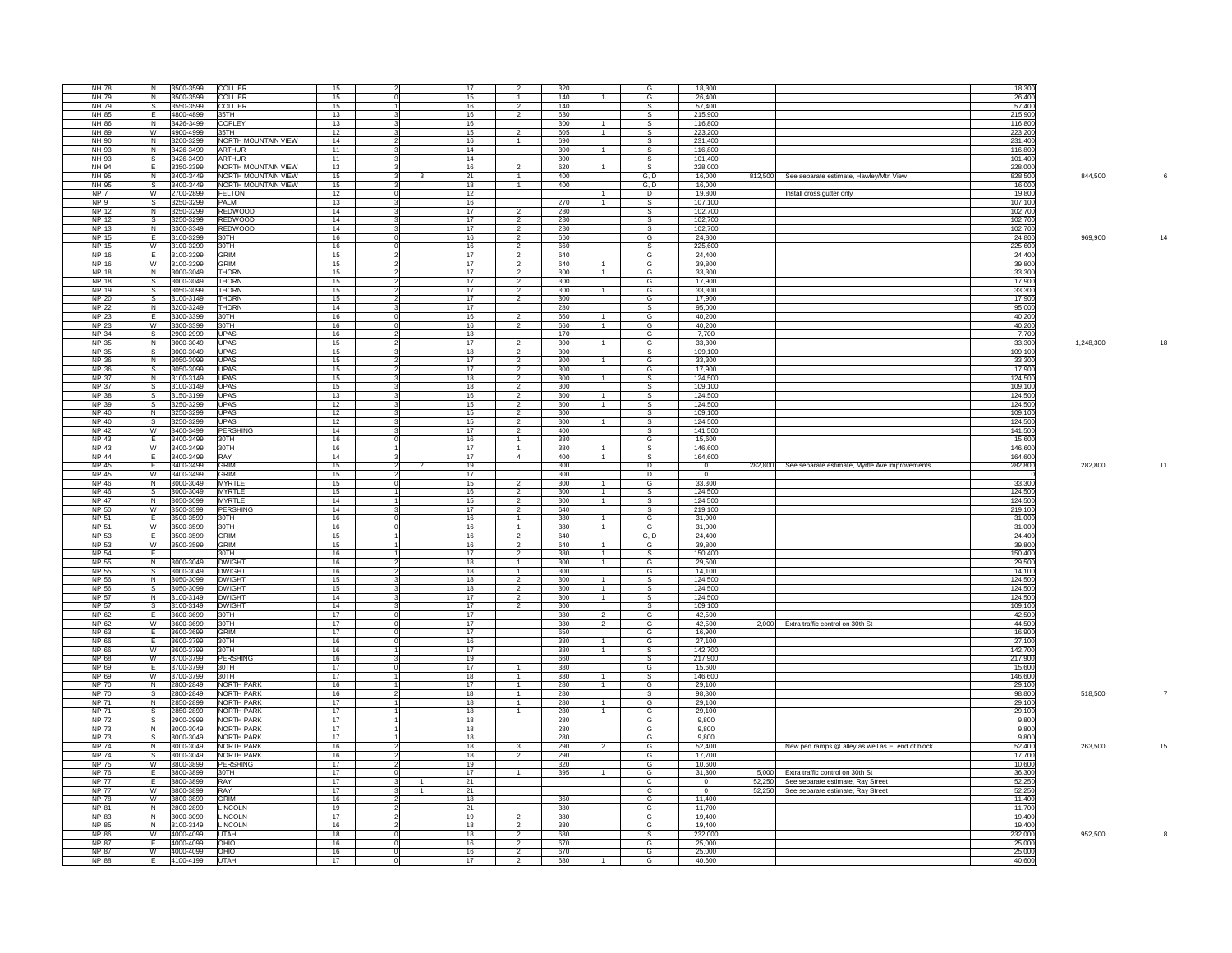| <b>NH 78</b><br>NH 79<br>NH |                         |                        |                     |          |                |          |                |            |                |                         |                          |        |                                                        |                |                 |
|-----------------------------|-------------------------|------------------------|---------------------|----------|----------------|----------|----------------|------------|----------------|-------------------------|--------------------------|--------|--------------------------------------------------------|----------------|-----------------|
|                             | N                       | 3500-3599              | <b>COLLIER</b>      | 15       |                | 17       | $\mathcal{P}$  | 320        |                | G                       | 18,300                   |        |                                                        | 18,300         |                 |
|                             | $\overline{N}$          | 3500-3599              | <b>COLLIER</b>      | 15       |                | 15       | $\overline{1}$ | 140        |                | G                       | 26,400                   |        |                                                        | 26,400         |                 |
|                             | s                       | 3550-3599              | COLLIER             | 15       |                | 16       | $\overline{2}$ | 140        |                |                         | 57,400                   |        |                                                        | 57,400         |                 |
| NH <sub>6</sub>             | F.                      | 4800-4899              | 35TH                | 13       |                | 16       | $\overline{2}$ | 630        |                | S.                      | 215,900                  |        |                                                        | 215.900        |                 |
| <b>NH</b>                   | $\overline{N}$          |                        | COPI FY             |          |                |          |                |            |                | $\overline{\mathbf{s}}$ |                          |        |                                                        | 116,800        |                 |
|                             |                         | 3426-3499              |                     | 13       |                | 16       |                | 300        |                |                         | 116,800                  |        |                                                        |                |                 |
| NH                          | W                       | 4900-4999              | 35TH                | 12       |                | 15       | $\overline{2}$ | 605        | 1              |                         | 223,200                  |        |                                                        | 223,20         |                 |
| <b>NH</b> 90                | $\overline{N}$          | 3200-3299              | NORTH MOUNTAIN VIEW | 14       |                | 16       | $\overline{1}$ | 690        |                | S.                      | 231.400                  |        |                                                        | 231.40         |                 |
| <b>NH 93</b>                | $\overline{N}$          | 3426-3499              | ARTHUR              | 11       |                | 14       |                | 300        | $\mathbf{1}$   | s                       | 116,800                  |        |                                                        | 116,800        |                 |
| <b>NH</b>                   | S,                      | 3426-3499              | ARTHUR              | 11       |                | 14       |                | 300        |                | s                       | 101,400                  |        |                                                        | 101,400        |                 |
| <b>NH</b>                   | Ŧ                       | 3350-3399              | NORTH MOUNTAIN VIEW | 13       |                | 16       | $\mathcal{P}$  | 620        |                | S.                      | 228,000                  |        |                                                        | 228.00         |                 |
|                             |                         |                        |                     |          |                |          |                |            |                |                         |                          |        |                                                        |                |                 |
| NH 9                        | $\overline{N}$          | 3400-3449              | NORTH MOUNTAIN VIEW | 15       | $\mathbf{3}$   | 21       | $\overline{1}$ | 400        |                | G, D                    | 16,000                   |        | 812,500 See separate estimate, Hawley/Mtn View         | 828,500        | 844,500         |
| <b>NH</b>                   | s                       | 3400-3449              | NORTH MOUNTAIN VIEW | 15       |                | 18       | $\mathbf{1}$   | 400        |                | G, D                    | 16,000                   |        |                                                        | 16,00          |                 |
| <b>NP</b>                   | W                       | 2700-2899              | FFI TON             | 12       |                | 12       |                |            | 1              | D.                      | 19.800                   |        | Install cross gutter only                              | 19.800         |                 |
| <b>NP</b>                   | $\mathbf{s}$            | 3250-3299              | <b>PAIM</b>         | 13       |                | 16       |                | 270        | $\overline{1}$ | s.                      | 107.100                  |        |                                                        | 107,100        |                 |
| <b>NP</b>                   | N                       | 3250-3299              | REDWOOD             | 14       |                | 17       |                | 280        |                |                         | 102,700                  |        |                                                        | 102,70         |                 |
| NP <sub>1</sub>             | $\overline{\mathbf{s}}$ | 3250-3299              | <b>REDWOOD</b>      | 14       |                | 17       | $\overline{2}$ | 280        |                |                         | 102.700                  |        |                                                        | 102.700        |                 |
|                             |                         |                        |                     |          |                |          |                |            |                | S.                      |                          |        |                                                        |                |                 |
| <b>NP13</b>                 | $\overline{N}$          | 3300-3349              | <b>REDWOOD</b>      | 14       |                | 17       | $\overline{2}$ | 280        |                | s.                      | 102,700                  |        |                                                        | 102,700        |                 |
| <b>NP</b>                   | Ŧ                       | 3100-3299              | 30TH                | 16       |                | 16       | $\overline{2}$ | 660        |                | G                       | 24,800                   |        |                                                        | 24,800         | 969,900         |
| <b>NP 15</b>                | W                       | 3100-3299              | 30TH                | 16       |                | 16       | $\overline{2}$ | 660        |                | S.                      | 225,600                  |        |                                                        | 225,600        |                 |
| $\frac{1}{2}$               | E                       | 3100-3299              | <b>GRIM</b>         | 15       |                | 17       | $\overline{2}$ | 640        |                | G                       | 24,400                   |        |                                                        | 24,400         |                 |
| <b>NP</b> 16                | W                       | 3100-3299              | <b>GRIM</b>         | 15       |                | 17       | $\overline{2}$ | 640        |                | G                       | 39.800                   |        |                                                        | 39.800         |                 |
| N <sub>P</sub>              |                         |                        |                     |          |                |          |                |            |                |                         |                          |        |                                                        |                |                 |
|                             | N                       | 3000-3049              | <b>THORN</b>        | 15       |                | 17       | $\overline{2}$ | 300        | $\overline{1}$ | G                       | 33,300                   |        |                                                        | 33,300         |                 |
| NP <sup>1</sup>             | $\overline{\mathbf{s}}$ | 3000-3049              | Thorn               | 15       |                | 17       | $\overline{2}$ | 300        |                | G                       | 17,900                   |        |                                                        | 17,900         |                 |
| NP 19                       | $\mathbf{s}$            | 3050-3099              | Thorn               | 15       |                | 17       | $\overline{2}$ | $300 -$    | 1              | G                       | 33,300                   |        |                                                        | 33.300         |                 |
| <b>NP</b>                   | s                       | 3100-3149              | THORN               | 15       |                | 17       | $\overline{2}$ | 300        |                | G                       | 17,900                   |        |                                                        | 17,900         |                 |
| <b>NP 22</b>                | $\overline{N}$          | 3200-3249              | THORN               | 14       |                | 17       |                | 280        |                | s                       | 95,000                   |        |                                                        | 95,000         |                 |
| NP 23                       | $\overline{E}$          | 3300-3399              | 30TH                | 16       |                | 16       | 2              | 660        | 1              | G                       | 40.200                   |        |                                                        | 40.20          |                 |
|                             |                         |                        |                     |          |                |          |                |            |                |                         |                          |        |                                                        |                |                 |
| NP 23                       | W                       | 3300-3399              | 30TH                | 16       |                | 16       | $\overline{2}$ | 660        | $\overline{1}$ | G                       | 40.200                   |        |                                                        | 40,200         |                 |
| <b>NP 34</b>                | $\overline{s}$          | 2900-2999              | UPAS                | 16       |                | 18       |                | 170        |                | G                       | 7,700                    |        |                                                        | 7,700          |                 |
| <b>NP 35</b>                | N                       | 3000-3049              | <b>UPAS</b>         | 15       |                | 17       | $\overline{2}$ | 300        | 1              | G                       | 33.300                   |        |                                                        | 33.300         | 1.248.300<br>18 |
| NP 35                       | <sub>S</sub>            | 3000-3049              | <b>UPAS</b>         | 15       |                | 18       | $\overline{2}$ | 300        |                | S.                      | 109,100                  |        |                                                        | 109,100        |                 |
| <b>NP 36</b>                | N                       | 3050-3099              | UPAS                | 15       |                | 17       | $\overline{2}$ | 300        | $\mathbf{1}$   | G                       | 33,300                   |        |                                                        | 33,300         |                 |
| NP 36                       | S.                      | 3050-3099              | <b>UPAS</b>         | 15       |                | 17       | 2              | $300 -$    |                | G                       | 17.900                   |        |                                                        | 17.900         |                 |
|                             |                         |                        |                     |          |                |          |                |            |                |                         |                          |        |                                                        |                |                 |
| <b>NPI</b>                  | $\overline{N}$          | 3100-3149              | <b>UPAS</b>         | 15       |                | 18       | $\overline{2}$ | 300        |                | s                       | 124,500                  |        |                                                        | 124,500        |                 |
| <b>NP 37</b>                | $\overline{s}$          | 3100-3149              | UPAS                | 15       |                | 18       | $\overline{2}$ | 300        |                | $\overline{s}$          | 109,100                  |        |                                                        | 109,100        |                 |
| <b>NP 38</b>                | $\overline{\mathbf{s}}$ | 3150-3199              | <b>UPAS</b>         | 13       |                | 16       | 2              | 300        | 1              | S.                      | 124,500                  |        |                                                        | 124,500        |                 |
| <b>NPI</b>                  | s                       | 3250-3299              | <b>UPAS</b>         | 12       |                | 15       | $\overline{2}$ | 300        | 1              | s                       | 124,500                  |        |                                                        | 124,500        |                 |
| <b>NP 40</b>                | N                       | 3250-3299              | <b>UPAS</b>         | 12       |                | 15       | $\overline{2}$ | 300        |                | S.                      | 109,100                  |        |                                                        | 109,100        |                 |
| <b>NP 40</b>                |                         |                        |                     |          |                |          |                | 300        |                |                         |                          |        |                                                        | 124.50         |                 |
|                             | $^{\circ}$              | 3250-3299              | <b>UPAS</b>         | 12       |                | 15       | $\overline{2}$ |            | $\overline{1}$ | -S                      | 124,500                  |        |                                                        |                |                 |
| NP <sup>2</sup>             | W                       | 3400-3499              | PERSHING            | 14       |                | 17       | $\overline{2}$ | 400        |                | s                       | 141,500                  |        |                                                        | 141,500        |                 |
| <b>NP 43</b>                | F                       | 3400-3499              | 30TH                | 16       |                | 16       | $\overline{1}$ | 380        |                | G                       | 15,600                   |        |                                                        | 15,600         |                 |
| NP 43                       | - W                     | 3400-3499              | 30TH                | 16       |                | 17       | $\overline{1}$ | 380        | $\overline{1}$ | -S                      | 146.600                  |        |                                                        | 146.600        |                 |
| <b>NP</b> 44                | Ŧ                       | 3400-3499              | RAY                 | 14       |                | 17       | $\overline{4}$ | 400        | T              | s                       | 164,600                  |        |                                                        | 164,600        |                 |
| <b>NP 45</b>                | Έ                       | 3400-3499              | GRIM                | 15       | $\overline{2}$ | 19       |                | 300        |                | D                       | $\overline{0}$           |        | 282,800 See separate estimate, Myrtle Ave improvements | 282,800        | 282,800<br>11   |
| NP 45                       | W                       |                        | GRIM                |          |                |          |                |            |                |                         | $\Omega$                 |        |                                                        |                |                 |
|                             |                         | 3400-3499              |                     | 15       |                | 17       |                | 300        |                | D                       |                          |        |                                                        |                |                 |
| <b>NP46</b>                 | $\overline{z}$          | 3000-3049              | <b>MYRTLE</b>       | 15       |                | 15       |                | 300        | 1              | G                       | 33,300                   |        |                                                        | 33,300         |                 |
| <b>NP 46</b>                | $\overline{\mathbf{s}}$ | 3000-3049              | MYRTI F             | 15       |                | 16       | $\overline{2}$ | 300        | 1              | -S                      | 124,500                  |        |                                                        | 124,500        |                 |
| <b>NP 47</b>                | $\overline{N}$          | 3050-3099              | <b>MYRTIF</b>       | 14       |                | 15       | $\overline{2}$ | 300        | $\overline{1}$ | S.                      | 124,500                  |        |                                                        | 124,500        |                 |
| <b>NP</b>                   | W                       | 3500-3599              | PERSHING            | 14       |                | 17       | $\overline{2}$ | 640        |                | <b>S</b>                | 219,100                  |        |                                                        | 219,100        |                 |
| NP 51                       | F                       | 3500-3599              | 30TH                | 16       |                | 16       | $\mathbf{1}$   | 380        | $\overline{1}$ | G                       | 31.000                   |        |                                                        | 31.000         |                 |
|                             |                         |                        |                     |          |                |          |                |            |                |                         |                          |        |                                                        |                |                 |
| <b>NP 51</b>                | W                       | 3500-3599              | 30TH                | 16       |                | 16       | $\overline{1}$ | 380        | $\overline{1}$ | G                       | 31,000                   |        |                                                        | 31,000         |                 |
| <b>NP</b>                   | E                       | 3500-3599              | GRIM                | 15       |                | 16       | $\overline{2}$ | 640        |                | G, D                    | 24,400                   |        |                                                        | 24,400         |                 |
| <b>NP</b>                   | W                       | 3500-3599              | GRIM                | 15       |                | 16       | $\overline{2}$ | 640        | $\mathbf{1}$   | G                       | 39.800                   |        |                                                        | 39,800         |                 |
| NP <sup>1</sup>             | $\overline{E}$          |                        | 30TH                | 16       |                | 17       | $\overline{2}$ | 380        | 1              | s                       | 150,400                  |        |                                                        |                |                 |
| <b>NP</b>                   | N                       | 3000-3049              | <b>DWIGHT</b>       | 16       |                | 18       | $\overline{1}$ | 300        | $\overline{1}$ |                         |                          |        |                                                        |                |                 |
| <b>NP</b>                   | -S                      | 3000-3049              | <b>DWIGHT</b>       | 16       |                | 18       | $\mathbf{1}$   |            |                |                         |                          |        |                                                        | 150,400        |                 |
| NP 5                        |                         |                        | <b>DWIGHT</b>       |          |                |          |                |            |                | G                       | 29,500                   |        |                                                        | 29,500         |                 |
|                             | N                       | 3050-3099              |                     | 15       |                |          |                | 300        |                | G                       | 14.100                   |        |                                                        | 14.100         |                 |
| <b>NP</b>                   | s.                      | 3050-3099              | <b>DWIGHT</b>       | 15       |                | 18       | $\overline{2}$ | 300        | $\overline{1}$ | -S                      | 124,500                  |        |                                                        | 124,500        |                 |
| <b>NP</b>                   | N                       | 3100-3149              | <b>DWIGHT</b>       | 14       |                | 18       | $\overline{2}$ | 300        | 1              | S.                      | 124,500                  |        |                                                        | 124,500        |                 |
| NP.                         | $\overline{s}$          | 3100-3149              |                     |          |                | 17       | $\overline{2}$ | 300        | $\overline{1}$ | -S                      | 124,500                  |        |                                                        | 124.500        |                 |
|                             | E                       |                        |                     |          |                |          | $\overline{2}$ |            |                | S.                      |                          |        |                                                        |                |                 |
|                             |                         |                        | <b>DWIGHT</b>       | 14       |                | 17       |                | 300        |                |                         | 109,100                  |        |                                                        | 109,100        |                 |
| <b>NP 62</b>                |                         | 3600-3699              | 30TH                | 17       |                | 17       |                | 380        | 2              | G                       | 42,500                   |        |                                                        | 42,500         |                 |
| <b>NP</b>                   | W                       | 3600-3699              | 30TH                | 17       |                | 17       |                | 380        | $\overline{2}$ | G                       | 42.500                   | 2.000  | Extra traffic control on 30th St                       | 44.50          |                 |
| NP <sub>1</sub>             | $\overline{E}$          | 3600-3699              | GRIM                | 17       |                | 17       |                | 650        |                | G                       | 16,900                   |        |                                                        | 16,900         |                 |
| <b>NP</b>                   | E                       | 3600-3799              | 30TH                | 16       |                | 16       |                | 380        | $\mathbf{1}$   | G                       | 27,100                   |        |                                                        | 27,100         |                 |
| <b>NP</b>                   | W                       | 3600-3799              | 30TH                | 16       |                | 17       |                | 380        | $\mathbf{1}$   | $\mathbf{s}$            | 142,700                  |        |                                                        | 142.70         |                 |
| <b>NP</b>                   | w                       | 3700-3799              | <b>PERSHING</b>     | 16       |                | 19       |                | 660        |                | S.                      | 217,900                  |        |                                                        | 217,900        |                 |
| <b>NP</b>                   | E                       | 3700-3799              | 30TH                | 17       |                | 17       | 1              | 380        |                | G                       | 15,600                   |        |                                                        | 15,600         |                 |
| <b>NP</b>                   | W                       | 3700-3799              | 30TH                |          |                | 18       | $\mathbf{1}$   | 380        |                | s.                      | 146,600                  |        |                                                        | 146.60         |                 |
|                             |                         |                        |                     | 17       |                |          |                |            |                |                         |                          |        |                                                        |                |                 |
| NP <sub>1</sub>             | N                       | 2800-2849              | <b>NORTH PARK</b>   | 16       |                | 17       | $\overline{1}$ | 280        | $\overline{1}$ | G                       | 29,100                   |        |                                                        | 29,10          |                 |
| <b>NP 70</b>                | s.                      | 2800-2849              | <b>NORTH PARK</b>   | 16       |                | 18       | 1              | 280        |                | s.                      | 98,800                   |        |                                                        | 98,800         | 518,500<br>7    |
| <b>NP</b>                   | Z.                      | 2850-2899              | <b>NORTH PARK</b>   | 17       |                | 18       | $\overline{1}$ | 280        | $\overline{1}$ | G                       | 29.100                   |        |                                                        | 29.10          |                 |
| <b>NP</b>                   | $\overline{s}$          | 2850-2899              | <b>NORTH PARK</b>   | 17       |                | 18       | $\overline{1}$ | 280        | $\overline{1}$ | G                       | 29,100                   |        |                                                        | 29,10          |                 |
| <b>NP 72</b>                | $\mathbf{s}$            | 2900-2999              | <b>NORTH PARK</b>   | 17       |                | 18       |                | 280        |                | G                       | 9.800                    |        |                                                        | 9.800          |                 |
| NP <sub>1</sub>             |                         |                        |                     |          |                |          |                |            |                |                         |                          |        |                                                        |                |                 |
|                             | N                       | 3000-3049              | <b>NORTH PARK</b>   | 17       |                | 18       |                | 280        |                | G                       | 9,800                    |        |                                                        | 9,800          |                 |
| <b>NP 73</b>                | $\overline{s}$          | 3000-3049              | <b>NORTH PARK</b>   | 17       |                | 18       |                | 280        |                | G                       | 9,800                    |        |                                                        | 9,800          |                 |
| <b>NP 74</b>                | N                       | 3000-3049              | NORTH PARK          | 16       |                | 18       | 3              | 290        | $\overline{2}$ | G                       | 52.400                   |        | New ped ramps @ alley as well as E end of block        | 52.400         | 15<br>263,500   |
| <b>NP</b>                   | s                       | 3000-3049              | <b>NORTH PARK</b>   | 16       |                | 18       | $\overline{2}$ | 290        |                | G                       | 17,700                   |        |                                                        | 17,70          |                 |
| <b>NP 75</b>                | W                       | 3800-3899              | PERSHING            | 17       |                | 19       |                | 320        |                | G                       | 10,600                   |        |                                                        | 10,600         |                 |
| NP <sub>76</sub>            | E.                      | 3800-3899              | 30TH                | 17       |                | 17       | $\overline{1}$ |            | $\mathbf{1}$   | G                       |                          | 5.000  |                                                        |                |                 |
|                             |                         |                        |                     |          |                |          |                | 395        |                |                         | 31,300                   |        | Extra traffic control on 30th St                       | 36,30          |                 |
| <b>NP</b>                   |                         | 3800-3899              | RAY                 | 17       |                | 21       |                |            |                | c                       | $\overline{0}$           | 52.250 | See separate estimate, Ray Street                      | 52,25          |                 |
| <b>NP 77</b>                | W                       | 3800-3899              | RAY                 | 17       | $\overline{1}$ | 21       |                |            |                | $\overline{c}$          | $\overline{\phantom{0}}$ |        | 52,250 See separate estimate, Ray Street               | 52,250         |                 |
| <b>NP 78</b>                | W                       | 3800-3899              | GRIM                | 16       |                | 18       |                | 360        |                | G                       | 11.400                   |        |                                                        | 11.40          |                 |
| <b>NP</b>                   | N                       | 2800-2899              | <b>INCOLN</b>       | 19       |                | 21       |                | 380        |                | G                       | 11,700                   |        |                                                        | 11,70          |                 |
| <b>NP 83</b>                | N                       | 3000-3099              | LINCOLN             | 17       |                | 19       | $\mathcal{P}$  | 380        |                | G                       | 19,400                   |        |                                                        | 19,400         |                 |
| <b>NP</b>                   | N                       | 3100-3149              | <b>INCOLN</b>       | 16       |                | 18       | $\overline{2}$ | 380        |                | G                       | 19.400                   |        |                                                        | 19.40          |                 |
|                             |                         |                        |                     |          |                |          |                |            |                |                         |                          |        |                                                        |                |                 |
| <b>NP</b>                   | W                       | 4000-4099              | <b>JTAH</b>         | 18       |                | 18       | $\overline{2}$ | 680        |                | s                       | 232,000                  |        |                                                        | 232,00         | 952,500<br>8    |
| NP.                         | E                       | 4000-4099              | OHIO                | 16       |                | 16       | 2              | 670        |                | G                       | 25,000                   |        |                                                        | 25,000         |                 |
| <b>NP 87</b><br><b>NP</b>   | - W<br>Έ                | 4000-4099<br>4100-4199 | <b>OHIO</b><br>UTAH | 16<br>17 |                | 16<br>17 | $\overline{2}$ | 670<br>680 |                | G<br>G                  | 25,000<br>40,600         |        |                                                        | 25.00<br>40.60 |                 |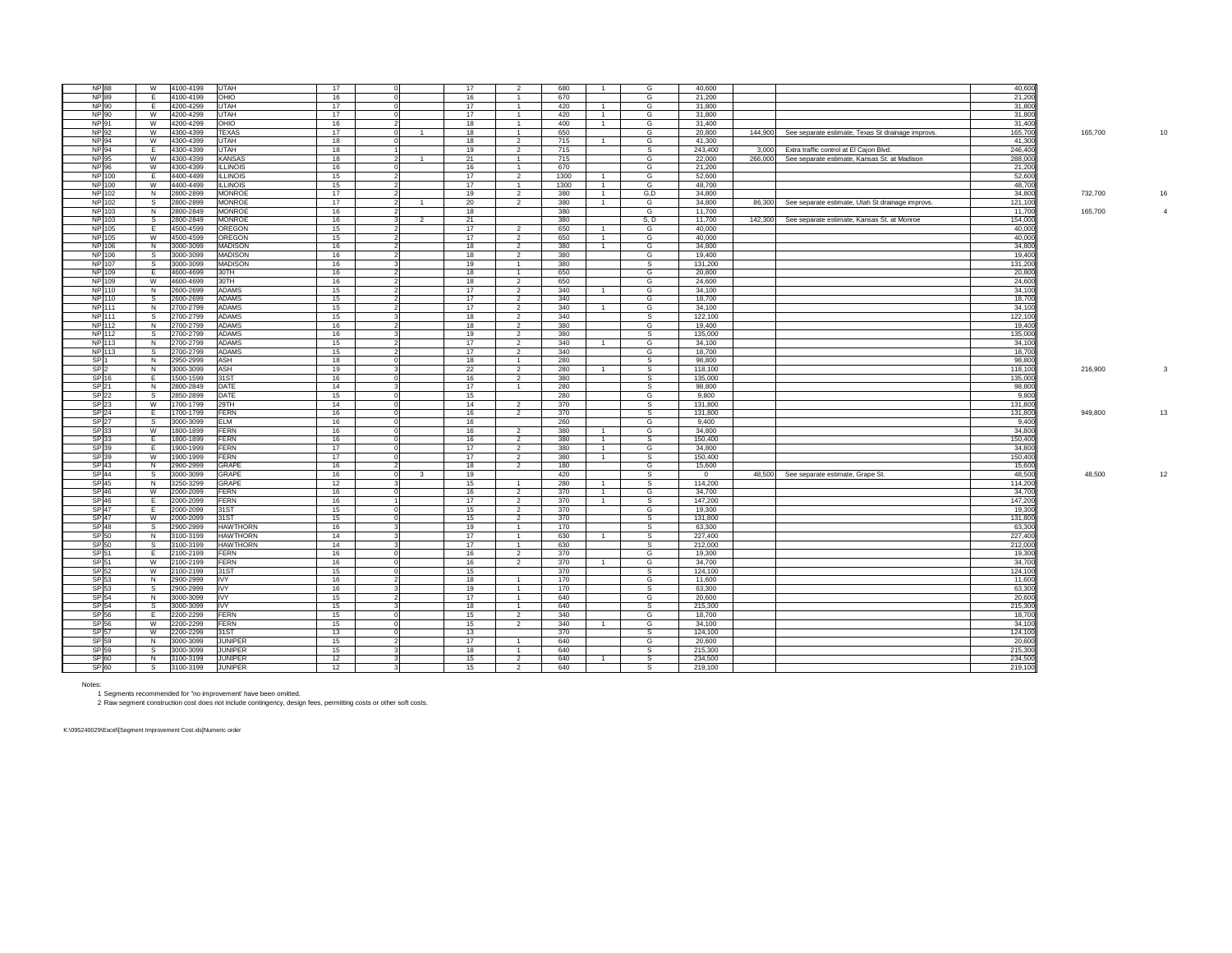| <b>NP 88</b>    |               | W              | 4100-4199 | UTAH            | 17 |          |                         | 17 | $\overline{2}$ | 680  |                | G              | 40,600         |         |                                                   | 40,600  |                           |
|-----------------|---------------|----------------|-----------|-----------------|----|----------|-------------------------|----|----------------|------|----------------|----------------|----------------|---------|---------------------------------------------------|---------|---------------------------|
| <b>NP 89</b>    |               | E              | 4100-4199 | OHIO            | 16 |          |                         | 16 | $\overline{1}$ | 670  |                | G              | 21,200         |         |                                                   | 21,200  |                           |
| <b>NP 90</b>    |               | E              | 4200-4299 | UTAH            | 17 |          |                         | 17 | $\overline{1}$ | 420  | $\overline{1}$ | G              | 31,800         |         |                                                   | 31,800  |                           |
| NP 90           |               | W              | 4200-4299 | UTAH            | 17 |          |                         | 17 | $\mathbf{1}$   | 420  | $\overline{1}$ | G              | 31.800         |         |                                                   | 31,800  |                           |
| <b>NP 91</b>    |               | W              | 4200-4299 | OHIO            | 16 |          |                         | 18 | $\overline{1}$ | 400  | $\overline{1}$ | G              | 31,400         |         |                                                   | 31,400  |                           |
| <b>NP 92</b>    |               | W              | 4300-4399 | <b>TEXAS</b>    | 17 |          | $\overline{1}$          | 18 | $\overline{1}$ | 650  |                | G              | 20,800         | 144,900 | See separate estimate, Texas St drainage improvs. | 165,700 | 165,700<br>10             |
| NP 94           |               | W              | 4300-4399 | UTAH            | 18 |          |                         | 18 | $\overline{2}$ | 715  | $\overline{1}$ | G              | 41,300         |         |                                                   | 41,30   |                           |
| <b>NP 94</b>    |               | E              | 4300-4399 | UTAH            | 18 |          |                         | 19 | $\overline{2}$ | 715  |                | S              | 243,400        | 3.000   | Extra traffic control at El Caion Blvd.           | 246.40  |                           |
| <b>NP 95</b>    |               | W              | 4300-4399 | <b>KANSAS</b>   | 18 |          |                         | 21 | -1             | 715  |                | G              | 22,000         | 266,000 | See separate estimate, Kansas St. at Madison      | 288,000 |                           |
| NP 96           |               | W              | 4300-4399 | <b>ILLINOIS</b> | 16 |          |                         | 16 | $\overline{1}$ | 670  |                | G              | 21,200         |         |                                                   | 21.20   |                           |
| <b>NP 100</b>   |               | Έ              | 4400-4499 | <b>ILLINOIS</b> | 15 |          |                         | 17 | $\overline{2}$ | 1300 | $\overline{1}$ | G              | 52,600         |         |                                                   | 52,600  |                           |
| NP 100          |               | W              | 4400-4499 | <b>ILLINOIS</b> | 15 |          |                         | 17 | $\overline{1}$ | 1300 | $\overline{1}$ | G              | 48,700         |         |                                                   | 48,700  |                           |
| <b>NP 102</b>   |               | N              | 2800-2899 | <b>MONROE</b>   | 17 |          |                         | 19 | $\overline{2}$ | 380  | $\overline{1}$ | G, D           | 34,800         |         |                                                   | 34,800  | 732,700<br>16             |
| NP 102          |               | S.             | 2800-2899 | <b>MONROE</b>   | 17 |          |                         | 20 | $\overline{2}$ | 380  | $\overline{1}$ | G              | 34,800         | 86,300  | See separate estimate, Utah St drainage improvs.  | 121,10  |                           |
| NP 103          |               | N              | 2800-2849 | <b>MONROE</b>   | 16 |          |                         | 18 |                | 380  |                | G              | 11.700         |         |                                                   | 11.70   | 165,700<br>$\overline{4}$ |
| <b>NP 103</b>   |               | s              | 2800-2849 | <b>MONROE</b>   | 16 |          | $\overline{2}$          | 21 |                | 380  |                | S, D           | 11,700         | 142,300 | See separate estimate, Kansas St. at Monroe       | 154,00  |                           |
| NP 105          |               | E.             | 4500-4599 | OREGON          | 15 |          |                         | 17 | $\overline{2}$ | 650  | $\overline{1}$ | G              | 40,000         |         |                                                   | 40,000  |                           |
| <b>NP 105</b>   |               | W              | 4500-4599 | OREGON          | 15 |          |                         | 17 | $\overline{2}$ | 650  | $\overline{1}$ | G              | 40,000         |         |                                                   | 40,000  |                           |
|                 | <b>NP 106</b> | N              | 3000-3099 | <b>MADISON</b>  | 16 |          |                         | 18 | $\overline{2}$ | 380  | $\overline{1}$ | G              | 34,800         |         |                                                   | 34,800  |                           |
| NP 106          |               | s.             | 3000-3099 | <b>MADISON</b>  | 16 |          |                         | 18 | $\overline{2}$ | 380  |                | G              | 19,400         |         |                                                   | 19,40   |                           |
| NP 107          |               | $\mathsf{s}$   | 3000-3099 | <b>MADISON</b>  | 16 |          |                         | 19 | $\overline{1}$ | 380  |                | s              | 131,200        |         |                                                   | 131.200 |                           |
| NP 109          |               | E              | 4600-4699 | 30TH            | 16 |          |                         | 18 | $\overline{1}$ | 650  |                | G              | 20,800         |         |                                                   | 20,800  |                           |
|                 | NP 109        | W              | 4600-4699 | 30TH            | 16 |          |                         | 18 | $\overline{2}$ | 650  |                | G              | 24,600         |         |                                                   | 24,600  |                           |
| <b>NP 110</b>   |               | Z              | 2600-2699 | <b>ADAMS</b>    | 15 |          |                         | 17 | $\overline{2}$ | 340  | $\overline{1}$ | G              | 34,100         |         |                                                   | 34,10   |                           |
| NP 110          |               | $\mathsf{s}$   | 2600-2699 | <b>ADAMS</b>    | 15 |          |                         | 17 | $\overline{2}$ | 340  |                | G              | 18,700         |         |                                                   | 18,700  |                           |
| <b>NP 111</b>   |               | N <sub>N</sub> | 2700-2799 | <b>ADAMS</b>    | 15 |          |                         | 17 | $\overline{2}$ | 340  | $\overline{1}$ | G              | 34.100         |         |                                                   | 34,100  |                           |
| <b>NP 111</b>   |               | s.             | 2700-2799 | <b>ADAMS</b>    | 15 |          |                         | 18 | $\overline{2}$ | 340  |                | s              | 122,100        |         |                                                   | 122,10  |                           |
| <b>NP 112</b>   |               | N              | 2700-2799 | <b>ADAMS</b>    | 16 |          |                         | 18 | $\overline{2}$ | 380  |                | G              | 19,400         |         |                                                   | 19,400  |                           |
| NP 112          |               | s.             | 2700-2799 | <b>ADAMS</b>    | 16 |          |                         | 19 | 2              | 380  |                | S              | 135,000        |         |                                                   | 135,00  |                           |
| <b>NP113</b>    |               | N              | 2700-2799 | <b>ADAMS</b>    | 15 |          |                         | 17 | $\overline{2}$ | 340  | $\overline{1}$ | G              | 34.100         |         |                                                   | 34,100  |                           |
| NP 113          |               | S.             | 2700-2799 | <b>ADAMS</b>    | 15 |          |                         | 17 | $\overline{2}$ | 340  |                | G              | 18,700         |         |                                                   | 18,70   |                           |
| SP <sub>1</sub> |               | Z              | 2950-2999 | ASH             | 18 |          |                         | 18 | $\overline{1}$ | 280  |                | $\overline{s}$ | 98,800         |         |                                                   | 98.80   |                           |
| SP <sub>2</sub> |               | N              | 3000-3099 | ASH             | 19 |          |                         | 22 | $\overline{2}$ | 280  | $\overline{1}$ | s              | 118,100        |         |                                                   | 118,10  | 216,900<br>3              |
| SP 16           |               | E.             | 1500-1599 | 31ST            | 16 |          |                         | 16 | $\overline{2}$ | 380  |                | s              | 135,000        |         |                                                   | 135.00  |                           |
| SP 21           |               | N              | 2800-2849 | DATE            | 14 |          |                         | 17 | -1             | 280  |                | s              | 98,800         |         |                                                   | 98,800  |                           |
| <b>SP 22</b>    |               | s.             | 2850-2899 | DATE            | 15 |          |                         | 15 |                | 280  |                | G              | 9.800          |         |                                                   | 9.80    |                           |
| SP 23           |               | W              | 1700-1799 | 29TH            | 14 |          |                         | 14 | $\overline{2}$ | 370  |                | s              | 131,800        |         |                                                   | 131,800 |                           |
| SP 24           |               | E              | 1700-1799 | FERN            | 16 |          |                         | 16 | $\overline{2}$ | 370  |                | s              | 131,800        |         |                                                   | 131,800 | 949,800<br>13             |
| <b>SP 27</b>    |               | S.             | 3000-3099 | ELM             | 16 |          |                         | 16 |                | 260  |                | G              | 9.400          |         |                                                   | 9,40    |                           |
| SP 33           |               | W              | 1800-1899 | FERN            | 16 |          |                         | 16 | $\overline{2}$ | 380  |                | G              | 34,800         |         |                                                   | 34,80   |                           |
| <b>SP 33</b>    |               | E              | 1800-1899 | FERN            | 16 |          |                         | 16 | $\overline{2}$ | 380  | $\overline{1}$ | s.             | 150,400        |         |                                                   | 150,40  |                           |
| SP 39           |               | Έ              | 1900-1999 | FERN            | 17 |          |                         | 17 | $\overline{2}$ | 380  | $\mathbf{1}$   | G              | 34,800         |         |                                                   | 34,80   |                           |
| SP 39           |               | W              | 1900-1999 | FERN            | 17 |          |                         | 17 | $\overline{2}$ | 380  | $\overline{1}$ | s              | 150,400        |         |                                                   | 150,400 |                           |
| SP 43           |               | N              | 2900-2999 | GRAPE           | 16 |          |                         | 18 | $\overline{2}$ | 180  |                | G              | 15,600         |         |                                                   | 15,600  |                           |
| <b>SP 44</b>    |               | S.             | 3000-3099 | GRAPE           | 16 |          | $\overline{\mathbf{3}}$ | 19 |                | 420  |                | s.             | $\overline{0}$ |         | 48.500 See separate estimate. Grape St.           | 48,500  | 48,500<br>12              |
| SP 45           |               | Z              | 3250-3299 | <b>GRAPE</b>    | 12 |          |                         | 15 | $\overline{1}$ | 280  | $\overline{1}$ | s              | 114,200        |         |                                                   | 114,200 |                           |
| SP 46           |               | W              | 2000-2099 | FERN            | 16 |          |                         | 16 | $\overline{2}$ | 370  | $\mathbf{1}$   | G              | 34.700         |         |                                                   | 34,700  |                           |
| <b>SP 46</b>    |               | E              | 2000-2099 | FERN            | 16 |          |                         | 17 | $\overline{2}$ | 370  | $\overline{1}$ | s              | 147,200        |         |                                                   | 147,20  |                           |
| <b>SP 47</b>    |               | E.             | 2000-2099 | 31ST            | 15 |          |                         | 15 | $\overline{2}$ | 370  |                | G              | 19,300         |         |                                                   | 19,300  |                           |
| SP 47           |               | W              | 2000-2099 | 31ST            | 15 | $\Omega$ |                         | 15 | $\overline{2}$ | 370  |                | s              | 131,800        |         |                                                   | 131,80  |                           |
| <b>SP 48</b>    |               | s.             | 2900-2999 | <b>HAWTHORN</b> | 16 |          |                         | 19 | $\mathbf{1}$   | 170  |                | s              | 63.300         |         |                                                   | 63,300  |                           |
| SP 50           |               | N <sub>N</sub> | 3100-3199 | <b>HAWTHORN</b> | 14 |          |                         | 17 | $\overline{1}$ | 630  | - 1            | S.             | 227,400        |         |                                                   | 227,400 |                           |
| SP 50           |               | s.             | 3100-3199 | <b>HAWTHORN</b> | 14 |          |                         | 17 | $\overline{1}$ | 630  |                | s              | 212,000        |         |                                                   | 212,00  |                           |
| SP 51           |               | E              | 2100-2199 | FERN            | 16 |          |                         | 16 | $\overline{2}$ | 370  |                | G              | 19,300         |         |                                                   | 19,30   |                           |
| SP 51           |               | W              | 2100-2199 | FERN            | 16 |          |                         | 16 | $\overline{2}$ | 370  | $\overline{1}$ | G              | 34,700         |         |                                                   | 34,70   |                           |
| <b>SP 52</b>    |               | W              | 2100-2199 | 31ST            | 15 |          |                         | 15 |                | 370  |                | s              | 124,100        |         |                                                   | 124,100 |                           |
| SP 53           |               | N              | 2900-2999 | IVY             | 16 |          |                         | 18 | $\overline{1}$ | 170  |                | G              | 11,600         |         |                                                   | 11,60   |                           |
| <b>SP 53</b>    |               | s.             | 2900-2999 | IVY             | 16 |          |                         | 19 | $\overline{1}$ | 170  |                | s.             | 63.300         |         |                                                   | 63.30   |                           |
| SP 54           |               | N              | 3000-3099 | IVY             | 15 |          |                         | 17 | $\overline{1}$ | 640  |                | G              | 20,600         |         |                                                   | 20,60   |                           |
| <b>SP 54</b>    |               | S.             | 3000-3099 | IVY.            | 15 |          |                         | 18 | $\overline{1}$ | 640  |                | s              | 215,300        |         |                                                   | 215,30  |                           |
| SP 56           |               | E.             | 2200-2299 | FERN            | 15 |          |                         | 15 | $\overline{2}$ | 340  |                | G              | 18,700         |         |                                                   | 18,700  |                           |
| <b>SP 56</b>    |               | W              | 2200-2299 | FERN            | 15 |          |                         | 15 | $\overline{2}$ | 340  | $\overline{1}$ | G              | 34.100         |         |                                                   | 34,10   |                           |
| <b>SP 57</b>    |               | W              | 2200-2299 | 31ST            | 13 |          |                         | 13 |                | 370  |                | s.             | 124,100        |         |                                                   | 124,10  |                           |
| SP 59           |               | N              | 3000-3099 | JUNIPER         | 15 |          |                         | 17 | $\overline{1}$ | 640  |                | G              | 20,600         |         |                                                   | 20,600  |                           |
| <b>SP 59</b>    |               | S.             | 3000-3099 | <b>JUNIPER</b>  | 15 |          |                         | 18 | $\overline{1}$ | 640  |                | s              | 215,300        |         |                                                   | 215,30  |                           |
| SP 60           |               | N              | 3100-3199 | <b>JUNIPER</b>  | 12 |          |                         | 15 | $\overline{2}$ | 640  |                | S.             | 234,500        |         |                                                   | 234,50  |                           |
| SP 60           |               | $\mathsf{s}$   | 3100-3199 | <b>JUNIPER</b>  | 12 |          |                         | 15 | $\overline{2}$ | 640  |                | $\overline{s}$ | 219,100        |         |                                                   | 219,100 |                           |

Notes:

1 Segments recommended for "no improvement' have been omitted. 2 Raw segment construction cost does not include contingency, design fees, permitting costs or other soft costs.

K:\095240029\Excel\[Segment Improvement Cost.xls]Numeric order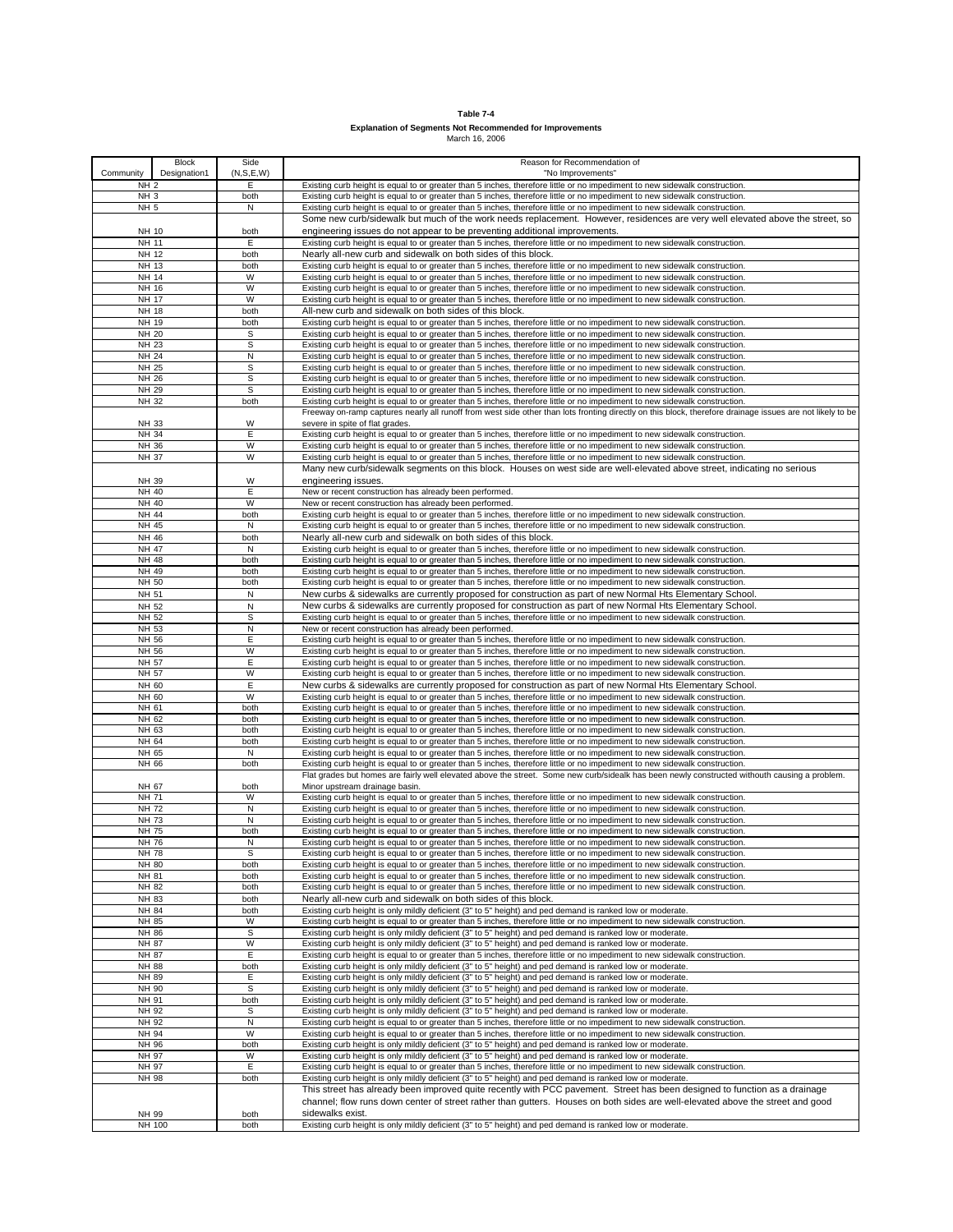| Table 7-4                                                       |
|-----------------------------------------------------------------|
| <b>Explanation of Segments Not Recommended for Improvements</b> |

| <b>Block</b><br>Designation1<br>Community | Side<br>(N, S, E, W) | Reason for Recommendation of<br>"No Improvements"                                                                                                                                                                                                        |
|-------------------------------------------|----------------------|----------------------------------------------------------------------------------------------------------------------------------------------------------------------------------------------------------------------------------------------------------|
| <b>NH 2</b>                               | Е                    | Existing curb height is equal to or greater than 5 inches, therefore little or no impediment to new sidewalk construction.                                                                                                                               |
| NH <sub>3</sub>                           | both                 | Existing curb height is equal to or greater than 5 inches, therefore little or no impediment to new sidewalk construction.                                                                                                                               |
| <b>NH 5</b>                               | N                    | Existing curb height is equal to or greater than 5 inches, therefore little or no impediment to new sidewalk construction.                                                                                                                               |
|                                           |                      | Some new curb/sidewalk but much of the work needs replacement. However, residences are very well elevated above the street, so                                                                                                                           |
| NH 10<br>NH 11                            | both<br>Ε            | engineering issues do not appear to be preventing additional improvements.                                                                                                                                                                               |
| NH 12                                     | both                 | Existing curb height is equal to or greater than 5 inches, therefore little or no impediment to new sidewalk construction.<br>Nearly all-new curb and sidewalk on both sides of this block.                                                              |
| NH 13                                     | both                 | Existing curb height is equal to or greater than 5 inches, therefore little or no impediment to new sidewalk construction.                                                                                                                               |
| NH 14                                     | W                    | Existing curb height is equal to or greater than 5 inches, therefore little or no impediment to new sidewalk construction.                                                                                                                               |
| NH 16                                     | W                    | Existing curb height is equal to or greater than 5 inches, therefore little or no impediment to new sidewalk construction.                                                                                                                               |
| NH 17                                     | W                    | Existing curb height is equal to or greater than 5 inches, therefore little or no impediment to new sidewalk construction.                                                                                                                               |
| NH 18<br>NH 19                            | both<br>both         | All-new curb and sidewalk on both sides of this block.<br>Existing curb height is equal to or greater than 5 inches, therefore little or no impediment to new sidewalk construction.                                                                     |
| NH 20                                     | s                    | Existing curb height is equal to or greater than 5 inches, therefore little or no impediment to new sidewalk construction.                                                                                                                               |
| NH 23                                     | S                    | Existing curb height is equal to or greater than 5 inches, therefore little or no impediment to new sidewalk construction.                                                                                                                               |
| NH 24                                     | N                    | Existing curb height is equal to or greater than 5 inches, therefore little or no impediment to new sidewalk construction.                                                                                                                               |
| NH 25                                     | S                    | Existing curb height is equal to or greater than 5 inches, therefore little or no impediment to new sidewalk construction.                                                                                                                               |
| NH 26<br>NH 29                            | S<br>S               | Existing curb height is equal to or greater than 5 inches, therefore little or no impediment to new sidewalk construction.                                                                                                                               |
| NH 32                                     | both                 | Existing curb height is equal to or greater than 5 inches, therefore little or no impediment to new sidewalk construction.<br>Existing curb height is equal to or greater than 5 inches, therefore little or no impediment to new sidewalk construction. |
|                                           |                      | Freeway on-ramp captures nearly all runoff from west side other than lots fronting directly on this block, therefore drainage issues are not likely to be                                                                                                |
| NH 33                                     | W                    | severe in spite of flat grades.                                                                                                                                                                                                                          |
| NH 34                                     | E                    | Existing curb height is equal to or greater than 5 inches, therefore little or no impediment to new sidewalk construction.                                                                                                                               |
| NH 36<br><b>NH 37</b>                     | W<br>W               | Existing curb height is equal to or greater than 5 inches, therefore little or no impediment to new sidewalk construction.                                                                                                                               |
|                                           |                      | Existing curb height is equal to or greater than 5 inches, therefore little or no impediment to new sidewalk construction.<br>Many new curb/sidewalk segments on this block. Houses on west side are well-elevated above street, indicating no serious   |
| NH 39                                     | W                    | engineering issues.                                                                                                                                                                                                                                      |
| NH 40                                     | Ε                    | New or recent construction has already been performed.                                                                                                                                                                                                   |
| NH 40                                     | W                    | New or recent construction has already been performed.                                                                                                                                                                                                   |
| NH 44                                     | both                 | Existing curb height is equal to or greater than 5 inches, therefore little or no impediment to new sidewalk construction.                                                                                                                               |
| NH 45                                     | N                    | Existing curb height is equal to or greater than 5 inches, therefore little or no impediment to new sidewalk construction.                                                                                                                               |
| NH 46<br>NH 47                            | both<br>N            | Nearly all-new curb and sidewalk on both sides of this block.<br>Existing curb height is equal to or greater than 5 inches, therefore little or no impediment to new sidewalk construction.                                                              |
| NH 48                                     | both                 | Existing curb height is equal to or greater than 5 inches, therefore little or no impediment to new sidewalk construction.                                                                                                                               |
| NH 49                                     | both                 | Existing curb height is equal to or greater than 5 inches, therefore little or no impediment to new sidewalk construction.                                                                                                                               |
| NH 50                                     | both                 | Existing curb height is equal to or greater than 5 inches, therefore little or no impediment to new sidewalk construction.                                                                                                                               |
| NH 51                                     | N                    | New curbs & sidewalks are currently proposed for construction as part of new Normal Hts Elementary School.                                                                                                                                               |
| NH 52<br>NH 52                            | N<br>S               | New curbs & sidewalks are currently proposed for construction as part of new Normal Hts Elementary School.<br>Existing curb height is equal to or greater than 5 inches, therefore little or no impediment to new sidewalk construction.                 |
| NH 53                                     | N                    | New or recent construction has already been performed.                                                                                                                                                                                                   |
| NH 56                                     | E                    | Existing curb height is equal to or greater than 5 inches, therefore little or no impediment to new sidewalk construction.                                                                                                                               |
| NH 56                                     | W                    | Existing curb height is equal to or greater than 5 inches, therefore little or no impediment to new sidewalk construction.                                                                                                                               |
| NH 57                                     | Ε                    | Existing curb height is equal to or greater than 5 inches, therefore little or no impediment to new sidewalk construction.                                                                                                                               |
| NH 57<br>NH 60                            | W<br>Ε               | Existing curb height is equal to or greater than 5 inches, therefore little or no impediment to new sidewalk construction.<br>New curbs & sidewalks are currently proposed for construction as part of new Normal Hts Elementary School.                 |
| NH 60                                     | W                    | Existing curb height is equal to or greater than 5 inches, therefore little or no impediment to new sidewalk construction.                                                                                                                               |
| NH 61                                     | both                 | Existing curb height is equal to or greater than 5 inches, therefore little or no impediment to new sidewalk construction.                                                                                                                               |
| NH 62                                     | both                 | Existing curb height is equal to or greater than 5 inches, therefore little or no impediment to new sidewalk construction.                                                                                                                               |
| NH 63                                     | both                 | Existing curb height is equal to or greater than 5 inches, therefore little or no impediment to new sidewalk construction.                                                                                                                               |
| NH 64                                     | both                 | Existing curb height is equal to or greater than 5 inches, therefore little or no impediment to new sidewalk construction.                                                                                                                               |
| NH 65<br>NH 66                            | N<br>both            | Existing curb height is equal to or greater than 5 inches, therefore little or no impediment to new sidewalk construction.<br>Existing curb height is equal to or greater than 5 inches, therefore little or no impediment to new sidewalk construction. |
|                                           |                      | Flat grades but homes are fairly well elevated above the street. Some new curb/sidealk has been newly constructed withouth causing a problem.                                                                                                            |
| NH 67                                     | both                 | Minor upstream drainage basin.                                                                                                                                                                                                                           |
| NH 71                                     | W                    | Existing curb height is equal to or greater than 5 inches, therefore little or no impediment to new sidewalk construction.                                                                                                                               |
| <b>NH 72</b><br><b>NH 73</b>              | N                    | Existing curb height is equal to or greater than 5 inches, therefore little or no impediment to new sidewalk construction.                                                                                                                               |
| NH 75                                     | N<br>both            | Existing curb height is equal to or greater than 5 inches, therefore little or no impediment to new sidewalk construction.<br>Existing curb height is equal to or greater than 5 inches, therefore little or no impediment to new sidewalk construction. |
| NH 76                                     | Ν                    | Existing curb height is equal to or greater than 5 inches, therefore little or no impediment to new sidewalk construction.                                                                                                                               |
| NH 78                                     | S                    | Existing curb height is equal to or greater than 5 inches, therefore little or no impediment to new sidewalk construction                                                                                                                                |
| NH 80                                     | both                 | Existing curb height is equal to or greater than 5 inches, therefore little or no impediment to new sidewalk construction.                                                                                                                               |
| NH 81                                     | both                 | Existing curb height is equal to or greater than 5 inches, therefore little or no impediment to new sidewalk construction.                                                                                                                               |
| NH 82<br>NH 83                            | both<br>both         | Existing curb height is equal to or greater than 5 inches, therefore little or no impediment to new sidewalk construction.<br>Nearly all-new curb and sidewalk on both sides of this block.                                                              |
| NH 84                                     | both                 | Existing curb height is only mildly deficient (3" to 5" height) and ped demand is ranked low or moderate                                                                                                                                                 |
| NH 85                                     | W                    | Existing curb height is equal to or greater than 5 inches, therefore little or no impediment to new sidewalk construction.                                                                                                                               |
| NH 86                                     | s                    | Existing curb height is only mildly deficient (3" to 5" height) and ped demand is ranked low or moderate.                                                                                                                                                |
| NH 87                                     | W                    | Existing curb height is only mildly deficient (3" to 5" height) and ped demand is ranked low or moderate.                                                                                                                                                |
| NH 87<br>NH 88                            | Е<br>both            | Existing curb height is equal to or greater than 5 inches, therefore little or no impediment to new sidewalk construction.<br>Existing curb height is only mildly deficient (3" to 5" height) and ped demand is ranked low or moderate.                  |
| NH 89                                     | Ε                    | Existing curb height is only mildly deficient (3" to 5" height) and ped demand is ranked low or moderate.                                                                                                                                                |
| NH 90                                     | S                    | Existing curb height is only mildly deficient (3" to 5" height) and ped demand is ranked low or moderate.                                                                                                                                                |
| NH 91                                     | both                 | Existing curb height is only mildly deficient (3" to 5" height) and ped demand is ranked low or moderate.                                                                                                                                                |
| NH 92                                     | s                    | Existing curb height is only mildly deficient (3" to 5" height) and ped demand is ranked low or moderate.                                                                                                                                                |
| NH 92                                     | N                    | Existing curb height is equal to or greater than 5 inches, therefore little or no impediment to new sidewalk construction.                                                                                                                               |
| NH 94<br>NH 96                            | W<br>both            | Existing curb height is equal to or greater than 5 inches, therefore little or no impediment to new sidewalk construction.<br>Existing curb height is only mildly deficient (3" to 5" height) and ped demand is ranked low or moderate.                  |
| NH 97                                     | W                    | Existing curb height is only mildly deficient (3" to 5" height) and ped demand is ranked low or moderate.                                                                                                                                                |
| NH 97                                     | Е                    | Existing curb height is equal to or greater than 5 inches, therefore little or no impediment to new sidewalk construction.                                                                                                                               |
| NH 98                                     | both                 | Existing curb height is only mildly deficient (3" to 5" height) and ped demand is ranked low or moderate.                                                                                                                                                |
|                                           |                      | This street has already been improved quite recently with PCC pavement. Street has been designed to function as a drainage                                                                                                                               |
|                                           |                      | channel; flow runs down center of street rather than gutters. Houses on both sides are well-elevated above the street and good                                                                                                                           |
| NH 99<br>NH 100                           | both<br>both         | sidewalks exist.<br>Existing curb height is only mildly deficient (3" to 5" height) and ped demand is ranked low or moderate.                                                                                                                            |
|                                           |                      |                                                                                                                                                                                                                                                          |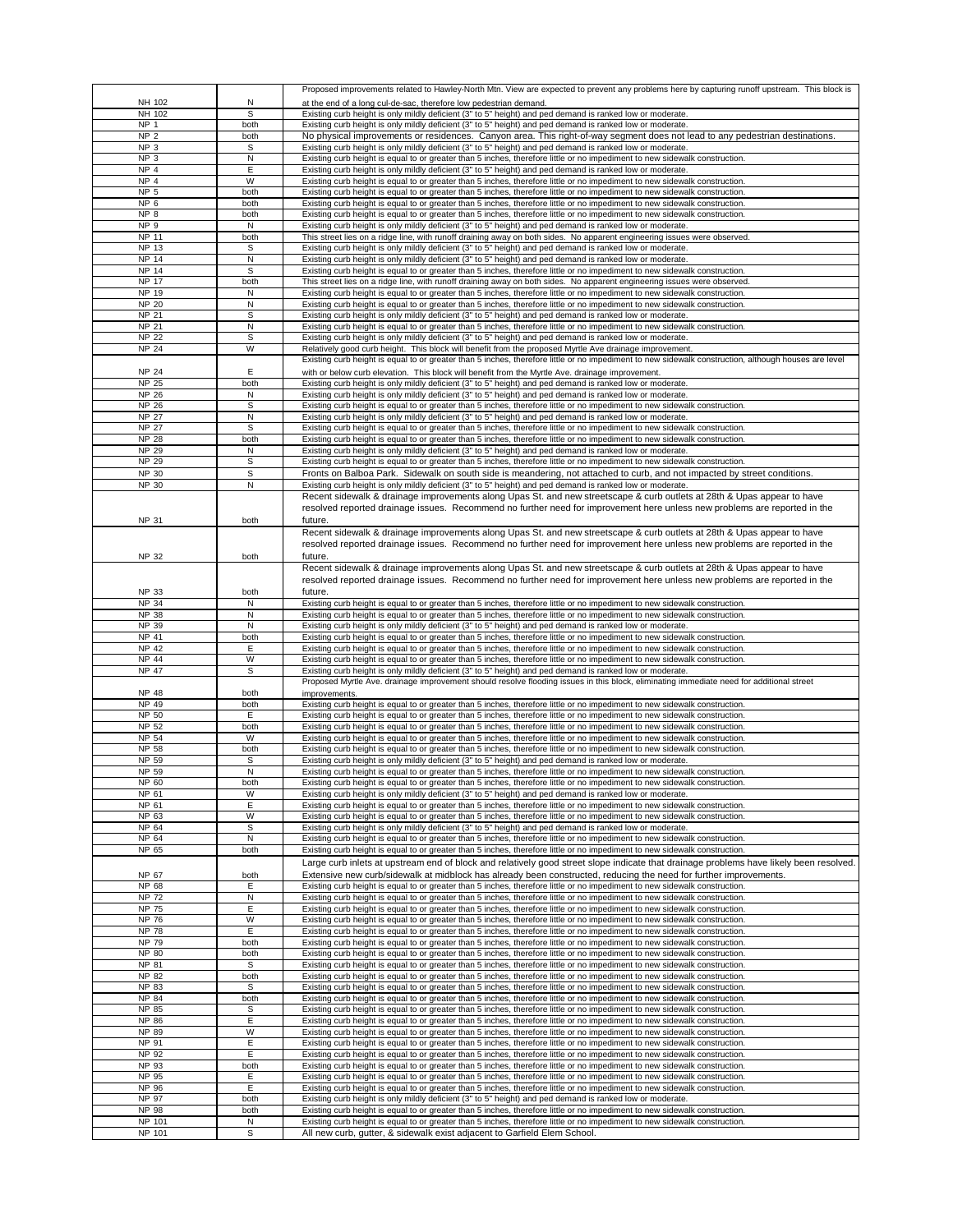|                  |             | Proposed improvements related to Hawley-North Mtn. View are expected to prevent any problems here by capturing runoff upstream. This block is                                                          |
|------------------|-------------|--------------------------------------------------------------------------------------------------------------------------------------------------------------------------------------------------------|
| NH 102           | N           | at the end of a long cul-de-sac, therefore low pedestrian demand.                                                                                                                                      |
| NH 102           | S           | Existing curb height is only mildly deficient (3" to 5" height) and ped demand is ranked low or moderate.                                                                                              |
| NP <sub>1</sub>  | both        | Existing curb height is only mildly deficient (3" to 5" height) and ped demand is ranked low or moderate.                                                                                              |
| NP <sub>2</sub>  | both        | No physical improvements or residences. Canyon area. This right-of-way segment does not lead to any pedestrian destinations                                                                            |
| NP <sub>3</sub>  |             |                                                                                                                                                                                                        |
|                  | s           | Existing curb height is only mildly deficient (3" to 5" height) and ped demand is ranked low or moderate.                                                                                              |
| NP <sub>3</sub>  | N           | Existing curb height is equal to or greater than 5 inches, therefore little or no impediment to new sidewalk construction.                                                                             |
| NP <sub>4</sub>  | Е           | Existing curb height is only mildly deficient (3" to 5" height) and ped demand is ranked low or moderate.                                                                                              |
| NP <sub>4</sub>  | W           | Existing curb height is equal to or greater than 5 inches, therefore little or no impediment to new sidewalk construction.                                                                             |
| NP <sub>5</sub>  | both        | Existing curb height is equal to or greater than 5 inches, therefore little or no impediment to new sidewalk construction.                                                                             |
|                  |             |                                                                                                                                                                                                        |
| NP <sub>6</sub>  | both        | Existing curb height is equal to or greater than 5 inches, therefore little or no impediment to new sidewalk construction.                                                                             |
| NP <sub>8</sub>  | both        | Existing curb height is equal to or greater than 5 inches, therefore little or no impediment to new sidewalk construction.                                                                             |
| NP <sub>9</sub>  | N           | Existing curb height is only mildly deficient (3" to 5" height) and ped demand is ranked low or moderate.                                                                                              |
| NP 11            | both        | This street lies on a ridge line, with runoff draining away on both sides. No apparent engineering issues were observed.                                                                               |
| NP 13            | S           |                                                                                                                                                                                                        |
|                  |             | Existing curb height is only mildly deficient (3" to 5" height) and ped demand is ranked low or moderate.                                                                                              |
| <b>NP 14</b>     | N           | Existing curb height is only mildly deficient (3" to 5" height) and ped demand is ranked low or moderate.                                                                                              |
| <b>NP 14</b>     | S           | Existing curb height is equal to or greater than 5 inches, therefore little or no impediment to new sidewalk construction.                                                                             |
| <b>NP 17</b>     | both        | This street lies on a ridge line, with runoff draining away on both sides. No apparent engineering issues were observed.                                                                               |
| NP 19            | N           | Existing curb height is equal to or greater than 5 inches, therefore little or no impediment to new sidewalk construction.                                                                             |
| <b>NP 20</b>     | N           |                                                                                                                                                                                                        |
|                  |             | Existing curb height is equal to or greater than 5 inches, therefore little or no impediment to new sidewalk construction.                                                                             |
| <b>NP 21</b>     | S           | Existing curb height is only mildly deficient (3" to 5" height) and ped demand is ranked low or moderate.                                                                                              |
| <b>NP 21</b>     | N           | Existing curb height is equal to or greater than 5 inches, therefore little or no impediment to new sidewalk construction.                                                                             |
| <b>NP 22</b>     | S           | Existing curb height is only mildly deficient (3" to 5" height) and ped demand is ranked low or moderate.                                                                                              |
| <b>NP 24</b>     | W           | Relatively good curb height. This block will benefit from the proposed Myrtle Ave drainage improvement.                                                                                                |
|                  |             |                                                                                                                                                                                                        |
|                  |             | Existing curb height is equal to or greater than 5 inches, therefore little or no impediment to new sidewalk construction, although houses are level                                                   |
| <b>NP 24</b>     | E           | with or below curb elevation. This block will benefit from the Myrtle Ave. drainage improvement.                                                                                                       |
| <b>NP 25</b>     | both        | Existing curb height is only mildly deficient (3" to 5" height) and ped demand is ranked low or moderate.                                                                                              |
| <b>NP 26</b>     | N           | Existing curb height is only mildly deficient (3" to 5" height) and ped demand is ranked low or moderate.                                                                                              |
| <b>NP 26</b>     | S           | Existing curb height is equal to or greater than 5 inches, therefore little or no impediment to new sidewalk construction.                                                                             |
|                  |             |                                                                                                                                                                                                        |
| <b>NP 27</b>     | N           | Existing curb height is only mildly deficient (3" to 5" height) and ped demand is ranked low or moderate.                                                                                              |
| <b>NP 27</b>     | s           | Existing curb height is equal to or greater than 5 inches, therefore little or no impediment to new sidewalk construction.                                                                             |
| <b>NP 28</b>     | both        | Existing curb height is equal to or greater than 5 inches, therefore little or no impediment to new sidewalk construction.                                                                             |
| <b>NP 29</b>     | N           | Existing curb height is only mildly deficient (3" to 5" height) and ped demand is ranked low or moderate.                                                                                              |
| <b>NP 29</b>     | S           | Existing curb height is equal to or greater than 5 inches, therefore little or no impediment to new sidewalk construction.                                                                             |
|                  |             |                                                                                                                                                                                                        |
| NP 30            | $\mathbb S$ | Fronts on Balboa Park. Sidewalk on south side is meandering, not attached to curb, and not impacted by street conditions.                                                                              |
| NP 30            | N           | Existing curb height is only mildly deficient (3" to 5" height) and ped demand is ranked low or moderate.                                                                                              |
|                  |             | Recent sidewalk & drainage improvements along Upas St. and new streetscape & curb outlets at 28th & Upas appear to have                                                                                |
|                  |             | resolved reported drainage issues. Recommend no further need for improvement here unless new problems are reported in the                                                                              |
|                  |             |                                                                                                                                                                                                        |
| <b>NP 31</b>     | both        | future.                                                                                                                                                                                                |
|                  |             | Recent sidewalk & drainage improvements along Upas St. and new streetscape & curb outlets at 28th & Upas appear to have                                                                                |
|                  |             | resolved reported drainage issues. Recommend no further need for improvement here unless new problems are reported in the                                                                              |
|                  |             | future.                                                                                                                                                                                                |
| NP 32            | both        |                                                                                                                                                                                                        |
|                  |             | Recent sidewalk & drainage improvements along Upas St. and new streetscape & curb outlets at 28th & Upas appear to have                                                                                |
|                  |             | resolved reported drainage issues. Recommend no further need for improvement here unless new problems are reported in the                                                                              |
| NP 33            | both        | future.                                                                                                                                                                                                |
|                  |             |                                                                                                                                                                                                        |
| <b>NP 34</b>     | N           | Existing curb height is equal to or greater than 5 inches, therefore little or no impediment to new sidewalk construction.                                                                             |
| <b>NP 38</b>     | N           | Existing curb height is equal to or greater than 5 inches, therefore little or no impediment to new sidewalk construction.                                                                             |
| NP 39            | N           | Existing curb height is only mildly deficient (3" to 5" height) and ped demand is ranked low or moderate.                                                                                              |
| NP 41            | both        | Existing curb height is equal to or greater than 5 inches, therefore little or no impediment to new sidewalk construction.                                                                             |
| NP 42            | E           | Existing curb height is equal to or greater than 5 inches, therefore little or no impediment to new sidewalk construction.                                                                             |
|                  |             |                                                                                                                                                                                                        |
| NP 44            | W           | Existing curb height is equal to or greater than 5 inches, therefore little or no impediment to new sidewalk construction.                                                                             |
|                  |             | Existing curb height is only mildly deficient (3" to 5" height) and ped demand is ranked low or moderate.                                                                                              |
| NP 47            | s           |                                                                                                                                                                                                        |
|                  |             | Proposed Myrtle Ave. drainage improvement should resolve flooding issues in this block, eliminating immediate need for additional street                                                               |
| NP 48            |             | improvements.                                                                                                                                                                                          |
|                  | both        |                                                                                                                                                                                                        |
| NP 49            | both        | Existing curb height is equal to or greater than 5 inches, therefore little or no impediment to new sidewalk construction.                                                                             |
| NP 50            | E           | Existing curb height is equal to or greater than 5 inches, therefore little or no impediment to new sidewalk construction.                                                                             |
| NP 52            | both        | Existing curb height is equal to or greater than 5 inches, therefore little or no impediment to new sidewalk construction.                                                                             |
| NP 54            | W           | Existing curb height is equal to or greater than 5 inches, therefore little or no impediment to new sidewalk construction.                                                                             |
|                  |             |                                                                                                                                                                                                        |
| <b>NP 58</b>     | both        | Existing curb height is equal to or greater than 5 inches, therefore little or no impediment to new sidewalk construction.                                                                             |
| NP 59            | S           | Existing curb height is only mildly deficient (3" to 5" height) and ped demand is ranked low or moderate.                                                                                              |
| NP 59            | N           | Existing curb height is equal to or greater than 5 inches, therefore little or no impediment to new sidewalk construction.                                                                             |
| NP 60            | both        | Existing curb height is equal to or greater than 5 inches, therefore little or no impediment to new sidewalk construction.                                                                             |
| NP 61            | W           | Existing curb height is only mildly deficient (3" to 5" height) and ped demand is ranked low or moderate.                                                                                              |
| NP 61            | E           | Existing curb height is equal to or greater than 5 inches, therefore little or no impediment to new sidewalk construction.                                                                             |
|                  | W           |                                                                                                                                                                                                        |
| NP 63            |             | Existing curb height is equal to or greater than 5 inches, therefore little or no impediment to new sidewalk construction.                                                                             |
| NP 64            | S           | Existing curb height is only mildly deficient (3" to 5" height) and ped demand is ranked low or moderate.                                                                                              |
| NP 64            | N           | Existing curb height is equal to or greater than 5 inches, therefore little or no impediment to new sidewalk construction.                                                                             |
| NP 65            | both        | Existing curb height is equal to or greater than 5 inches, therefore little or no impediment to new sidewalk construction.                                                                             |
|                  |             | Large curb inlets at upstream end of block and relatively good street slope indicate that drainage problems have likely been resolved.                                                                 |
|                  |             |                                                                                                                                                                                                        |
| NP 67            | both        | Extensive new curb/sidewalk at midblock has already been constructed, reducing the need for further improvements.                                                                                      |
| NP 68            | Ε           | Existing curb height is equal to or greater than 5 inches, therefore little or no impediment to new sidewalk construction.                                                                             |
| <b>NP 72</b>     | N           | Existing curb height is equal to or greater than 5 inches, therefore little or no impediment to new sidewalk construction.                                                                             |
| NP 75            | Ε           | Existing curb height is equal to or greater than 5 inches, therefore little or no impediment to new sidewalk construction.                                                                             |
|                  |             |                                                                                                                                                                                                        |
| NP 76            | W           | Existing curb height is equal to or greater than 5 inches, therefore little or no impediment to new sidewalk construction.                                                                             |
| <b>NP 78</b>     | E           | Existing curb height is equal to or greater than 5 inches, therefore little or no impediment to new sidewalk construction.                                                                             |
| NP 79            | both        | Existing curb height is equal to or greater than 5 inches, therefore little or no impediment to new sidewalk construction.                                                                             |
| NP 80            | both        | Existing curb height is equal to or greater than 5 inches, therefore little or no impediment to new sidewalk construction.                                                                             |
| NP 81            | S           | Existing curb height is equal to or greater than 5 inches, therefore little or no impediment to new sidewalk construction.                                                                             |
|                  |             |                                                                                                                                                                                                        |
| NP 82            | both        | Existing curb height is equal to or greater than 5 inches, therefore little or no impediment to new sidewalk construction.                                                                             |
| NP 83            | s           | Existing curb height is equal to or greater than 5 inches, therefore little or no impediment to new sidewalk construction.                                                                             |
| NP 84            | both        | Existing curb height is equal to or greater than 5 inches, therefore little or no impediment to new sidewalk construction.                                                                             |
| NP 85            | s           | Existing curb height is equal to or greater than 5 inches, therefore little or no impediment to new sidewalk construction.                                                                             |
| NP 86            | Ε           | Existing curb height is equal to or greater than 5 inches, therefore little or no impediment to new sidewalk construction.                                                                             |
| NP 89            | W           | Existing curb height is equal to or greater than 5 inches, therefore little or no impediment to new sidewalk construction.                                                                             |
|                  |             |                                                                                                                                                                                                        |
| NP 91            | E           | Existing curb height is equal to or greater than 5 inches, therefore little or no impediment to new sidewalk construction.                                                                             |
| NP 92            | Ε           | Existing curb height is equal to or greater than 5 inches, therefore little or no impediment to new sidewalk construction.                                                                             |
| NP 93            | both        | Existing curb height is equal to or greater than 5 inches, therefore little or no impediment to new sidewalk construction.                                                                             |
| NP 95            | Ε           | Existing curb height is equal to or greater than 5 inches, therefore little or no impediment to new sidewalk construction.                                                                             |
| NP 96            | E           | Existing curb height is equal to or greater than 5 inches, therefore little or no impediment to new sidewalk construction.                                                                             |
| NP 97            |             |                                                                                                                                                                                                        |
|                  | both        | Existing curb height is only mildly deficient (3" to 5" height) and ped demand is ranked low or moderate.                                                                                              |
| NP 98            | both        | Existing curb height is equal to or greater than 5 inches, therefore little or no impediment to new sidewalk construction.                                                                             |
| NP 101<br>NP 101 | N<br>s      | Existing curb height is equal to or greater than 5 inches, therefore little or no impediment to new sidewalk construction.<br>All new curb, gutter, & sidewalk exist adjacent to Garfield Elem School. |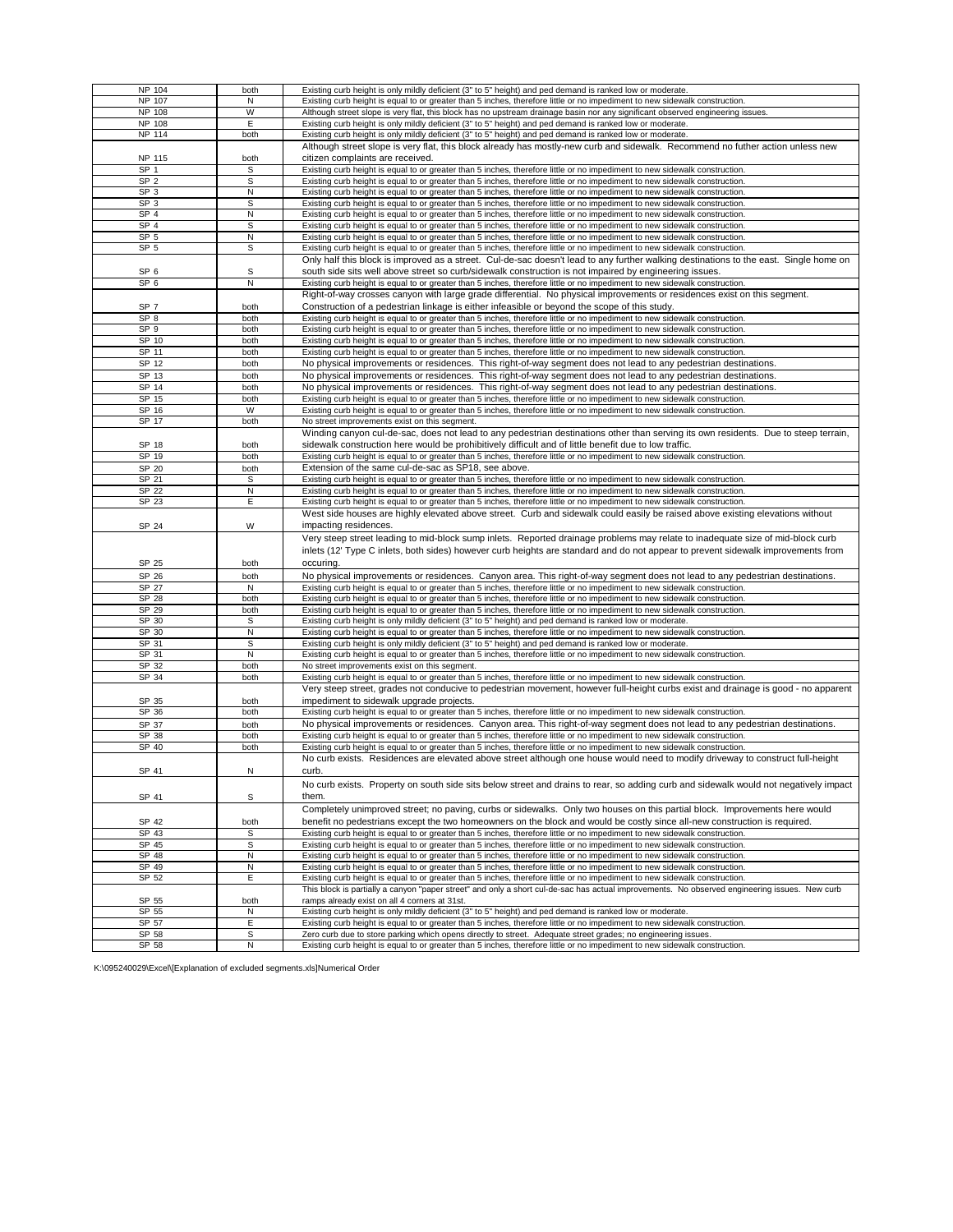| NP 104<br>NP 107 |             |                                                                                                                                               |
|------------------|-------------|-----------------------------------------------------------------------------------------------------------------------------------------------|
|                  | both        | Existing curb height is only mildly deficient (3" to 5" height) and ped demand is ranked low or moderate.                                     |
|                  | N           | Existing curb height is equal to or greater than 5 inches, therefore little or no impediment to new sidewalk construction.                    |
|                  |             |                                                                                                                                               |
| NP 108           | W           | Although street slope is very flat, this block has no upstream drainage basin nor any significant observed engineering issues.                |
| NP 108           | E           | Existing curb height is only mildly deficient (3" to 5" height) and ped demand is ranked low or moderate.                                     |
|                  |             |                                                                                                                                               |
| NP 114           | both        | Existing curb height is only mildly deficient (3" to 5" height) and ped demand is ranked low or moderate.                                     |
|                  |             | Although street slope is very flat, this block already has mostly-new curb and sidewalk. Recommend no futher action unless new                |
|                  |             |                                                                                                                                               |
| NP 115           | both        | citizen complaints are received.                                                                                                              |
| SP <sub>1</sub>  | S           | Existing curb height is equal to or greater than 5 inches, therefore little or no impediment to new sidewalk construction.                    |
|                  |             |                                                                                                                                               |
| SP <sub>2</sub>  | S           | Existing curb height is equal to or greater than 5 inches, therefore little or no impediment to new sidewalk construction.                    |
| SP <sub>3</sub>  | N           | Existing curb height is equal to or greater than 5 inches, therefore little or no impediment to new sidewalk construction.                    |
|                  |             |                                                                                                                                               |
| SP 3             | S           | Existing curb height is equal to or greater than 5 inches, therefore little or no impediment to new sidewalk construction.                    |
| SP 4             | N           | Existing curb height is equal to or greater than 5 inches, therefore little or no impediment to new sidewalk construction.                    |
| SP <sub>4</sub>  | S           | Existing curb height is equal to or greater than 5 inches, therefore little or no impediment to new sidewalk construction.                    |
|                  |             |                                                                                                                                               |
| SP <sub>5</sub>  | N           | Existing curb height is equal to or greater than 5 inches, therefore little or no impediment to new sidewalk construction.                    |
| SP <sub>5</sub>  | $\mathbb S$ | Existing curb height is equal to or greater than 5 inches, therefore little or no impediment to new sidewalk construction.                    |
|                  |             |                                                                                                                                               |
|                  |             | Only half this block is improved as a street. Cul-de-sac doesn't lead to any further walking destinations to the east. Single home on         |
| SP <sub>6</sub>  | S           | south side sits well above street so curb/sidewalk construction is not impaired by engineering issues.                                        |
| SP <sub>6</sub>  | N           | Existing curb height is equal to or greater than 5 inches, therefore little or no impediment to new sidewalk construction.                    |
|                  |             |                                                                                                                                               |
|                  |             | Right-of-way crosses canyon with large grade differential. No physical improvements or residences exist on this segment.                      |
| SP <sub>7</sub>  | both        | Construction of a pedestrian linkage is either infeasible or beyond the scope of this study.                                                  |
|                  |             |                                                                                                                                               |
| SP <sub>8</sub>  | both        | Existing curb height is equal to or greater than 5 inches, therefore little or no impediment to new sidewalk construction.                    |
| SP 9             | both        | Existing curb height is equal to or greater than 5 inches, therefore little or no impediment to new sidewalk construction.                    |
|                  |             |                                                                                                                                               |
| SP 10            | both        | Existing curb height is equal to or greater than 5 inches, therefore little or no impediment to new sidewalk construction.                    |
| SP 11            | both        | Existing curb height is equal to or greater than 5 inches, therefore little or no impediment to new sidewalk construction.                    |
| SP 12            | both        | No physical improvements or residences. This right-of-way segment does not lead to any pedestrian destinations.                               |
|                  |             |                                                                                                                                               |
| SP 13            | both        | No physical improvements or residences. This right-of-way segment does not lead to any pedestrian destinations.                               |
| SP 14            |             |                                                                                                                                               |
|                  | both        | No physical improvements or residences. This right-of-way segment does not lead to any pedestrian destinations.                               |
| SP 15            | both        | Existing curb height is equal to or greater than 5 inches, therefore little or no impediment to new sidewalk construction.                    |
| SP 16            | W           | Existing curb height is equal to or greater than 5 inches, therefore little or no impediment to new sidewalk construction.                    |
|                  |             |                                                                                                                                               |
| SP 17            | both        | No street improvements exist on this segment.                                                                                                 |
|                  |             | Winding canyon cul-de-sac, does not lead to any pedestrian destinations other than serving its own residents. Due to steep terrain,           |
|                  |             |                                                                                                                                               |
| SP 18            | both        | sidewalk construction here would be prohibitively difficult and of little benefit due to low traffic.                                         |
| SP 19            | both        | Existing curb height is equal to or greater than 5 inches, therefore little or no impediment to new sidewalk construction.                    |
| SP 20            |             |                                                                                                                                               |
|                  | both        | Extension of the same cul-de-sac as SP18, see above.                                                                                          |
| SP 21            | S           | Existing curb height is equal to or greater than 5 inches, therefore little or no impediment to new sidewalk construction.                    |
| SP 22            | ${\sf N}$   | Existing curb height is equal to or greater than 5 inches, therefore little or no impediment to new sidewalk construction.                    |
|                  |             |                                                                                                                                               |
| SP 23            | E           | Existing curb height is equal to or greater than 5 inches, therefore little or no impediment to new sidewalk construction.                    |
|                  |             | West side houses are highly elevated above street. Curb and sidewalk could easily be raised above existing elevations without                 |
|                  |             |                                                                                                                                               |
| SP 24            | W           | impacting residences.                                                                                                                         |
|                  |             | Very steep street leading to mid-block sump inlets. Reported drainage problems may relate to inadequate size of mid-block curb                |
|                  |             |                                                                                                                                               |
|                  |             | inlets (12' Type C inlets, both sides) however curb heights are standard and do not appear to prevent sidewalk improvements from              |
| SP 25            | both        | occuring.                                                                                                                                     |
|                  |             |                                                                                                                                               |
| SP 26            | both        | No physical improvements or residences. Canyon area. This right-of-way segment does not lead to any pedestrian destinations.                  |
|                  |             | Existing curb height is equal to or greater than 5 inches, therefore little or no impediment to new sidewalk construction.                    |
|                  |             |                                                                                                                                               |
| SP 27            | N           |                                                                                                                                               |
| SP 28            | both        | Existing curb height is equal to or greater than 5 inches, therefore little or no impediment to new sidewalk construction.                    |
| SP 29            | both        | Existing curb height is equal to or greater than 5 inches, therefore little or no impediment to new sidewalk construction.                    |
|                  |             |                                                                                                                                               |
| SP 30            | S           | Existing curb height is only mildly deficient (3" to 5" height) and ped demand is ranked low or moderate.                                     |
| SP 30            | Ñ           | Existing curb height is equal to or greater than 5 inches, therefore little or no impediment to new sidewalk construction.                    |
| SP 31            | S           | Existing curb height is only mildly deficient (3" to 5" height) and ped demand is ranked low or moderate.                                     |
|                  |             |                                                                                                                                               |
| SP 31            | N           | Existing curb height is equal to or greater than 5 inches, therefore little or no impediment to new sidewalk construction.                    |
| SP 32            | both        | No street improvements exist on this segment.                                                                                                 |
|                  |             |                                                                                                                                               |
| SP 34            | both        | Existing curb height is equal to or greater than 5 inches, therefore little or no impediment to new sidewalk construction.                    |
|                  |             | Very steep street, grades not conducive to pedestrian movement, however full-height curbs exist and drainage is good - no apparent            |
|                  |             |                                                                                                                                               |
| SP 35            | both        | impediment to sidewalk upgrade projects.                                                                                                      |
| SP 36            | both        | Existing curb height is equal to or greater than 5 inches, therefore little or no impediment to new sidewalk construction.                    |
|                  |             | No physical improvements or residences. Canyon area. This right-of-way segment does not lead to any pedestrian destinations.                  |
| SP 37            | both        |                                                                                                                                               |
| SP 38            | both        | Existing curb height is equal to or greater than 5 inches, therefore little or no impediment to new sidewalk construction.                    |
| SP 40            | both        | Existing curb height is equal to or greater than 5 inches, therefore little or no impediment to new sidewalk construction.                    |
|                  |             |                                                                                                                                               |
|                  |             | No curb exists. Residences are elevated above street although one house would need to modify driveway to construct full-height                |
| SP 41            | N           | curb.                                                                                                                                         |
|                  |             |                                                                                                                                               |
|                  |             | No curb exists. Property on south side sits below street and drains to rear, so adding curb and sidewalk would not negatively impact          |
| SP 41            | S           | them.                                                                                                                                         |
|                  |             |                                                                                                                                               |
|                  |             | Completely unimproved street; no paying, curbs or sidewalks. Only two houses on this partial block. Improvements here would                   |
| SP 42            | both        | benefit no pedestrians except the two homeowners on the block and would be costly since all-new construction is required.                     |
|                  |             |                                                                                                                                               |
| SP 43            | S           | Existing curb height is equal to or greater than 5 inches, therefore little or no impediment to new sidewalk construction.                    |
| SP 45            | S           | Existing curb height is equal to or greater than 5 inches, therefore little or no impediment to new sidewalk construction.                    |
| SP 48            | Ν           | Existing curb height is equal to or greater than 5 inches, therefore little or no impediment to new sidewalk construction.                    |
|                  |             |                                                                                                                                               |
| SP 49            | N           | Existing curb height is equal to or greater than 5 inches, therefore little or no impediment to new sidewalk construction.                    |
| SP 52            | E           | Existing curb height is equal to or greater than 5 inches, therefore little or no impediment to new sidewalk construction.                    |
|                  |             |                                                                                                                                               |
|                  |             | This block is partially a canyon "paper street" and only a short cul-de-sac has actual improvements. No observed engineering issues. New curb |
| SP 55            | both        | ramps already exist on all 4 corners at 31st.                                                                                                 |
| SP 55            | N           | Existing curb height is only mildly deficient (3" to 5" height) and ped demand is ranked low or moderate.                                     |
|                  |             |                                                                                                                                               |
| SP 57            | Ε           | Existing curb height is equal to or greater than 5 inches, therefore little or no impediment to new sidewalk construction.                    |
| SP 58            | S           | Zero curb due to store parking which opens directly to street. Adequate street grades; no engineering issues.                                 |
| SP 58            | N           | Existing curb height is equal to or greater than 5 inches, therefore little or no impediment to new sidewalk construction.                    |

K:\095240029\Excel\[Explanation of excluded segments.xls]Numerical Order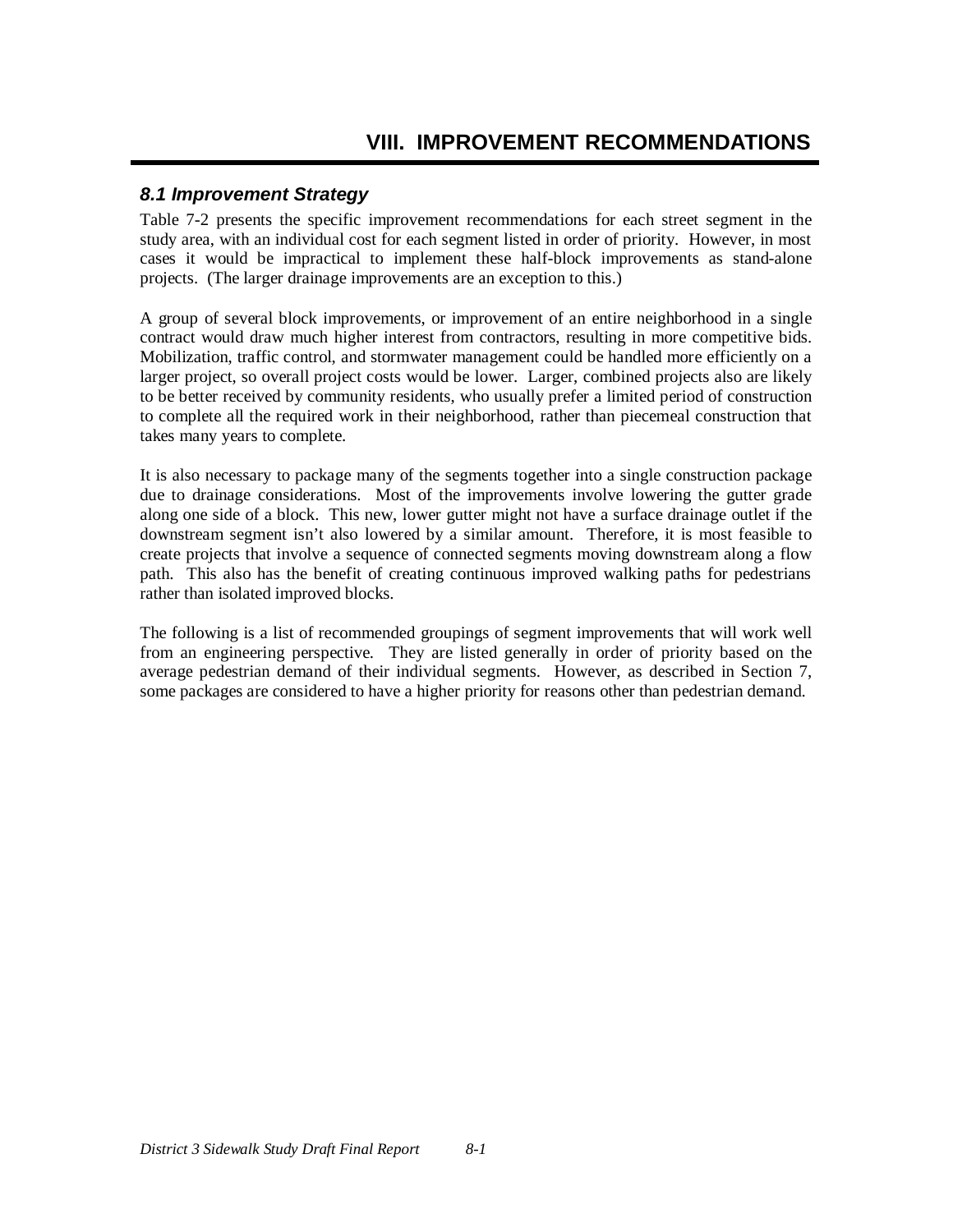## *8.1 Improvement Strategy*

Table 7-2 presents the specific improvement recommendations for each street segment in the study area, with an individual cost for each segment listed in order of priority. However, in most cases it would be impractical to implement these half-block improvements as stand-alone projects. (The larger drainage improvements are an exception to this.)

A group of several block improvements, or improvement of an entire neighborhood in a single contract would draw much higher interest from contractors, resulting in more competitive bids. Mobilization, traffic control, and stormwater management could be handled more efficiently on a larger project, so overall project costs would be lower. Larger, combined projects also are likely to be better received by community residents, who usually prefer a limited period of construction to complete all the required work in their neighborhood, rather than piecemeal construction that takes many years to complete.

It is also necessary to package many of the segments together into a single construction package due to drainage considerations. Most of the improvements involve lowering the gutter grade along one side of a block. This new, lower gutter might not have a surface drainage outlet if the downstream segment isn't also lowered by a similar amount. Therefore, it is most feasible to create projects that involve a sequence of connected segments moving downstream along a flow path. This also has the benefit of creating continuous improved walking paths for pedestrians rather than isolated improved blocks.

The following is a list of recommended groupings of segment improvements that will work well from an engineering perspective. They are listed generally in order of priority based on the average pedestrian demand of their individual segments. However, as described in Section 7, some packages are considered to have a higher priority for reasons other than pedestrian demand.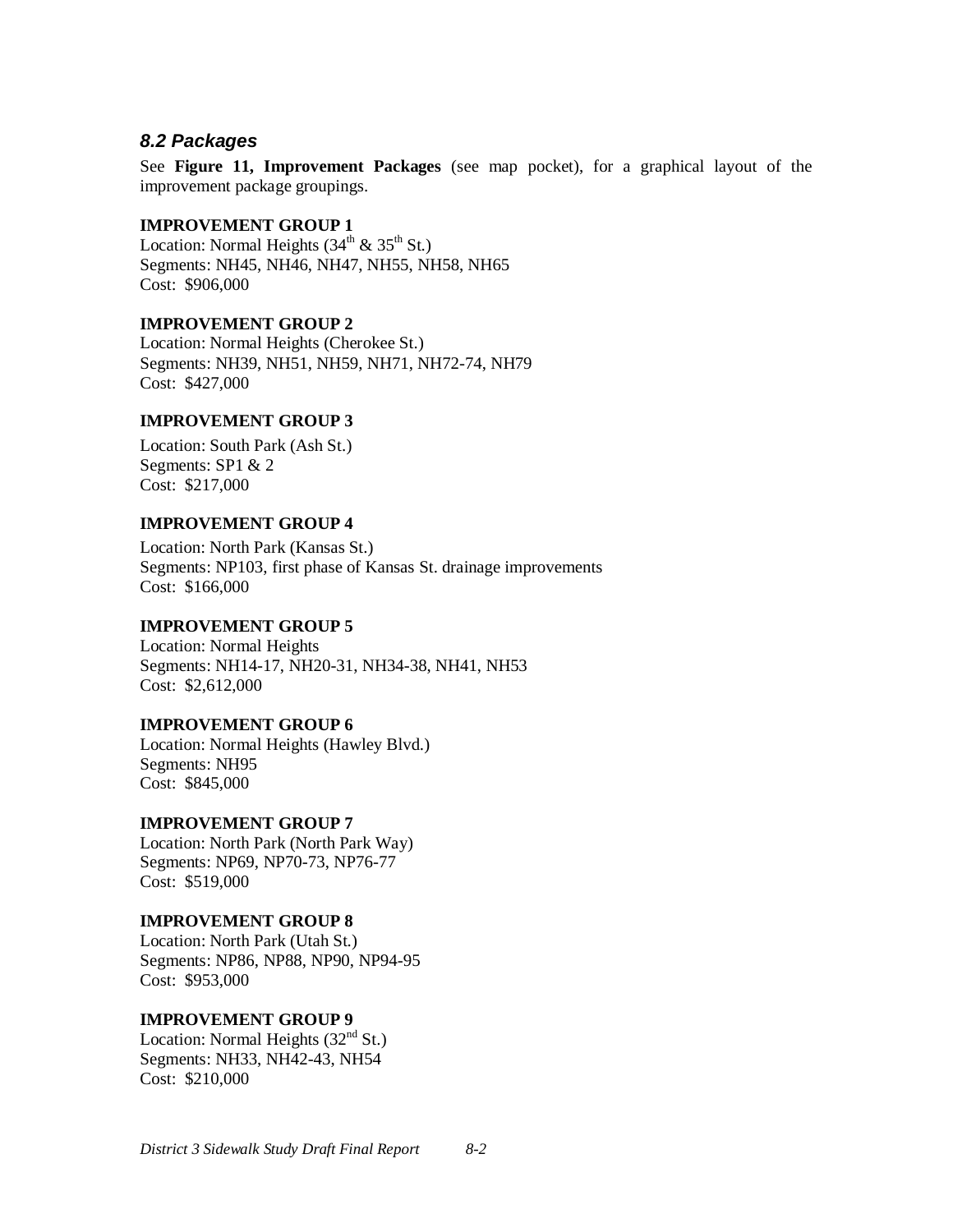### *8.2 Packages*

See **Figure 11, Improvement Packages** (see map pocket), for a graphical layout of the improvement package groupings.

#### **IMPROVEMENT GROUP 1**

Location: Normal Heights  $(34<sup>th</sup> \& 35<sup>th</sup>$  St.) Segments: NH45, NH46, NH47, NH55, NH58, NH65 Cost: \$906,000

#### **IMPROVEMENT GROUP 2**

Location: Normal Heights (Cherokee St.) Segments: NH39, NH51, NH59, NH71, NH72-74, NH79 Cost: \$427,000

#### **IMPROVEMENT GROUP 3**

Location: South Park (Ash St.) Segments: SP1 & 2 Cost: \$217,000

#### **IMPROVEMENT GROUP 4**

Location: North Park (Kansas St.) Segments: NP103, first phase of Kansas St. drainage improvements Cost: \$166,000

#### **IMPROVEMENT GROUP 5**

Location: Normal Heights Segments: NH14-17, NH20-31, NH34-38, NH41, NH53 Cost: \$2,612,000

#### **IMPROVEMENT GROUP 6**

Location: Normal Heights (Hawley Blvd.) Segments: NH95 Cost: \$845,000

#### **IMPROVEMENT GROUP 7**

Location: North Park (North Park Way) Segments: NP69, NP70-73, NP76-77 Cost: \$519,000

#### **IMPROVEMENT GROUP 8**

Location: North Park (Utah St.) Segments: NP86, NP88, NP90, NP94-95 Cost: \$953,000

#### **IMPROVEMENT GROUP 9**

Location: Normal Heights  $(32<sup>nd</sup> St.)$ Segments: NH33, NH42-43, NH54 Cost: \$210,000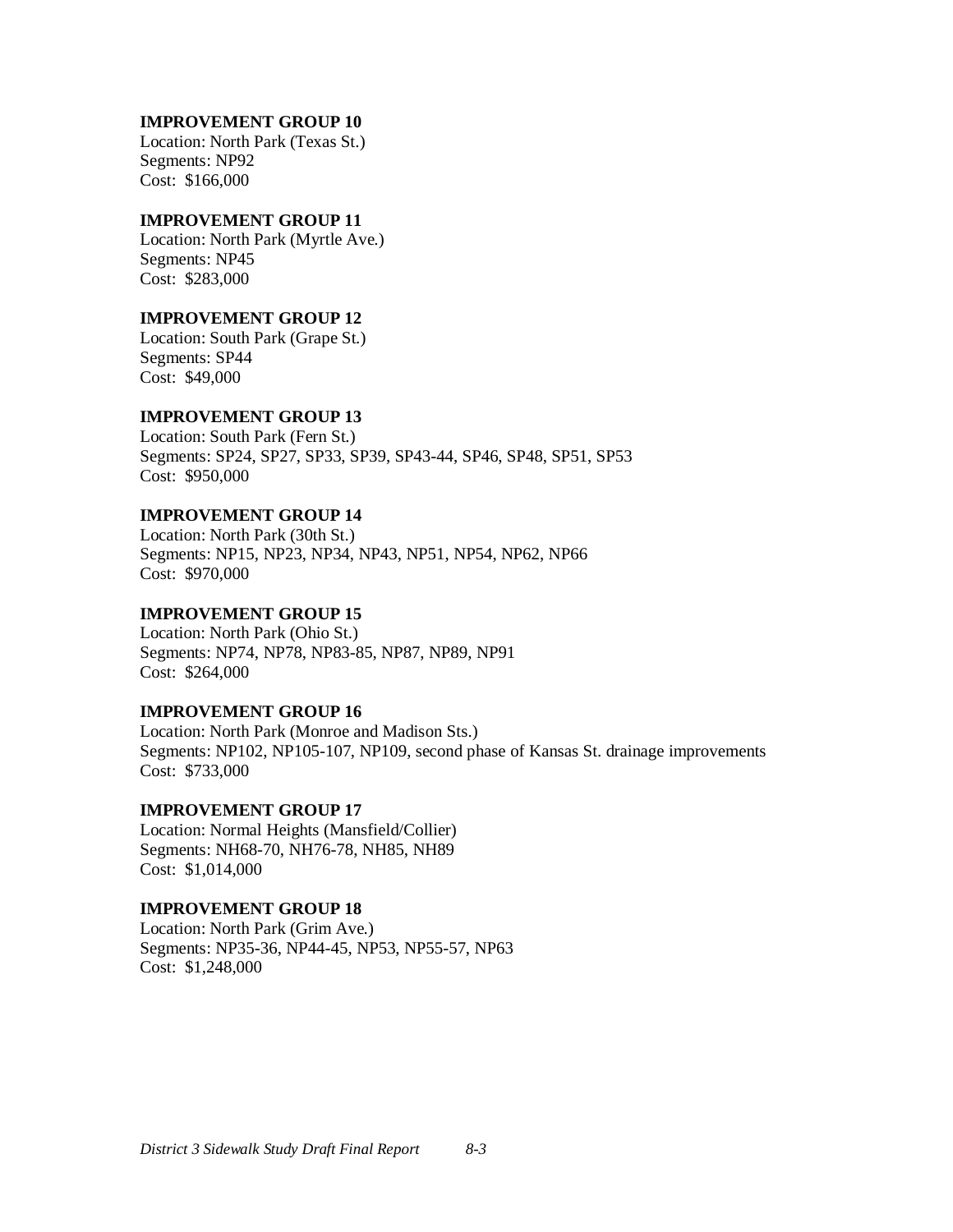#### **IMPROVEMENT GROUP 10**

Location: North Park (Texas St.) Segments: NP92 Cost: \$166,000

#### **IMPROVEMENT GROUP 11**

Location: North Park (Myrtle Ave.) Segments: NP45 Cost: \$283,000

#### **IMPROVEMENT GROUP 12**

Location: South Park (Grape St.) Segments: SP44 Cost: \$49,000

#### **IMPROVEMENT GROUP 13**

Location: South Park (Fern St.) Segments: SP24, SP27, SP33, SP39, SP43-44, SP46, SP48, SP51, SP53 Cost: \$950,000

#### **IMPROVEMENT GROUP 14**

Location: North Park (30th St.) Segments: NP15, NP23, NP34, NP43, NP51, NP54, NP62, NP66 Cost: \$970,000

#### **IMPROVEMENT GROUP 15**

Location: North Park (Ohio St.) Segments: NP74, NP78, NP83-85, NP87, NP89, NP91 Cost: \$264,000

#### **IMPROVEMENT GROUP 16**

Location: North Park (Monroe and Madison Sts.) Segments: NP102, NP105-107, NP109, second phase of Kansas St. drainage improvements Cost: \$733,000

#### **IMPROVEMENT GROUP 17**

Location: Normal Heights (Mansfield/Collier) Segments: NH68-70, NH76-78, NH85, NH89 Cost: \$1,014,000

#### **IMPROVEMENT GROUP 18**

Location: North Park (Grim Ave.) Segments: NP35-36, NP44-45, NP53, NP55-57, NP63 Cost: \$1,248,000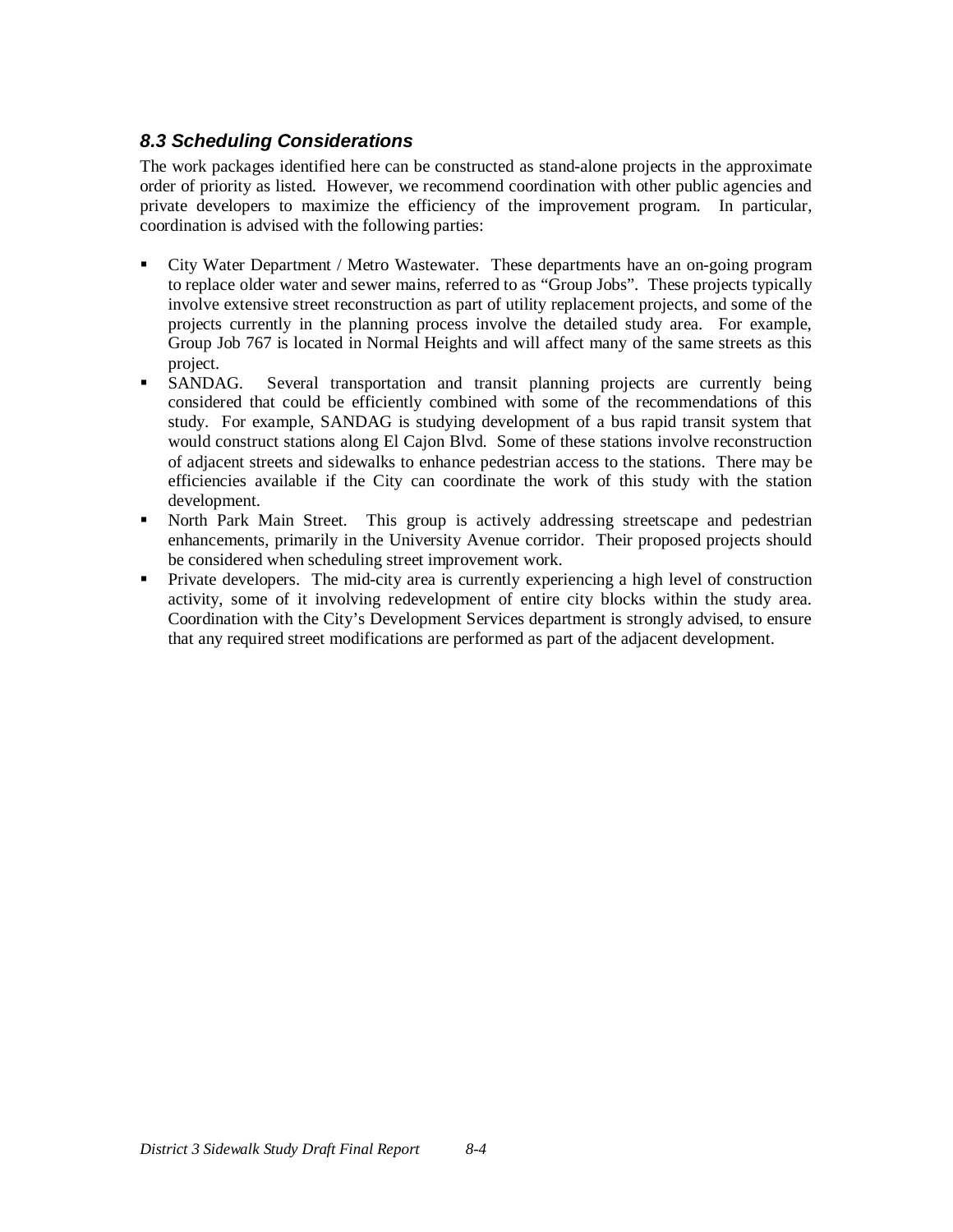## *8.3 Scheduling Considerations*

The work packages identified here can be constructed as stand-alone projects in the approximate order of priority as listed. However, we recommend coordination with other public agencies and private developers to maximize the efficiency of the improvement program. In particular, coordination is advised with the following parties:

- City Water Department / Metro Wastewater. These departments have an on-going program to replace older water and sewer mains, referred to as "Group Jobs". These projects typically involve extensive street reconstruction as part of utility replacement projects, and some of the projects currently in the planning process involve the detailed study area. For example, Group Job 767 is located in Normal Heights and will affect many of the same streets as this project.
- SANDAG. Several transportation and transit planning projects are currently being considered that could be efficiently combined with some of the recommendations of this study. For example, SANDAG is studying development of a bus rapid transit system that would construct stations along El Cajon Blvd. Some of these stations involve reconstruction of adjacent streets and sidewalks to enhance pedestrian access to the stations. There may be efficiencies available if the City can coordinate the work of this study with the station development.
- North Park Main Street. This group is actively addressing streetscape and pedestrian enhancements, primarily in the University Avenue corridor. Their proposed projects should be considered when scheduling street improvement work.
- Private developers. The mid-city area is currently experiencing a high level of construction activity, some of it involving redevelopment of entire city blocks within the study area. Coordination with the City's Development Services department is strongly advised, to ensure that any required street modifications are performed as part of the adjacent development.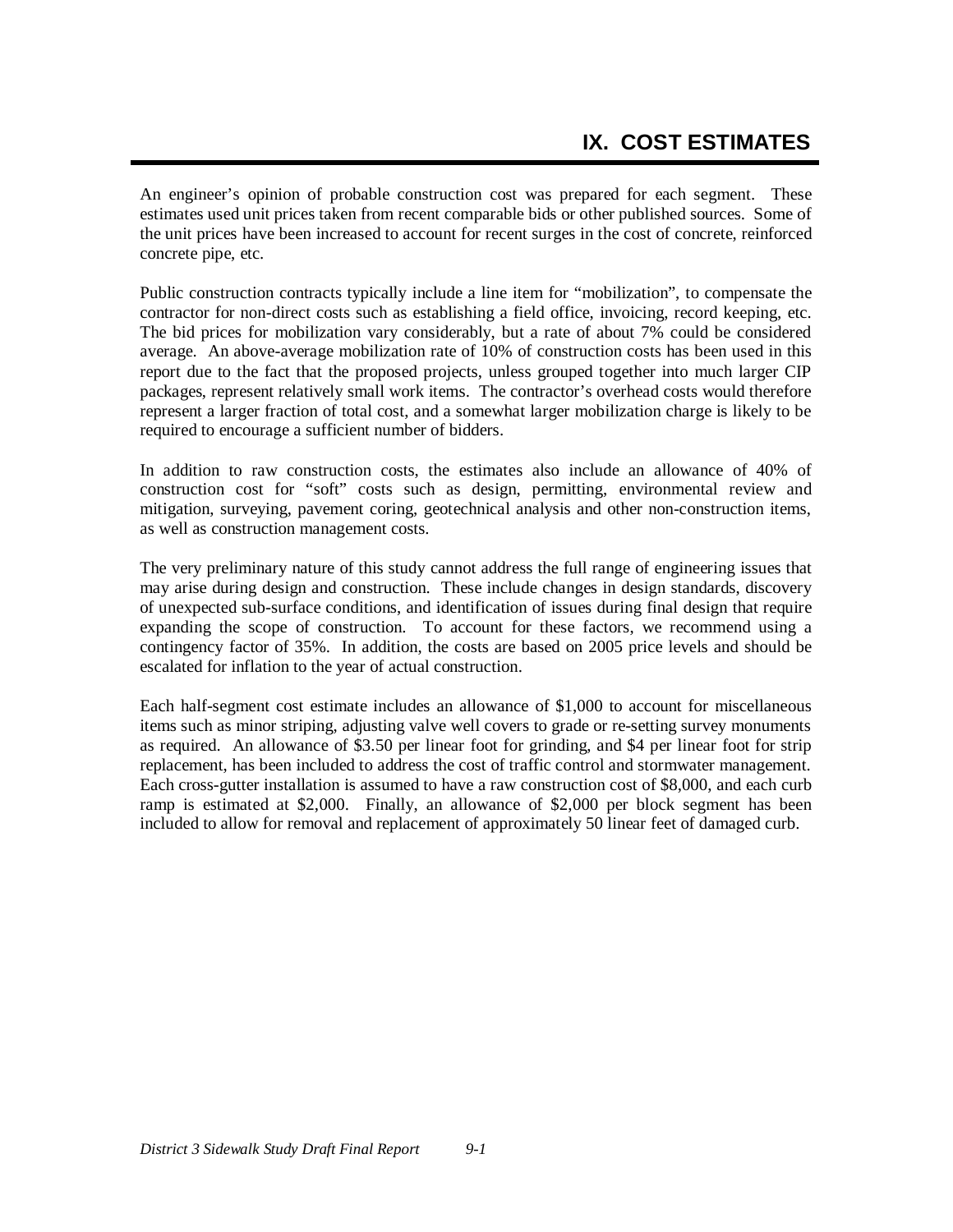An engineer's opinion of probable construction cost was prepared for each segment. These estimates used unit prices taken from recent comparable bids or other published sources. Some of the unit prices have been increased to account for recent surges in the cost of concrete, reinforced concrete pipe, etc.

Public construction contracts typically include a line item for "mobilization", to compensate the contractor for non-direct costs such as establishing a field office, invoicing, record keeping, etc. The bid prices for mobilization vary considerably, but a rate of about 7% could be considered average. An above-average mobilization rate of 10% of construction costs has been used in this report due to the fact that the proposed projects, unless grouped together into much larger CIP packages, represent relatively small work items. The contractor's overhead costs would therefore represent a larger fraction of total cost, and a somewhat larger mobilization charge is likely to be required to encourage a sufficient number of bidders.

In addition to raw construction costs, the estimates also include an allowance of 40% of construction cost for "soft" costs such as design, permitting, environmental review and mitigation, surveying, pavement coring, geotechnical analysis and other non-construction items, as well as construction management costs.

The very preliminary nature of this study cannot address the full range of engineering issues that may arise during design and construction. These include changes in design standards, discovery of unexpected sub-surface conditions, and identification of issues during final design that require expanding the scope of construction. To account for these factors, we recommend using a contingency factor of 35%. In addition, the costs are based on 2005 price levels and should be escalated for inflation to the year of actual construction.

Each half-segment cost estimate includes an allowance of \$1,000 to account for miscellaneous items such as minor striping, adjusting valve well covers to grade or re-setting survey monuments as required. An allowance of \$3.50 per linear foot for grinding, and \$4 per linear foot for strip replacement, has been included to address the cost of traffic control and stormwater management. Each cross-gutter installation is assumed to have a raw construction cost of \$8,000, and each curb ramp is estimated at \$2,000. Finally, an allowance of \$2,000 per block segment has been included to allow for removal and replacement of approximately 50 linear feet of damaged curb.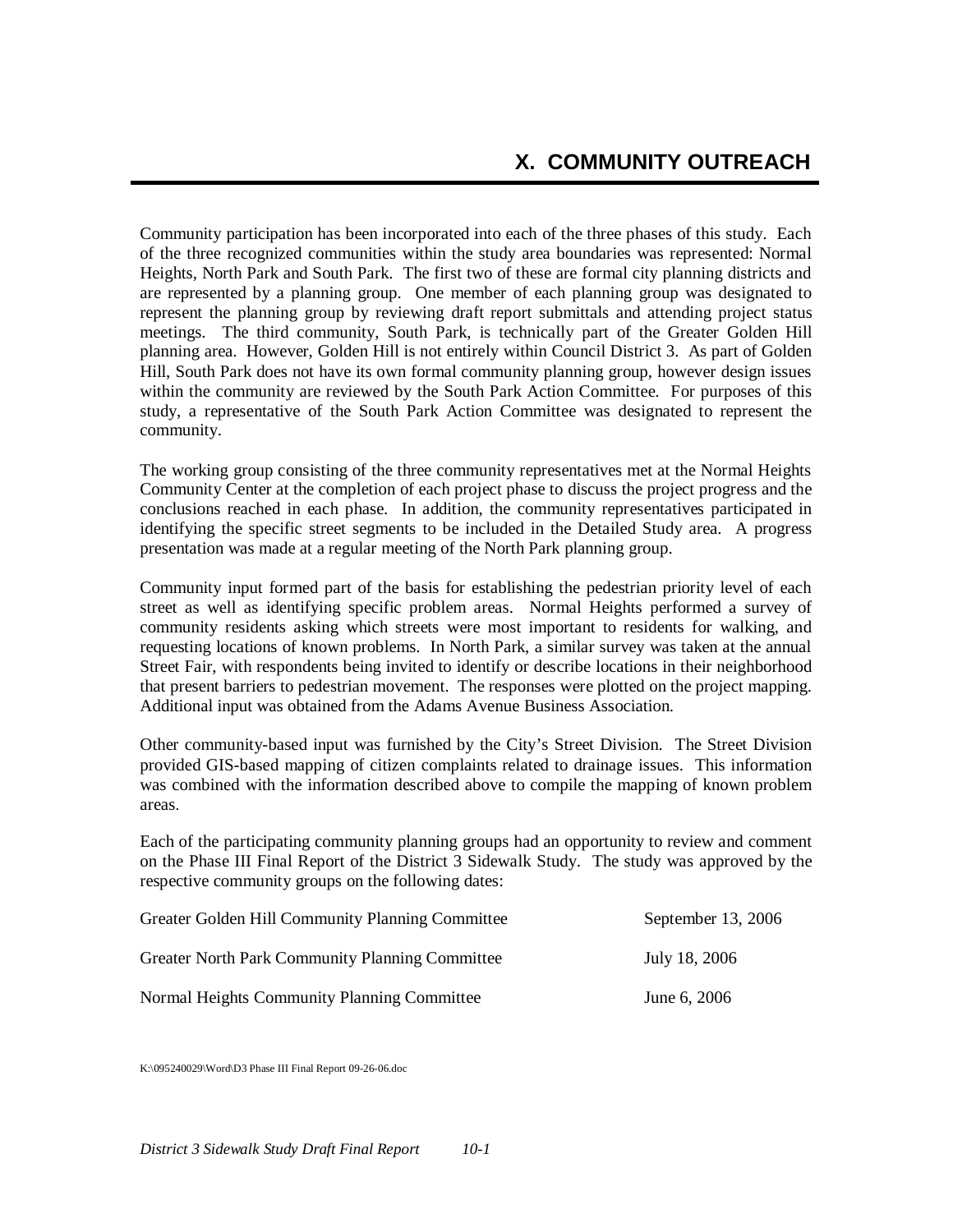Community participation has been incorporated into each of the three phases of this study. Each of the three recognized communities within the study area boundaries was represented: Normal Heights, North Park and South Park. The first two of these are formal city planning districts and are represented by a planning group. One member of each planning group was designated to represent the planning group by reviewing draft report submittals and attending project status meetings. The third community, South Park, is technically part of the Greater Golden Hill planning area. However, Golden Hill is not entirely within Council District 3. As part of Golden Hill, South Park does not have its own formal community planning group, however design issues within the community are reviewed by the South Park Action Committee. For purposes of this study, a representative of the South Park Action Committee was designated to represent the community.

The working group consisting of the three community representatives met at the Normal Heights Community Center at the completion of each project phase to discuss the project progress and the conclusions reached in each phase. In addition, the community representatives participated in identifying the specific street segments to be included in the Detailed Study area. A progress presentation was made at a regular meeting of the North Park planning group.

Community input formed part of the basis for establishing the pedestrian priority level of each street as well as identifying specific problem areas. Normal Heights performed a survey of community residents asking which streets were most important to residents for walking, and requesting locations of known problems. In North Park, a similar survey was taken at the annual Street Fair, with respondents being invited to identify or describe locations in their neighborhood that present barriers to pedestrian movement. The responses were plotted on the project mapping. Additional input was obtained from the Adams Avenue Business Association.

Other community-based input was furnished by the City's Street Division. The Street Division provided GIS-based mapping of citizen complaints related to drainage issues. This information was combined with the information described above to compile the mapping of known problem areas.

Each of the participating community planning groups had an opportunity to review and comment on the Phase III Final Report of the District 3 Sidewalk Study. The study was approved by the respective community groups on the following dates:

| Greater Golden Hill Community Planning Committee | September 13, $2006$ |
|--------------------------------------------------|----------------------|
| Greater North Park Community Planning Committee  | July 18, 2006        |
| Normal Heights Community Planning Committee      | June 6, 2006         |

K:\095240029\Word\D3 Phase III Final Report 09-26-06.doc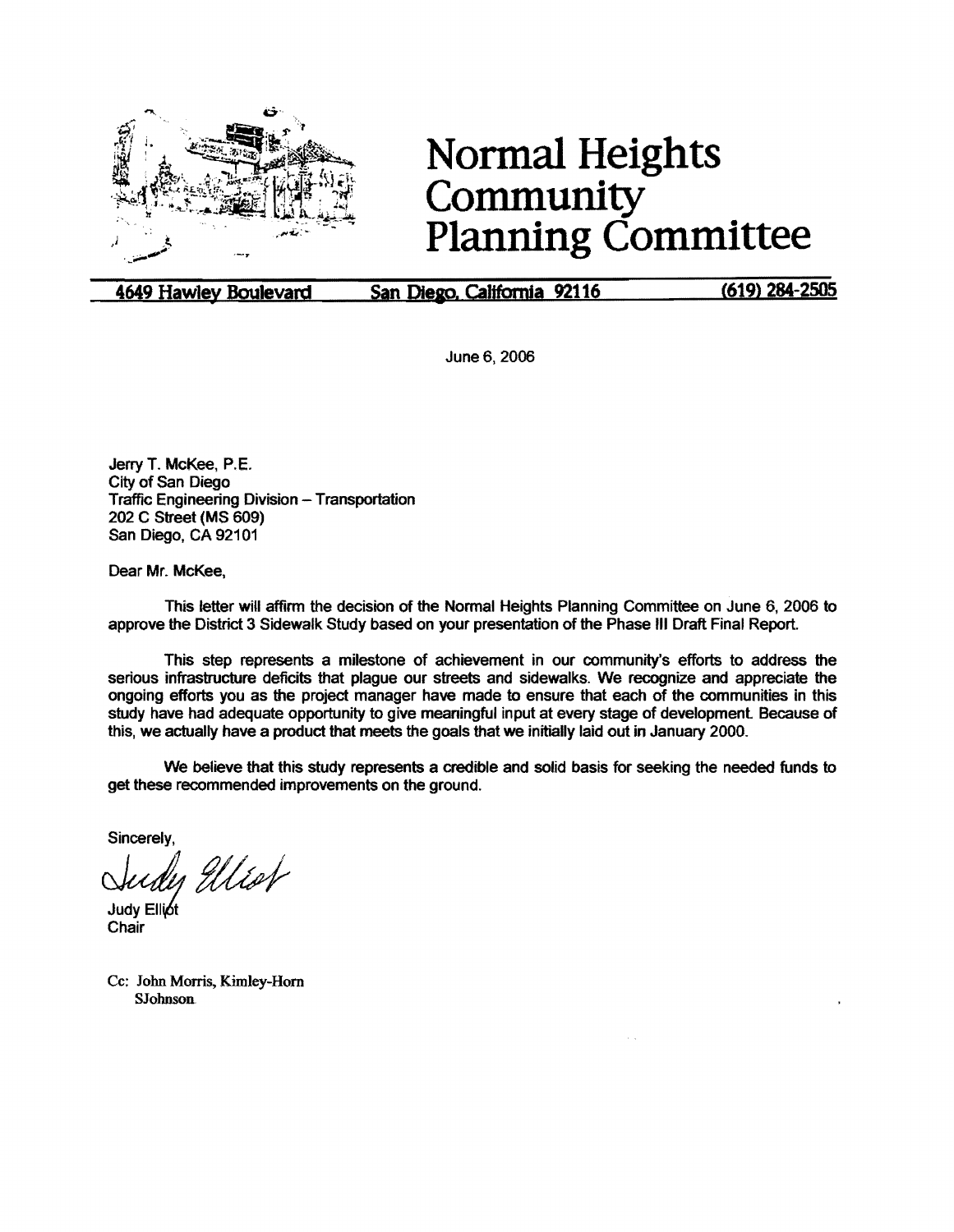

# **Normal Heights Community Planning Committee**

**4649 Hawley Boulevard San Diego, California 92116 (619) 284-2505** 

June6, 2006

Jerry T. McKee, P.E. City of San Diego Traffic Engineering Division - Transportation 202 C Street (MS 609) San Diego, CA 92101

Dear Mr. McKee,

This letter will affirm the decision of the Normal Heights Planning Committee on June 6, 2006 to approve the District 3 Sidewalk Study based on your presentation of the Phase Ill Draft Final Report.

This step represents a milestone of achievement in our community's efforts to address the serious infrastructure deficits that plague our streets and sidewalks. We recognize and appreciate the ongoing efforts you as the project manager have made to ensure that each of the communities in this study have had adequate opportunity to give meaningful input at every stage of development. Because of this, we actually have a product that meets the goals that we initially laid out in January 2000.

We believe that this study represents a credible and solid basis for seeking the needed funds to get these recommended improvements on the ground.

Sincerely,

Sudy Ellest

**Chair** 

Cc: John Morris, Kimley-Horn SJohnsoa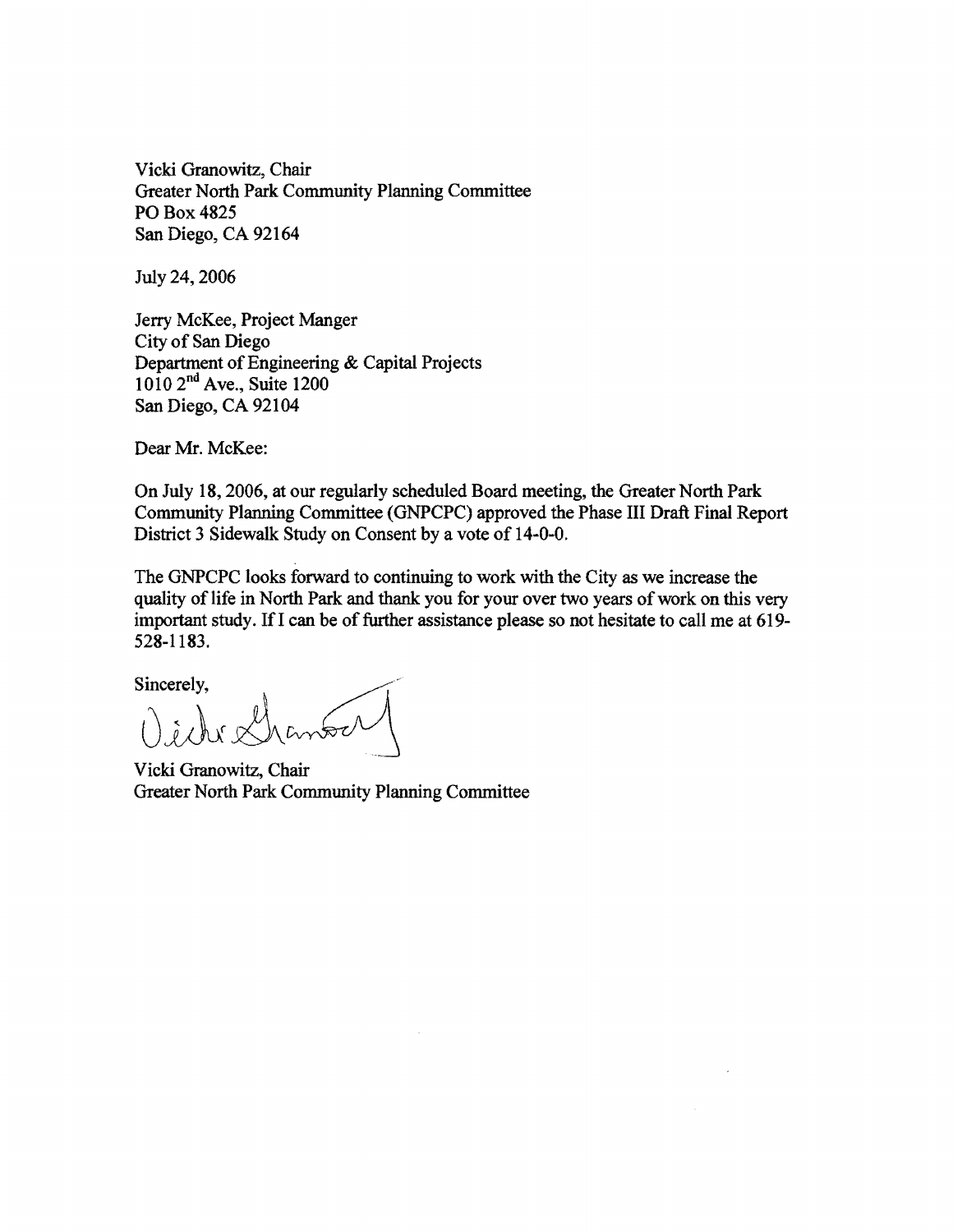Vicki Granowitz, Chair Greater North Park Community Planning Committee POBox4825 San Diego, CA 92164

July 24, 2006

Jerry McKee, Project Manger City of San Diego Department of Engineering & Capital Projects 1010 2<sup>nd</sup> Ave., Suite 1200 San Diego, CA 92104

Dear Mr. McKee:

On July 18,2006, at our regularly scheduled Board meeting, the Greater North Park Community Planning Committee (GNPCPC) approved the Phase III Draft Final Report District 3 Sidewalk Study on Consent by a vote of 14-0-0.

The GNPCPC looks forward to continuing to work with the City as we increase the quality of life in North Park and thank you for your over two years of work on this very important study. If I can be of further assistance please so not hesitate to call me at 619-528-1183.

Sincerely,

Vichr&

Vicki Granowitz, Chair Greater North Park Community Planning Committee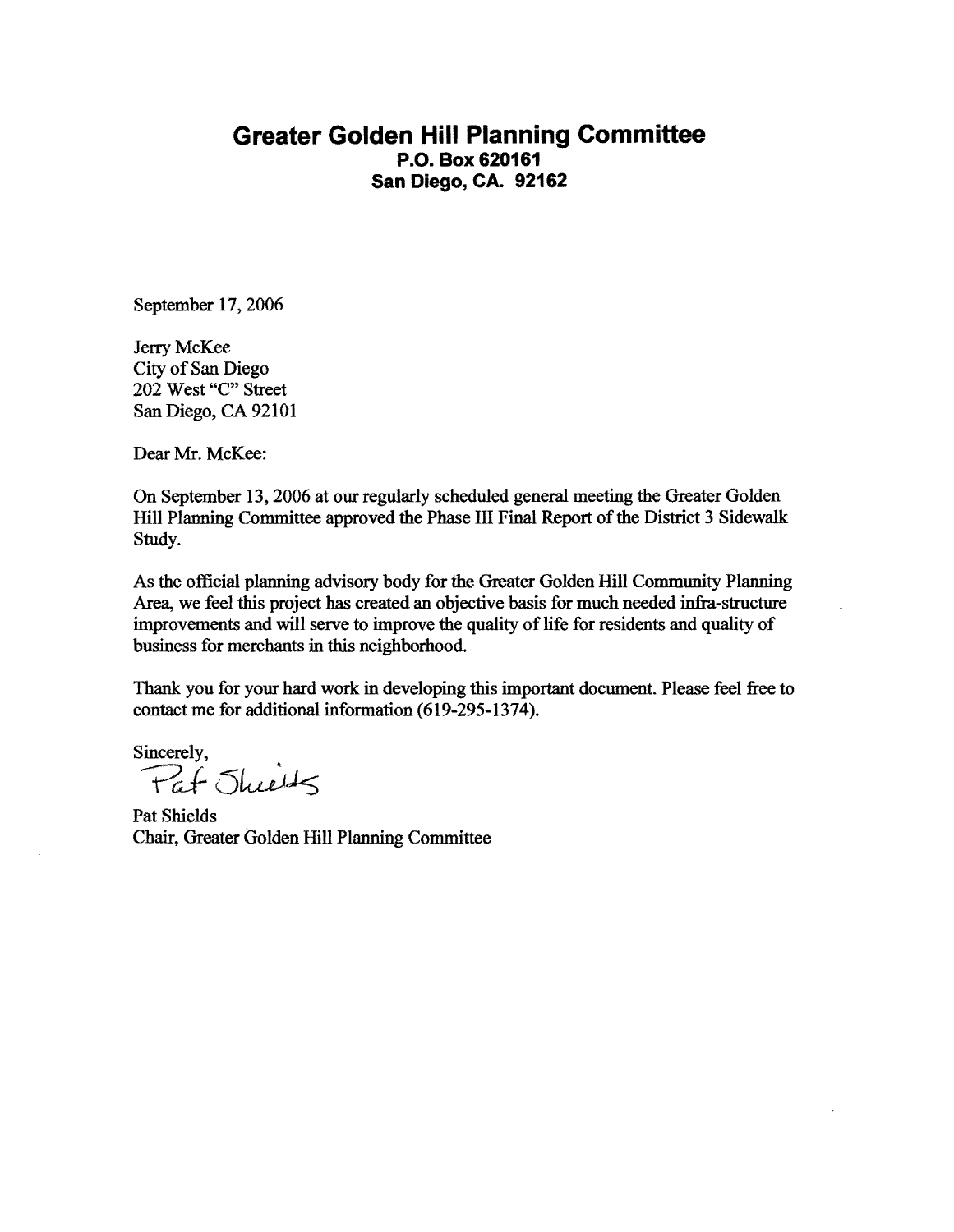## **Greater Golden Hill Planning Committee P.O. Box 620161 San Diego, CA. 92162**

September 17, 2006

Jerry McKee City of San Diego 202 West "C" Street San Diego, CA 92101

Dear Mr. McKee:

On September 13, 2006 at our regularly scheduled general meeting the Greater Golden Hill Planning Committee approved the Phase III Final Report of the District 3 Sidewalk Study.

As the official planning advisory body for the Greater Golden Hill Community Planning Area, we feel this project has created an objective basis for much needed infra-structure improvements and will serve to improve the quality of life for residents and quality of business for merchants in this neighborhood.

Thank you for your hard work in developing this important document. Please feel free to contact me for additional information (619-295-1374).

Sincerely, Pat Juits

Pat Shields Chair, Greater Golden Hill Planning Committee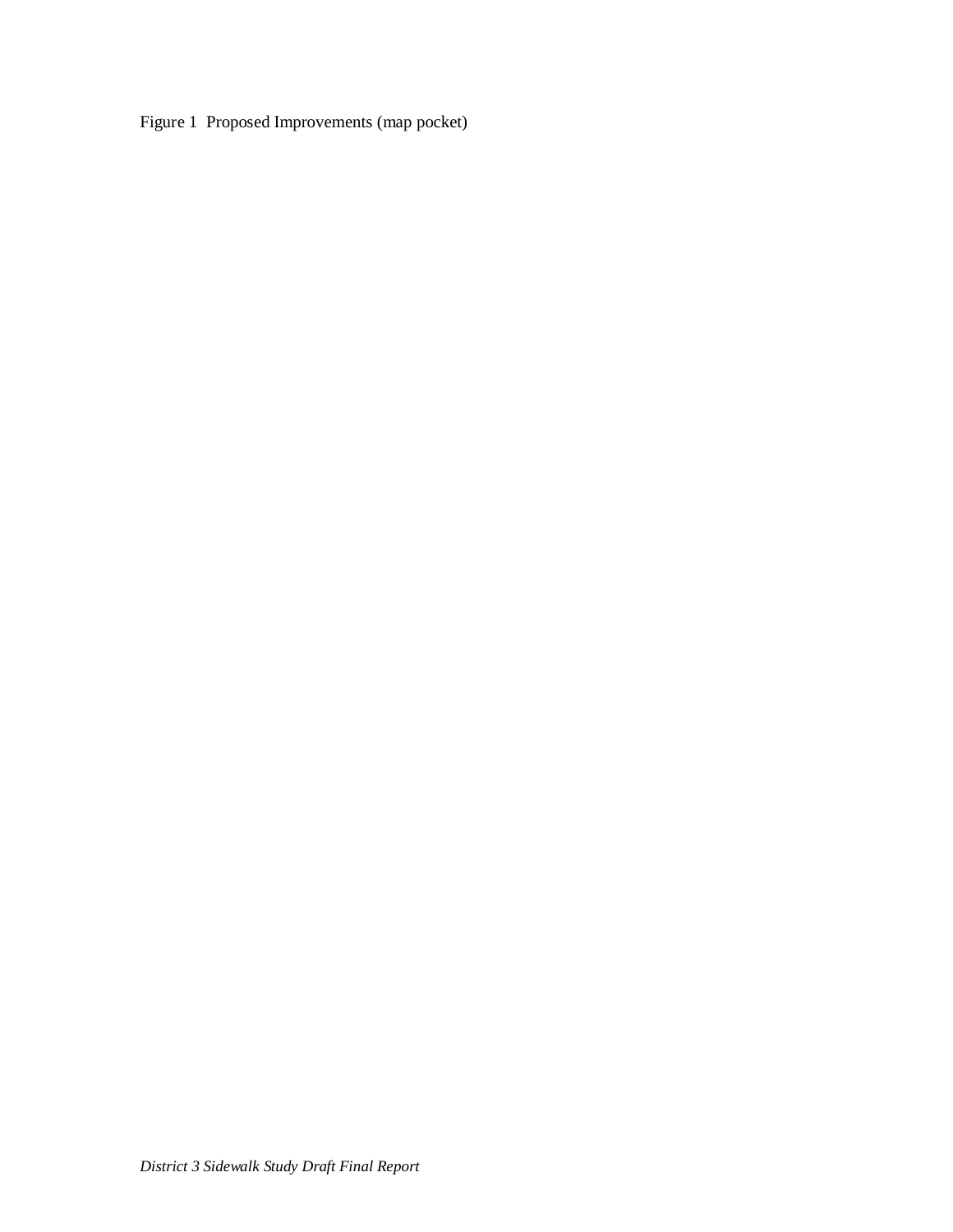Figure 1 Proposed Improvements (map pocket)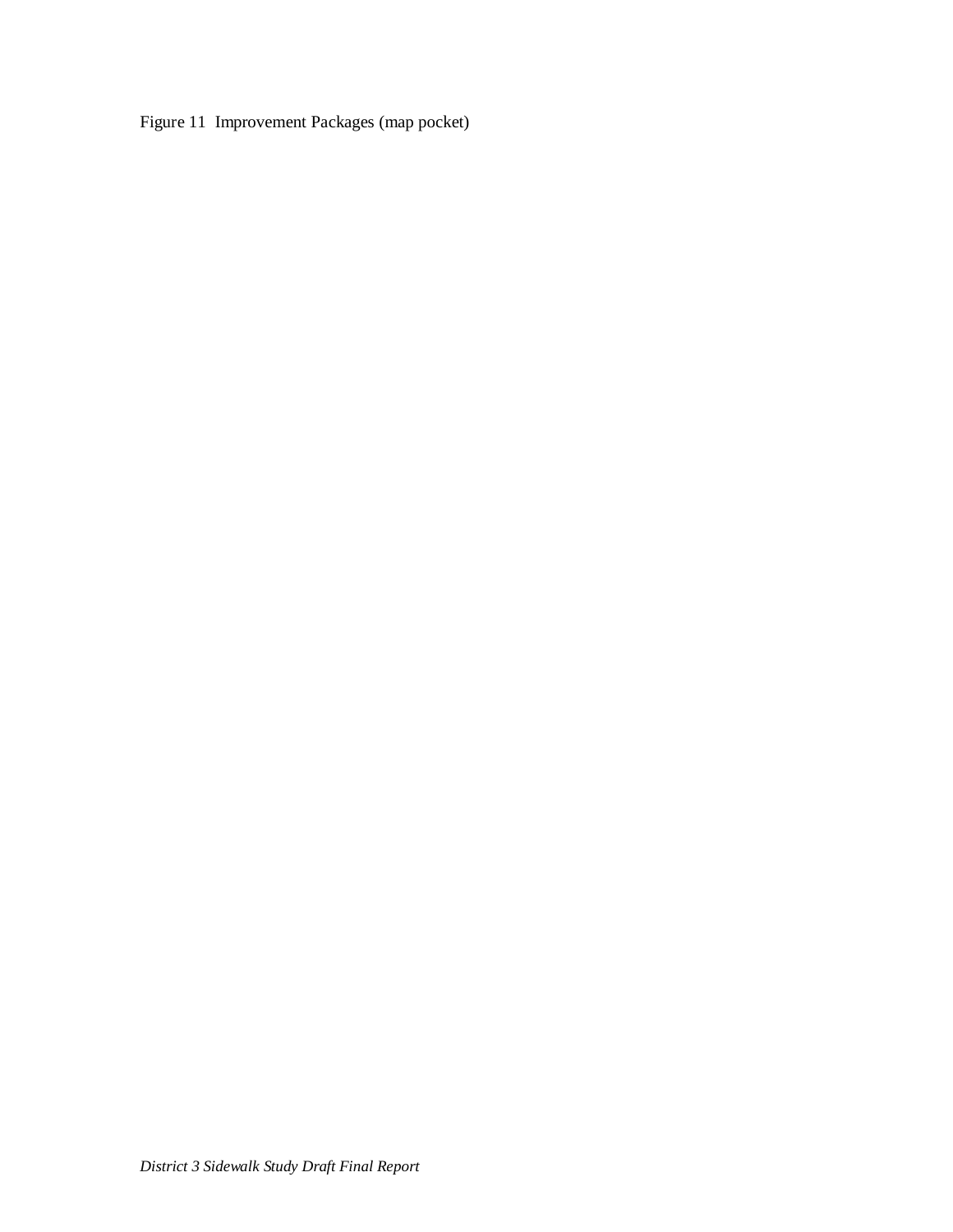Figure 11 Improvement Packages (map pocket)